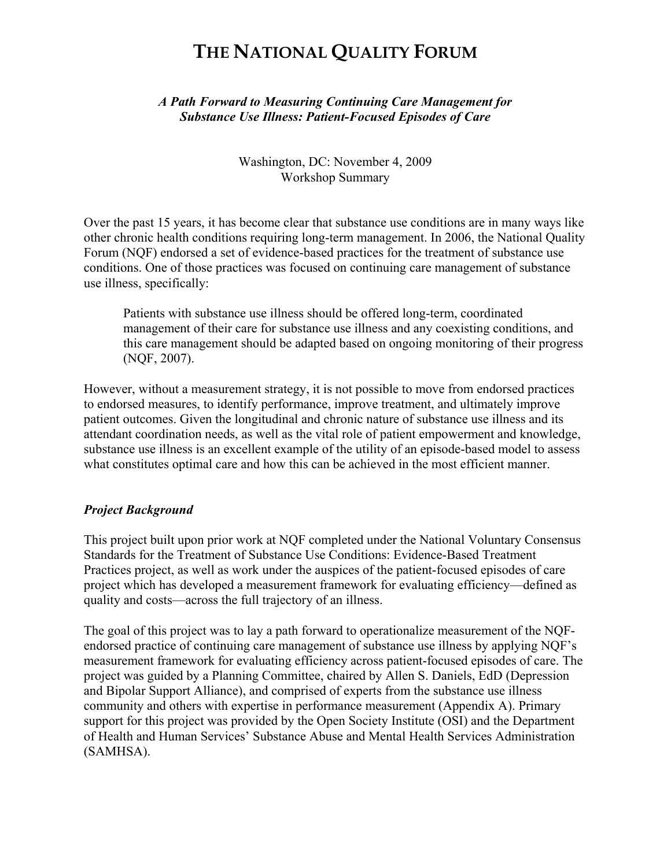# **THE NATIONAL QUALITY FORUM**

*A Path Forward to Measuring Continuing Care Management for Substance Use Illness: Patient-Focused Episodes of Care*

> Washington, DC: November 4, 2009 Workshop Summary

Over the past 15 years, it has become clear that substance use conditions are in many ways like other chronic health conditions requiring long-term management. In 2006, the National Quality Forum (NQF) endorsed a set of evidence-based practices for the treatment of substance use conditions. One of those practices was focused on continuing care management of substance use illness, specifically:

Patients with substance use illness should be offered long-term, coordinated management of their care for substance use illness and any coexisting conditions, and this care management should be adapted based on ongoing monitoring of their progress (NQF, 2007).

However, without a measurement strategy, it is not possible to move from endorsed practices to endorsed measures, to identify performance, improve treatment, and ultimately improve patient outcomes. Given the longitudinal and chronic nature of substance use illness and its attendant coordination needs, as well as the vital role of patient empowerment and knowledge, substance use illness is an excellent example of the utility of an episode-based model to assess what constitutes optimal care and how this can be achieved in the most efficient manner.

### *Project Background*

This project built upon prior work at NQF completed under the National Voluntary Consensus Standards for the Treatment of Substance Use Conditions: Evidence-Based Treatment Practices project, as well as work under the auspices of the patient-focused episodes of care project which has developed a measurement framework for evaluating efficiency—defined as quality and costs—across the full trajectory of an illness.

The goal of this project was to lay a path forward to operationalize measurement of the NQFendorsed practice of continuing care management of substance use illness by applying NQF's measurement framework for evaluating efficiency across patient-focused episodes of care. The project was guided by a Planning Committee, chaired by Allen S. Daniels, EdD (Depression and Bipolar Support Alliance), and comprised of experts from the substance use illness community and others with expertise in performance measurement (Appendix A). Primary support for this project was provided by the Open Society Institute (OSI) and the Department of Health and Human Services' Substance Abuse and Mental Health Services Administration (SAMHSA).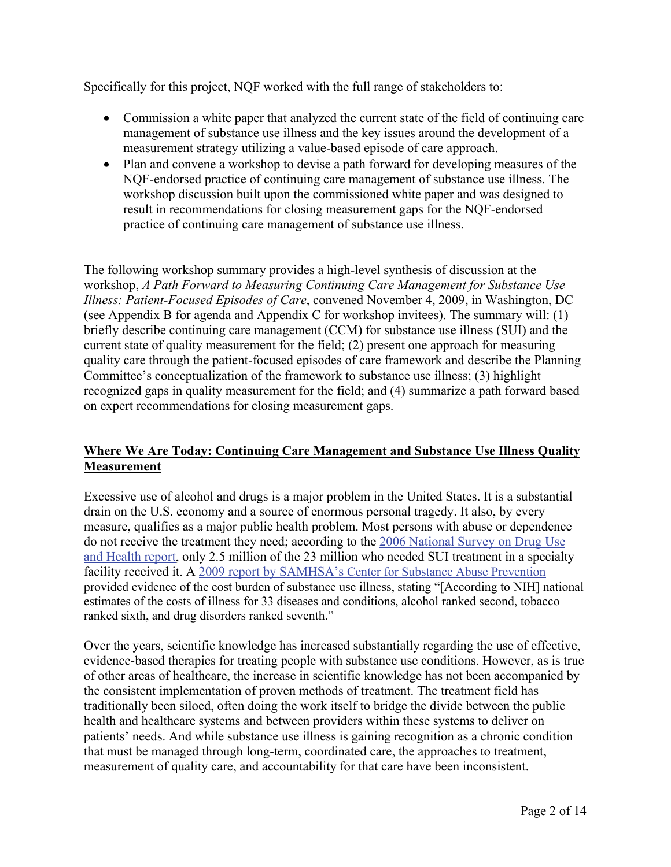Specifically for this project, NQF worked with the full range of stakeholders to:

- Commission a white paper that analyzed the current state of the field of continuing care management of substance use illness and the key issues around the development of a measurement strategy utilizing a value-based episode of care approach.
- Plan and convene a workshop to devise a path forward for developing measures of the NQF-endorsed practice of continuing care management of substance use illness. The workshop discussion built upon the commissioned white paper and was designed to result in recommendations for closing measurement gaps for the NQF-endorsed practice of continuing care management of substance use illness.

The following workshop summary provides a high-level synthesis of discussion at the workshop, *A Path Forward to Measuring Continuing Care Management for Substance Use Illness: Patient-Focused Episodes of Care*, convened November 4, 2009, in Washington, DC (see Appendix B for agenda and Appendix C for workshop invitees). The summary will: (1) briefly describe continuing care management (CCM) for substance use illness (SUI) and the current state of quality measurement for the field; (2) present one approach for measuring quality care through the patient-focused episodes of care framework and describe the Planning Committee's conceptualization of the framework to substance use illness; (3) highlight recognized gaps in quality measurement for the field; and (4) summarize a path forward based on expert recommendations for closing measurement gaps.

# **Where We Are Today: Continuing Care Management and Substance Use Illness Quality Measurement**

Excessive use of alcohol and drugs is a major problem in the United States. It is a substantial drain on the U.S. economy and a source of enormous personal tragedy. It also, by every measure, qualifies as a major public health problem. Most persons with abuse or dependence do not receive the treatment they need; according to the [2006 National Survey on Drug Use](http://www.oas.samhsa.gov/NSDUH/2K6NSDUH/2K6results.cfm)  [and Health report](http://www.oas.samhsa.gov/NSDUH/2K6NSDUH/2K6results.cfm), only 2.5 million of the 23 million who needed SUI treatment in a specialty facility received it. A [2009 report by SAMHSA's Center for Substance Abuse Prevention](http://download.ncadi.samhsa.gov/prevline/pdfs/SMA07-4298.pdf) provided evidence of the cost burden of substance use illness, stating "[According to NIH] national estimates of the costs of illness for 33 diseases and conditions, alcohol ranked second, tobacco ranked sixth, and drug disorders ranked seventh."

Over the years, scientific knowledge has increased substantially regarding the use of effective, evidence-based therapies for treating people with substance use conditions. However, as is true of other areas of healthcare, the increase in scientific knowledge has not been accompanied by the consistent implementation of proven methods of treatment. The treatment field has traditionally been siloed, often doing the work itself to bridge the divide between the public health and healthcare systems and between providers within these systems to deliver on patients' needs. And while substance use illness is gaining recognition as a chronic condition that must be managed through long-term, coordinated care, the approaches to treatment, measurement of quality care, and accountability for that care have been inconsistent.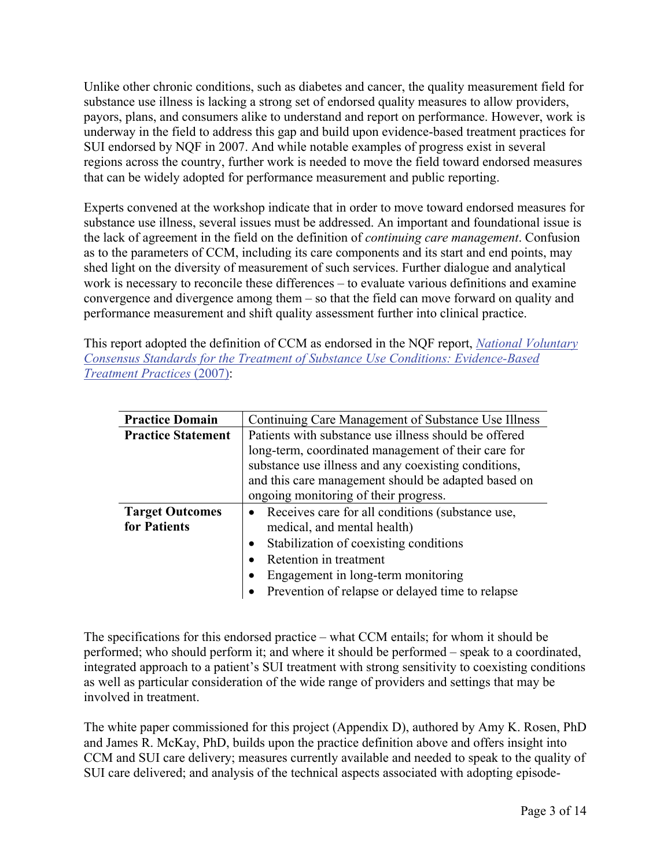Unlike other chronic conditions, such as diabetes and cancer, the quality measurement field for substance use illness is lacking a strong set of endorsed quality measures to allow providers, payors, plans, and consumers alike to understand and report on performance. However, work is underway in the field to address this gap and build upon evidence-based treatment practices for SUI endorsed by NQF in 2007. And while notable examples of progress exist in several regions across the country, further work is needed to move the field toward endorsed measures that can be widely adopted for performance measurement and public reporting.

Experts convened at the workshop indicate that in order to move toward endorsed measures for substance use illness, several issues must be addressed. An important and foundational issue is the lack of agreement in the field on the definition of *continuing care management*. Confusion as to the parameters of CCM, including its care components and its start and end points, may shed light on the diversity of measurement of such services. Further dialogue and analytical work is necessary to reconcile these differences – to evaluate various definitions and examine convergence and divergence among them – so that the field can move forward on quality and performance measurement and shift quality assessment further into clinical practice.

This report adopted the definition of CCM as endorsed in the NQF report, *[National Voluntary](http://www.qualityforum.org/Publications/2007/09/National_Voluntary_Consensus_Standards_for_the_Treatment_of_Substance_Use_Conditions__Evidence-Based_Treatment_Practices.aspx)  [Consensus Standards for the Treatment of Substance Use Conditions: Evidence-Based](http://www.qualityforum.org/Publications/2007/09/National_Voluntary_Consensus_Standards_for_the_Treatment_of_Substance_Use_Conditions__Evidence-Based_Treatment_Practices.aspx)  [Treatment Practices](http://www.qualityforum.org/Publications/2007/09/National_Voluntary_Consensus_Standards_for_the_Treatment_of_Substance_Use_Conditions__Evidence-Based_Treatment_Practices.aspx)* (2007):

| <b>Practice Domain</b>    | Continuing Care Management of Substance Use Illness   |  |
|---------------------------|-------------------------------------------------------|--|
| <b>Practice Statement</b> | Patients with substance use illness should be offered |  |
|                           | long-term, coordinated management of their care for   |  |
|                           | substance use illness and any coexisting conditions,  |  |
|                           | and this care management should be adapted based on   |  |
|                           | ongoing monitoring of their progress.                 |  |
| <b>Target Outcomes</b>    | • Receives care for all conditions (substance use,    |  |
| for Patients              | medical, and mental health)                           |  |
|                           | Stabilization of coexisting conditions                |  |
|                           | Retention in treatment                                |  |
|                           | Engagement in long-term monitoring                    |  |
|                           | Prevention of relapse or delayed time to relapse      |  |

The specifications for this endorsed practice – what CCM entails; for whom it should be performed; who should perform it; and where it should be performed – speak to a coordinated, integrated approach to a patient's SUI treatment with strong sensitivity to coexisting conditions as well as particular consideration of the wide range of providers and settings that may be involved in treatment.

The white paper commissioned for this project (Appendix D), authored by Amy K. Rosen, PhD and James R. McKay, PhD, builds upon the practice definition above and offers insight into CCM and SUI care delivery; measures currently available and needed to speak to the quality of SUI care delivered; and analysis of the technical aspects associated with adopting episode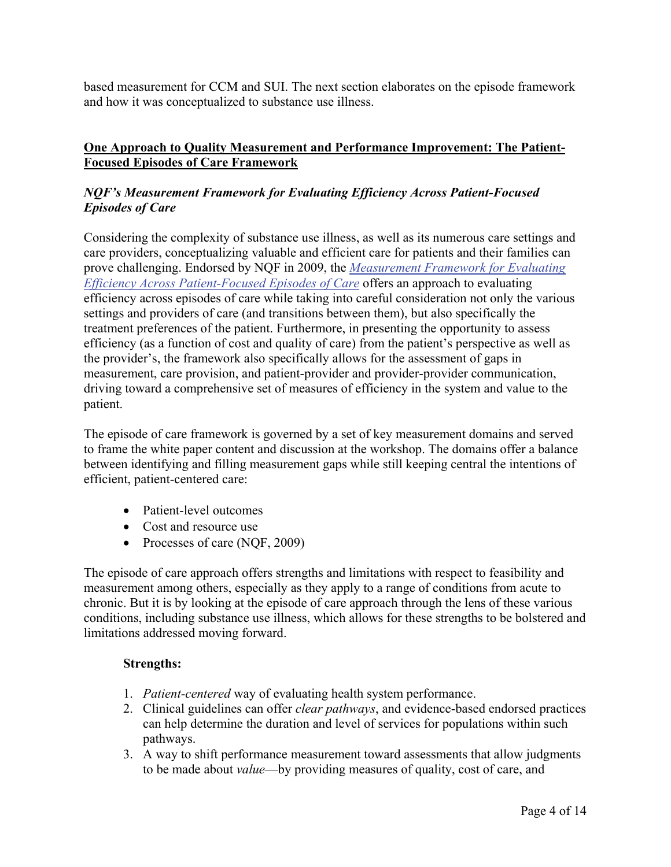based measurement for CCM and SUI. The next section elaborates on the episode framework and how it was conceptualized to substance use illness.

# **One Approach to Quality Measurement and Performance Improvement: The Patient-Focused Episodes of Care Framework**

# *NQF's Measurement Framework for Evaluating Efficiency Across Patient-Focused Episodes of Care*

Considering the complexity of substance use illness, as well as its numerous care settings and care providers, conceptualizing valuable and efficient care for patients and their families can prove challenging. Endorsed by NQF in 2009, the *[Measurement Framework for Evaluating](http://www.qualityforum.org/Projects/Episodes_of_Care_Framework.aspx) [Efficiency Across Patient-Focused Episodes of Care](http://www.qualityforum.org/Projects/Episodes_of_Care_Framework.aspx)* offers an approach to evaluating efficiency across episodes of care while taking into careful consideration not only the various settings and providers of care (and transitions between them), but also specifically the treatment preferences of the patient. Furthermore, in presenting the opportunity to assess efficiency (as a function of cost and quality of care) from the patient's perspective as well as the provider's, the framework also specifically allows for the assessment of gaps in measurement, care provision, and patient-provider and provider-provider communication, driving toward a comprehensive set of measures of efficiency in the system and value to the patient.

The episode of care framework is governed by a set of key measurement domains and served to frame the white paper content and discussion at the workshop. The domains offer a balance between identifying and filling measurement gaps while still keeping central the intentions of efficient, patient-centered care:

- Patient-level outcomes
- Cost and resource use
- Processes of care (NQF, 2009)

The episode of care approach offers strengths and limitations with respect to feasibility and measurement among others, especially as they apply to a range of conditions from acute to chronic. But it is by looking at the episode of care approach through the lens of these various conditions, including substance use illness, which allows for these strengths to be bolstered and limitations addressed moving forward.

# **Strengths:**

- 1. *Patient-centered* way of evaluating health system performance.
- 2. Clinical guidelines can offer *clear pathways*, and evidence-based endorsed practices can help determine the duration and level of services for populations within such pathways.
- 3. A way to shift performance measurement toward assessments that allow judgments to be made about *value*—by providing measures of quality, cost of care, and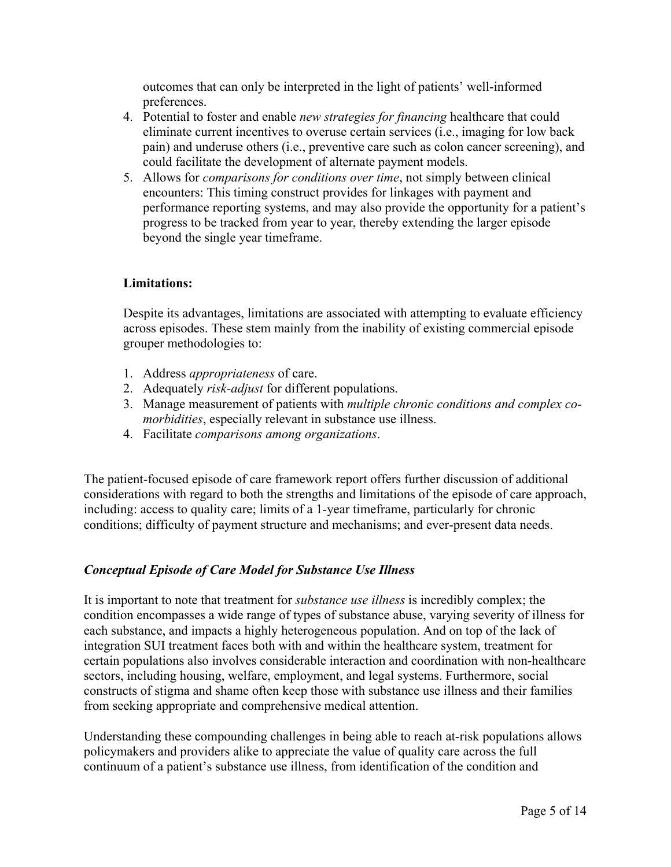outcomes that can only be interpreted in the light of patients' well-informed preferences.

- 4. Potential to foster and enable *new strategies for financing* healthcare that could eliminate current incentives to overuse certain services (i.e., imaging for low back pain) and underuse others (i.e., preventive care such as colon cancer screening), and could facilitate the development of alternate payment models.
- 5. Allows for *comparisons for conditions over time*, not simply between clinical encounters: This timing construct provides for linkages with payment and performance reporting systems, and may also provide the opportunity for a patient's progress to be tracked from year to year, thereby extending the larger episode beyond the single year timeframe.

# **Limitations:**

Despite its advantages, limitations are associated with attempting to evaluate efficiency across episodes. These stem mainly from the inability of existing commercial episode grouper methodologies to:

- 1. Address *appropriateness* of care.
- 2. Adequately *risk-adjust* for different populations.
- 3. Manage measurement of patients with *multiple chronic conditions and complex comorbidities*, especially relevant in substance use illness.
- 4. Facilitate *comparisons among organizations*.

The patient-focused episode of care framework report offers further discussion of additional considerations with regard to both the strengths and limitations of the episode of care approach, including: access to quality care; limits of a 1-year timeframe, particularly for chronic conditions; difficulty of payment structure and mechanisms; and ever-present data needs.

### *Conceptual Episode of Care Model for Substance Use Illness*

It is important to note that treatment for *substance use illness* is incredibly complex; the condition encompasses a wide range of types of substance abuse, varying severity of illness for each substance, and impacts a highly heterogeneous population. And on top of the lack of integration SUI treatment faces both with and within the healthcare system, treatment for certain populations also involves considerable interaction and coordination with non-healthcare sectors, including housing, welfare, employment, and legal systems. Furthermore, social constructs of stigma and shame often keep those with substance use illness and their families from seeking appropriate and comprehensive medical attention.

Understanding these compounding challenges in being able to reach at-risk populations allows policymakers and providers alike to appreciate the value of quality care across the full continuum of a patient's substance use illness, from identification of the condition and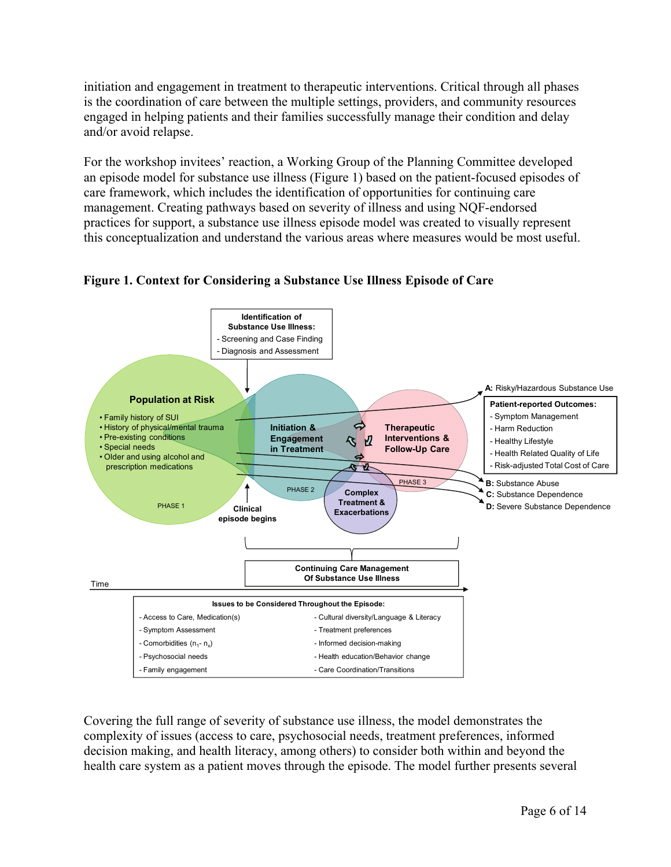initiation and engagement in treatment to therapeutic interventions. Critical through all phases is the coordination of care between the multiple settings, providers, and community resources engaged in helping patients and their families successfully manage their condition and delay and/or avoid relapse.

For the workshop invitees' reaction, a Working Group of the Planning Committee developed an episode model for substance use illness (Figure 1) based on the patient-focused episodes of care framework, which includes the identification of opportunities for continuing care management. Creating pathways based on severity of illness and using NQF-endorsed practices for support, a substance use illness episode model was created to visually represent this conceptualization and understand the various areas where measures would be most useful.



# **Figure 1. Context for Considering a Substance Use Illness Episode of Care**

Covering the full range of severity of substance use illness, the model demonstrates the complexity of issues (access to care, psychosocial needs, treatment preferences, informed decision making, and health literacy, among others) to consider both within and beyond the health care system as a patient moves through the episode. The model further presents several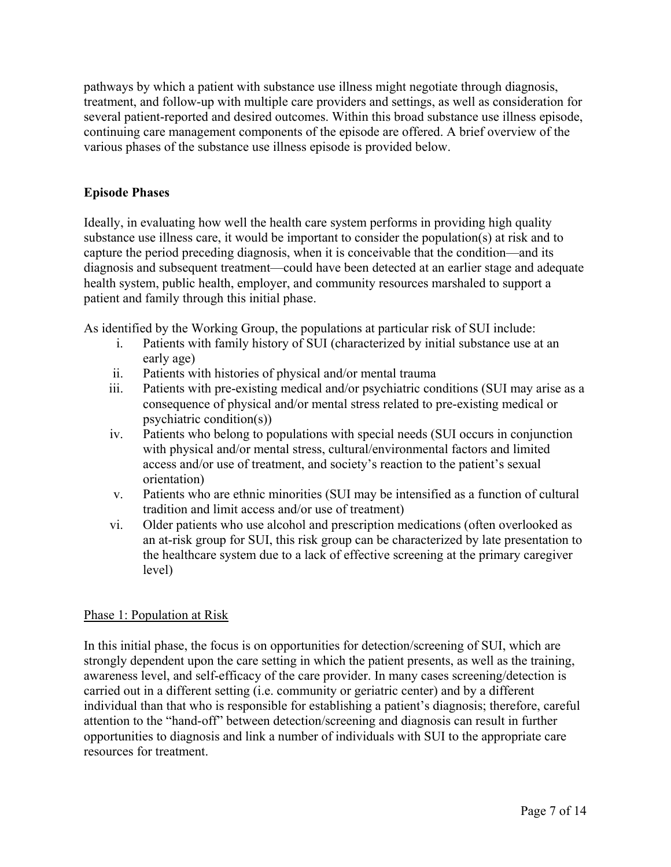pathways by which a patient with substance use illness might negotiate through diagnosis, treatment, and follow-up with multiple care providers and settings, as well as consideration for several patient-reported and desired outcomes. Within this broad substance use illness episode, continuing care management components of the episode are offered. A brief overview of the various phases of the substance use illness episode is provided below.

# **Episode Phases**

Ideally, in evaluating how well the health care system performs in providing high quality substance use illness care, it would be important to consider the population(s) at risk and to capture the period preceding diagnosis, when it is conceivable that the condition—and its diagnosis and subsequent treatment—could have been detected at an earlier stage and adequate health system, public health, employer, and community resources marshaled to support a patient and family through this initial phase.

As identified by the Working Group, the populations at particular risk of SUI include:

- i. Patients with family history of SUI (characterized by initial substance use at an early age)
- ii. Patients with histories of physical and/or mental trauma
- iii. Patients with pre-existing medical and/or psychiatric conditions (SUI may arise as a consequence of physical and/or mental stress related to pre-existing medical or psychiatric condition(s))
- iv. Patients who belong to populations with special needs (SUI occurs in conjunction with physical and/or mental stress, cultural/environmental factors and limited access and/or use of treatment, and society's reaction to the patient's sexual orientation)
- v. Patients who are ethnic minorities (SUI may be intensified as a function of cultural tradition and limit access and/or use of treatment)
- vi. Older patients who use alcohol and prescription medications (often overlooked as an at-risk group for SUI, this risk group can be characterized by late presentation to the healthcare system due to a lack of effective screening at the primary caregiver level)

# Phase 1: Population at Risk

In this initial phase, the focus is on opportunities for detection/screening of SUI, which are strongly dependent upon the care setting in which the patient presents, as well as the training, awareness level, and self-efficacy of the care provider. In many cases screening/detection is carried out in a different setting (i.e. community or geriatric center) and by a different individual than that who is responsible for establishing a patient's diagnosis; therefore, careful attention to the "hand-off" between detection/screening and diagnosis can result in further opportunities to diagnosis and link a number of individuals with SUI to the appropriate care resources for treatment.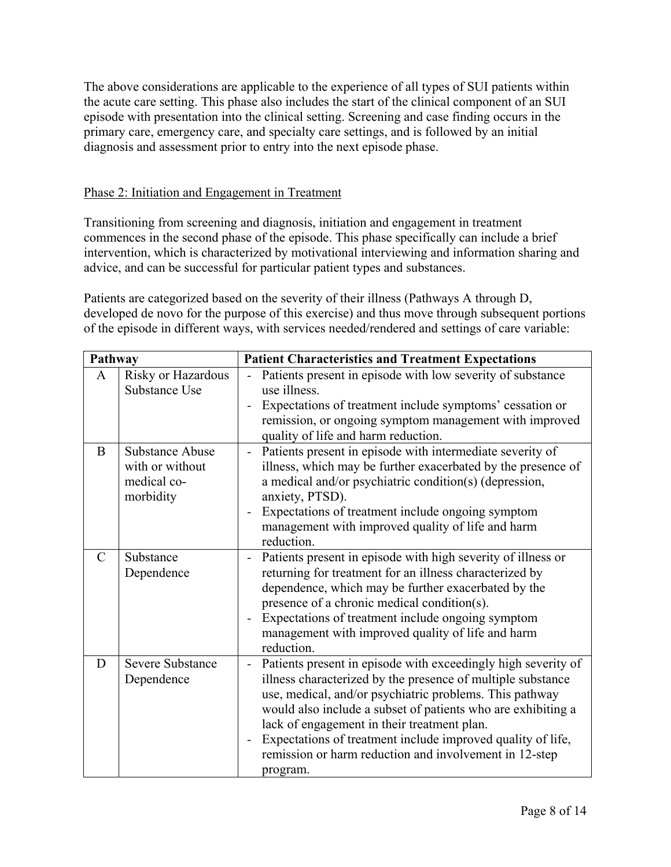The above considerations are applicable to the experience of all types of SUI patients within the acute care setting. This phase also includes the start of the clinical component of an SUI episode with presentation into the clinical setting. Screening and case finding occurs in the primary care, emergency care, and specialty care settings, and is followed by an initial diagnosis and assessment prior to entry into the next episode phase.

# Phase 2: Initiation and Engagement in Treatment

Transitioning from screening and diagnosis, initiation and engagement in treatment commences in the second phase of the episode. This phase specifically can include a brief intervention, which is characterized by motivational interviewing and information sharing and advice, and can be successful for particular patient types and substances.

Patients are categorized based on the severity of their illness (Pathways A through D, developed de novo for the purpose of this exercise) and thus move through subsequent portions of the episode in different ways, with services needed/rendered and settings of care variable:

| Pathway       |                                                                       | <b>Patient Characteristics and Treatment Expectations</b>                                                                                                                                                                                                                                                                                                                                                                                                                                 |  |
|---------------|-----------------------------------------------------------------------|-------------------------------------------------------------------------------------------------------------------------------------------------------------------------------------------------------------------------------------------------------------------------------------------------------------------------------------------------------------------------------------------------------------------------------------------------------------------------------------------|--|
| A             | Risky or Hazardous<br>Substance Use                                   | Patients present in episode with low severity of substance<br>use illness.<br>Expectations of treatment include symptoms' cessation or<br>remission, or ongoing symptom management with improved<br>quality of life and harm reduction.                                                                                                                                                                                                                                                   |  |
| B             | <b>Substance Abuse</b><br>with or without<br>medical co-<br>morbidity | Patients present in episode with intermediate severity of<br>illness, which may be further exacerbated by the presence of<br>a medical and/or psychiatric condition(s) (depression,<br>anxiety, PTSD).<br>Expectations of treatment include ongoing symptom<br>$\overline{\phantom{0}}$<br>management with improved quality of life and harm<br>reduction.                                                                                                                                |  |
| $\mathcal{C}$ | Substance<br>Dependence                                               | Patients present in episode with high severity of illness or<br>returning for treatment for an illness characterized by<br>dependence, which may be further exacerbated by the<br>presence of a chronic medical condition(s).<br>Expectations of treatment include ongoing symptom<br>management with improved quality of life and harm<br>reduction.                                                                                                                                     |  |
| D             | <b>Severe Substance</b><br>Dependence                                 | Patients present in episode with exceedingly high severity of<br>$\overline{a}$<br>illness characterized by the presence of multiple substance<br>use, medical, and/or psychiatric problems. This pathway<br>would also include a subset of patients who are exhibiting a<br>lack of engagement in their treatment plan.<br>Expectations of treatment include improved quality of life,<br>$\overline{\phantom{0}}$<br>remission or harm reduction and involvement in 12-step<br>program. |  |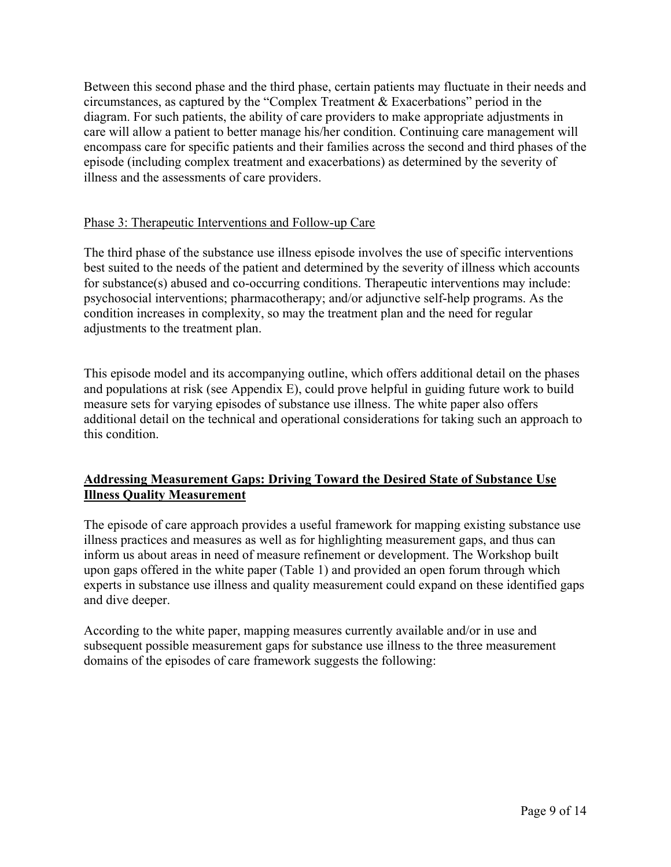Between this second phase and the third phase, certain patients may fluctuate in their needs and circumstances, as captured by the "Complex Treatment & Exacerbations" period in the diagram. For such patients, the ability of care providers to make appropriate adjustments in care will allow a patient to better manage his/her condition. Continuing care management will encompass care for specific patients and their families across the second and third phases of the episode (including complex treatment and exacerbations) as determined by the severity of illness and the assessments of care providers.

# Phase 3: Therapeutic Interventions and Follow-up Care

The third phase of the substance use illness episode involves the use of specific interventions best suited to the needs of the patient and determined by the severity of illness which accounts for substance(s) abused and co-occurring conditions. Therapeutic interventions may include: psychosocial interventions; pharmacotherapy; and/or adjunctive self-help programs. As the condition increases in complexity, so may the treatment plan and the need for regular adjustments to the treatment plan.

This episode model and its accompanying outline, which offers additional detail on the phases and populations at risk (see Appendix E), could prove helpful in guiding future work to build measure sets for varying episodes of substance use illness. The white paper also offers additional detail on the technical and operational considerations for taking such an approach to this condition.

# **Addressing Measurement Gaps: Driving Toward the Desired State of Substance Use Illness Quality Measurement**

The episode of care approach provides a useful framework for mapping existing substance use illness practices and measures as well as for highlighting measurement gaps, and thus can inform us about areas in need of measure refinement or development. The Workshop built upon gaps offered in the white paper (Table 1) and provided an open forum through which experts in substance use illness and quality measurement could expand on these identified gaps and dive deeper.

According to the white paper, mapping measures currently available and/or in use and subsequent possible measurement gaps for substance use illness to the three measurement domains of the episodes of care framework suggests the following: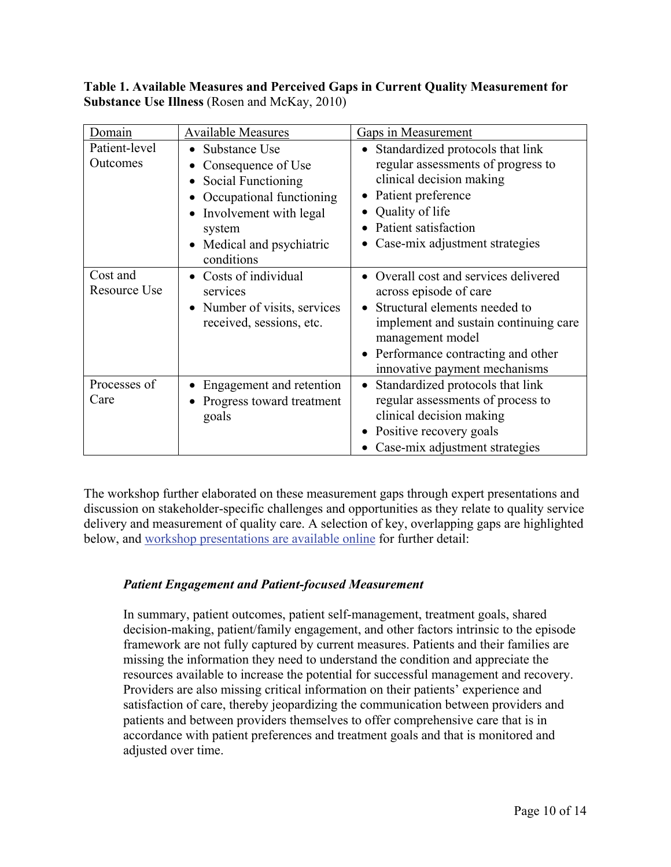# **Table 1. Available Measures and Perceived Gaps in Current Quality Measurement for Substance Use Illness** (Rosen and McKay, 2010)

| Domain                    | <b>Available Measures</b>                                                                                                                                            | <b>Gaps in Measurement</b>                                                                                                                                                                                                                                  |
|---------------------------|----------------------------------------------------------------------------------------------------------------------------------------------------------------------|-------------------------------------------------------------------------------------------------------------------------------------------------------------------------------------------------------------------------------------------------------------|
| Patient-level<br>Outcomes | • Substance Use<br>Consequence of Use<br>Social Functioning<br>Occupational functioning<br>Involvement with legal<br>system<br>Medical and psychiatric<br>conditions | • Standardized protocols that link<br>regular assessments of progress to<br>clinical decision making<br>Patient preference<br>Quality of life<br>Patient satisfaction<br>Case-mix adjustment strategies                                                     |
| Cost and<br>Resource Use  | Costs of individual<br>services<br>Number of visits, services<br>received, sessions, etc.                                                                            | Overall cost and services delivered<br>$\bullet$<br>across episode of care<br>Structural elements needed to<br>$\bullet$<br>implement and sustain continuing care<br>management model<br>Performance contracting and other<br>innovative payment mechanisms |
| Processes of<br>Care      | Engagement and retention<br>Progress toward treatment<br>goals                                                                                                       | Standardized protocols that link<br>$\bullet$<br>regular assessments of process to<br>clinical decision making<br>Positive recovery goals<br>Case-mix adjustment strategies                                                                                 |

The workshop further elaborated on these measurement gaps through expert presentations and discussion on stakeholder-specific challenges and opportunities as they relate to quality service delivery and measurement of quality care. A selection of key, overlapping gaps are highlighted below, and [workshop presentations are available online](http://www.qualityforum.org/projects/substance_use_2009.aspx#t=2&s=&p=) for further detail:

# *Patient Engagement and Patient-focused Measurement*

In summary, patient outcomes, patient self-management, treatment goals, shared decision-making, patient/family engagement, and other factors intrinsic to the episode framework are not fully captured by current measures. Patients and their families are missing the information they need to understand the condition and appreciate the resources available to increase the potential for successful management and recovery. Providers are also missing critical information on their patients' experience and satisfaction of care, thereby jeopardizing the communication between providers and patients and between providers themselves to offer comprehensive care that is in accordance with patient preferences and treatment goals and that is monitored and adjusted over time.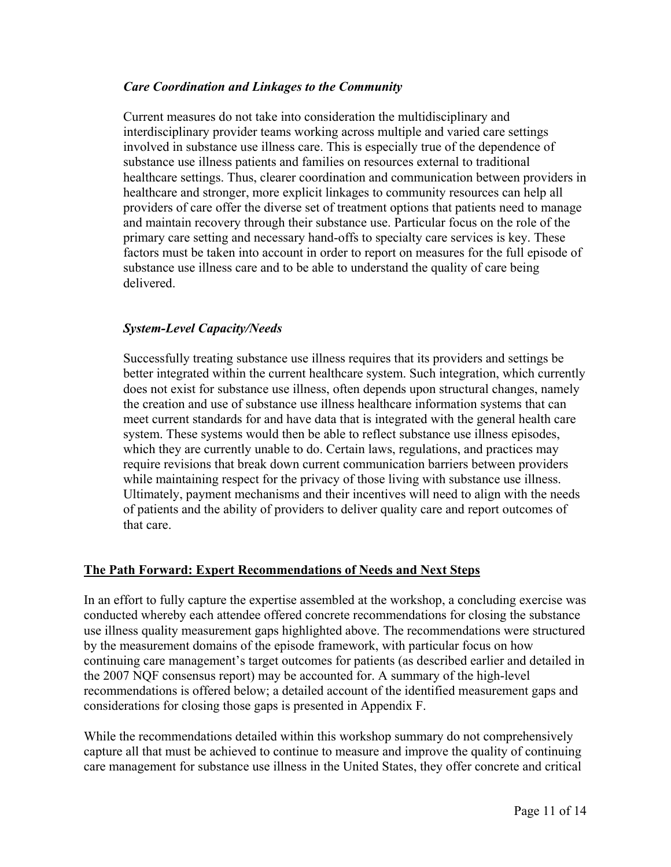# *Care Coordination and Linkages to the Community*

Current measures do not take into consideration the multidisciplinary and interdisciplinary provider teams working across multiple and varied care settings involved in substance use illness care. This is especially true of the dependence of substance use illness patients and families on resources external to traditional healthcare settings. Thus, clearer coordination and communication between providers in healthcare and stronger, more explicit linkages to community resources can help all providers of care offer the diverse set of treatment options that patients need to manage and maintain recovery through their substance use. Particular focus on the role of the primary care setting and necessary hand-offs to specialty care services is key. These factors must be taken into account in order to report on measures for the full episode of substance use illness care and to be able to understand the quality of care being delivered.

# *System-Level Capacity/Needs*

Successfully treating substance use illness requires that its providers and settings be better integrated within the current healthcare system. Such integration, which currently does not exist for substance use illness, often depends upon structural changes, namely the creation and use of substance use illness healthcare information systems that can meet current standards for and have data that is integrated with the general health care system. These systems would then be able to reflect substance use illness episodes, which they are currently unable to do. Certain laws, regulations, and practices may require revisions that break down current communication barriers between providers while maintaining respect for the privacy of those living with substance use illness. Ultimately, payment mechanisms and their incentives will need to align with the needs of patients and the ability of providers to deliver quality care and report outcomes of that care.

### **The Path Forward: Expert Recommendations of Needs and Next Steps**

In an effort to fully capture the expertise assembled at the workshop, a concluding exercise was conducted whereby each attendee offered concrete recommendations for closing the substance use illness quality measurement gaps highlighted above. The recommendations were structured by the measurement domains of the episode framework, with particular focus on how continuing care management's target outcomes for patients (as described earlier and detailed in the 2007 NQF consensus report) may be accounted for. A summary of the high-level recommendations is offered below; a detailed account of the identified measurement gaps and considerations for closing those gaps is presented in Appendix F.

While the recommendations detailed within this workshop summary do not comprehensively capture all that must be achieved to continue to measure and improve the quality of continuing care management for substance use illness in the United States, they offer concrete and critical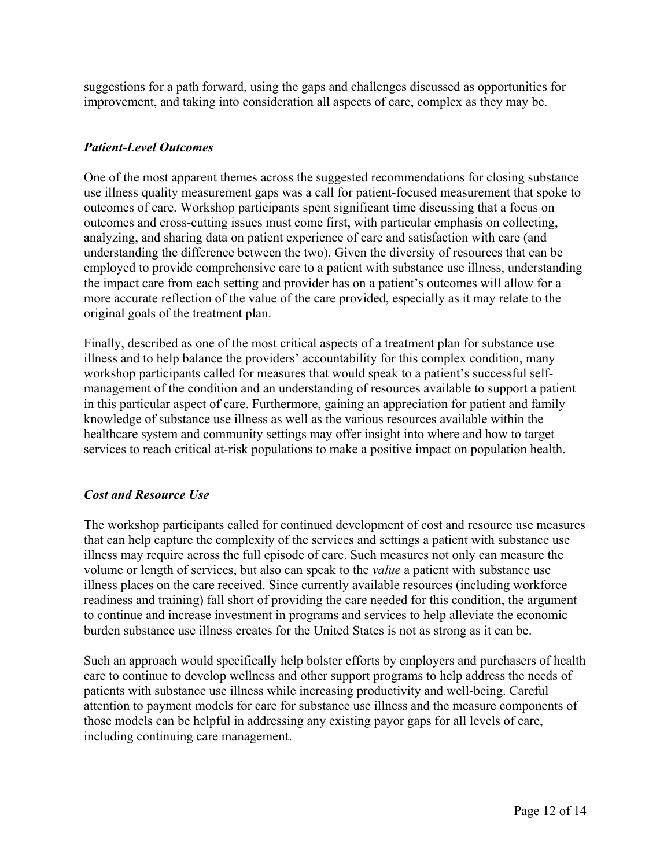suggestions for a path forward, using the gaps and challenges discussed as opportunities for improvement, and taking into consideration all aspects of care, complex as they may be.

# *Patient-Level Outcomes*

One of the most apparent themes across the suggested recommendations for closing substance use illness quality measurement gaps was a call for patient-focused measurement that spoke to outcomes of care. Workshop participants spent significant time discussing that a focus on outcomes and cross-cutting issues must come first, with particular emphasis on collecting, analyzing, and sharing data on patient experience of care and satisfaction with care (and understanding the difference between the two). Given the diversity of resources that can be employed to provide comprehensive care to a patient with substance use illness, understanding the impact care from each setting and provider has on a patient's outcomes will allow for a more accurate reflection of the value of the care provided, especially as it may relate to the original goals of the treatment plan.

Finally, described as one of the most critical aspects of a treatment plan for substance use illness and to help balance the providers' accountability for this complex condition, many workshop participants called for measures that would speak to a patient's successful selfmanagement of the condition and an understanding of resources available to support a patient in this particular aspect of care. Furthermore, gaining an appreciation for patient and family knowledge of substance use illness as well as the various resources available within the healthcare system and community settings may offer insight into where and how to target services to reach critical at-risk populations to make a positive impact on population health.

### *Cost and Resource Use*

The workshop participants called for continued development of cost and resource use measures that can help capture the complexity of the services and settings a patient with substance use illness may require across the full episode of care. Such measures not only can measure the volume or length of services, but also can speak to the *value* a patient with substance use illness places on the care received. Since currently available resources (including workforce readiness and training) fall short of providing the care needed for this condition, the argument to continue and increase investment in programs and services to help alleviate the economic burden substance use illness creates for the United States is not as strong as it can be.

Such an approach would specifically help bolster efforts by employers and purchasers of health care to continue to develop wellness and other support programs to help address the needs of patients with substance use illness while increasing productivity and well-being. Careful attention to payment models for care for substance use illness and the measure components of those models can be helpful in addressing any existing payor gaps for all levels of care, including continuing care management.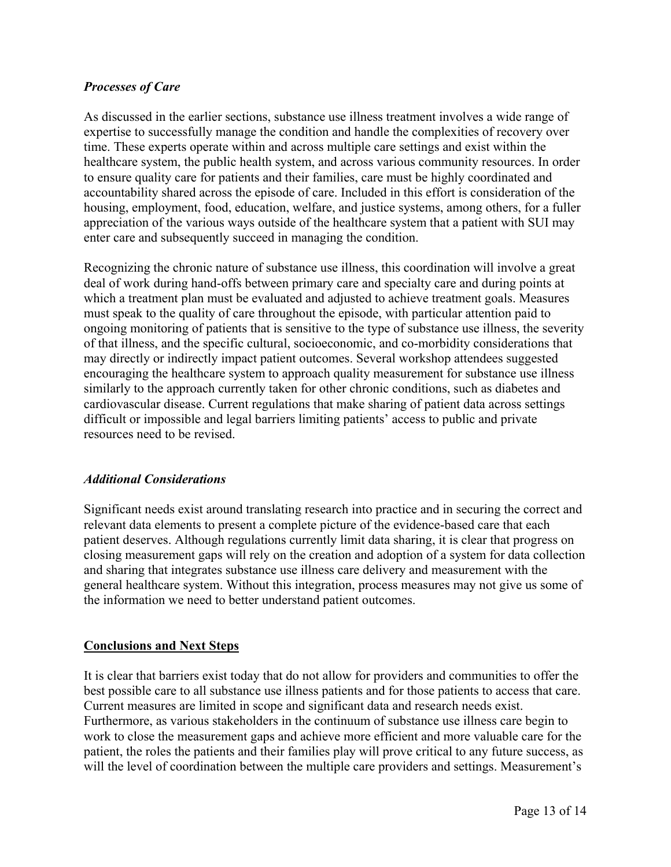# *Processes of Care*

As discussed in the earlier sections, substance use illness treatment involves a wide range of expertise to successfully manage the condition and handle the complexities of recovery over time. These experts operate within and across multiple care settings and exist within the healthcare system, the public health system, and across various community resources. In order to ensure quality care for patients and their families, care must be highly coordinated and accountability shared across the episode of care. Included in this effort is consideration of the housing, employment, food, education, welfare, and justice systems, among others, for a fuller appreciation of the various ways outside of the healthcare system that a patient with SUI may enter care and subsequently succeed in managing the condition.

Recognizing the chronic nature of substance use illness, this coordination will involve a great deal of work during hand-offs between primary care and specialty care and during points at which a treatment plan must be evaluated and adjusted to achieve treatment goals. Measures must speak to the quality of care throughout the episode, with particular attention paid to ongoing monitoring of patients that is sensitive to the type of substance use illness, the severity of that illness, and the specific cultural, socioeconomic, and co-morbidity considerations that may directly or indirectly impact patient outcomes. Several workshop attendees suggested encouraging the healthcare system to approach quality measurement for substance use illness similarly to the approach currently taken for other chronic conditions, such as diabetes and cardiovascular disease. Current regulations that make sharing of patient data across settings difficult or impossible and legal barriers limiting patients' access to public and private resources need to be revised.

### *Additional Considerations*

Significant needs exist around translating research into practice and in securing the correct and relevant data elements to present a complete picture of the evidence-based care that each patient deserves. Although regulations currently limit data sharing, it is clear that progress on closing measurement gaps will rely on the creation and adoption of a system for data collection and sharing that integrates substance use illness care delivery and measurement with the general healthcare system. Without this integration, process measures may not give us some of the information we need to better understand patient outcomes.

### **Conclusions and Next Steps**

It is clear that barriers exist today that do not allow for providers and communities to offer the best possible care to all substance use illness patients and for those patients to access that care. Current measures are limited in scope and significant data and research needs exist. Furthermore, as various stakeholders in the continuum of substance use illness care begin to work to close the measurement gaps and achieve more efficient and more valuable care for the patient, the roles the patients and their families play will prove critical to any future success, as will the level of coordination between the multiple care providers and settings. Measurement's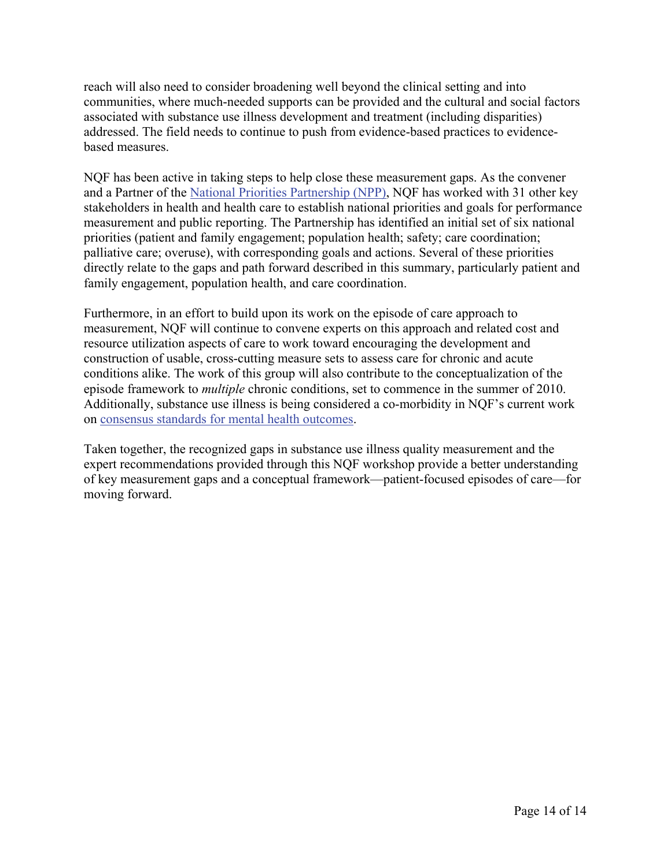reach will also need to consider broadening well beyond the clinical setting and into communities, where much-needed supports can be provided and the cultural and social factors associated with substance use illness development and treatment (including disparities) addressed. The field needs to continue to push from evidence-based practices to evidencebased measures.

NQF has been active in taking steps to help close these measurement gaps. As the convener and a Partner of the [National Priorities Partnership \(NPP\)](http://www.nationalprioritiespartnership.org/), NQF has worked with 31 other key stakeholders in health and health care to establish national priorities and goals for performance measurement and public reporting. The Partnership has identified an initial set of six national priorities (patient and family engagement; population health; safety; care coordination; palliative care; overuse), with corresponding goals and actions. Several of these priorities directly relate to the gaps and path forward described in this summary, particularly patient and family engagement, population health, and care coordination.

Furthermore, in an effort to build upon its work on the episode of care approach to measurement, NQF will continue to convene experts on this approach and related cost and resource utilization aspects of care to work toward encouraging the development and construction of usable, cross-cutting measure sets to assess care for chronic and acute conditions alike. The work of this group will also contribute to the conceptualization of the episode framework to *multiple* chronic conditions, set to commence in the summer of 2010. Additionally, substance use illness is being considered a co-morbidity in NQF's current work on [consensus standards for mental health outcomes.](http://www.qualityforum.org/projects/Patient_Outcome_Measures_Phase3.aspx)

Taken together, the recognized gaps in substance use illness quality measurement and the expert recommendations provided through this NQF workshop provide a better understanding of key measurement gaps and a conceptual framework—patient-focused episodes of care—for moving forward.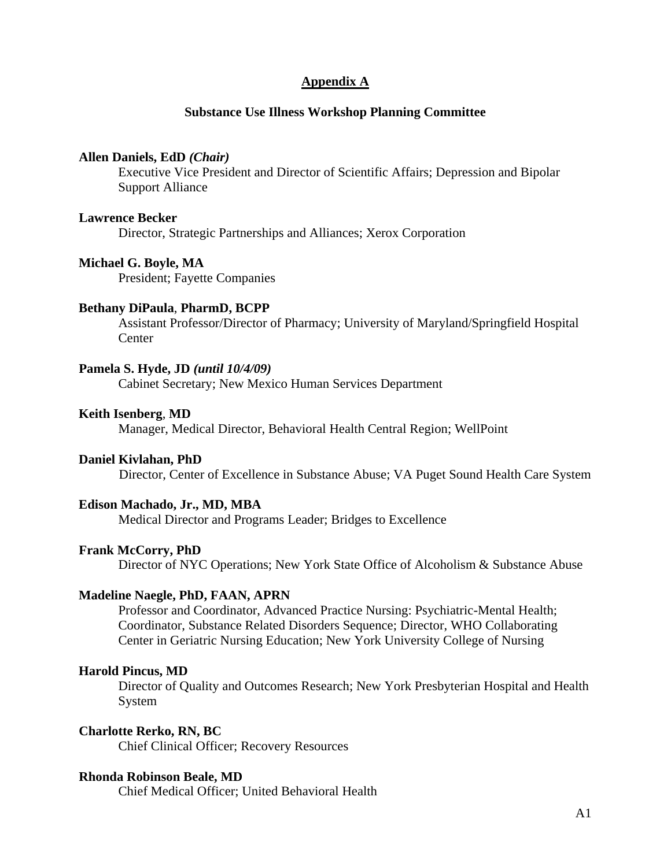### **Appendix A**

### **Substance Use Illness Workshop Planning Committee**

#### **Allen Daniels, EdD** *(Chair)*

Executive Vice President and Director of Scientific Affairs; Depression and Bipolar Support Alliance

#### **Lawrence Becker**

Director, Strategic Partnerships and Alliances; Xerox Corporation

#### **Michael G. Boyle, MA**

President; Fayette Companies

#### **Bethany DiPaula**, **PharmD, BCPP**

Assistant Professor/Director of Pharmacy; University of Maryland/Springfield Hospital **Center** 

#### **Pamela S. Hyde, JD** *(until 10/4/09)*

Cabinet Secretary; New Mexico Human Services Department

#### **Keith Isenberg**, **MD**

Manager, Medical Director, Behavioral Health Central Region; WellPoint

#### **Daniel Kivlahan, PhD**

Director, Center of Excellence in Substance Abuse; VA Puget Sound Health Care System

### **Edison Machado, Jr., MD, MBA**

Medical Director and Programs Leader; Bridges to Excellence

#### **Frank McCorry, PhD**

Director of NYC Operations; New York State Office of Alcoholism & Substance Abuse

#### **Madeline Naegle, PhD, FAAN, APRN**

Professor and Coordinator, Advanced Practice Nursing: Psychiatric-Mental Health; Coordinator, Substance Related Disorders Sequence; Director, WHO Collaborating Center in Geriatric Nursing Education; New York University College of Nursing

#### **Harold Pincus, MD**

 Director of Quality and Outcomes Research; New York Presbyterian Hospital and Health System

#### **Charlotte Rerko, RN, BC**

Chief Clinical Officer; Recovery Resources

#### **Rhonda Robinson Beale, MD**

Chief Medical Officer; United Behavioral Health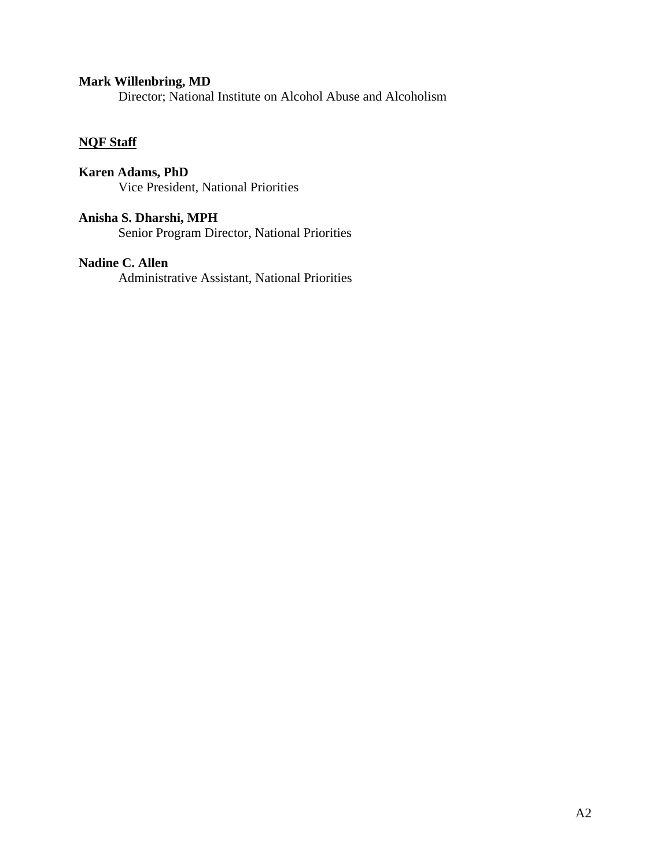# **Mark Willenbring, MD**

Director; National Institute on Alcohol Abuse and Alcoholism

# **NQF Staff**

**Karen Adams, PhD**  Vice President, National Priorities

**Anisha S. Dharshi, MPH**  Senior Program Director, National Priorities

### **Nadine C. Allen**

Administrative Assistant, National Priorities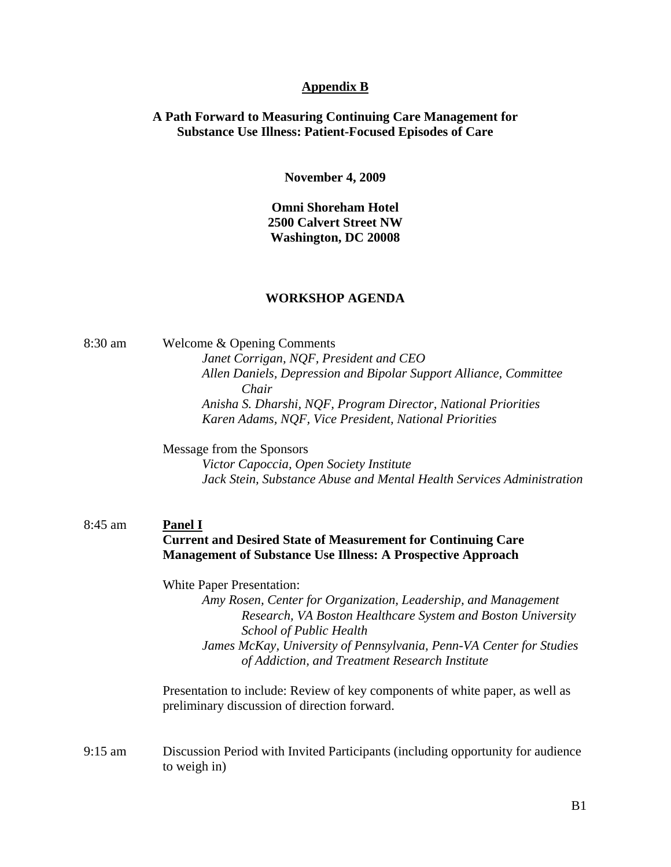#### **Appendix B**

### **A Path Forward to Measuring Continuing Care Management for Substance Use Illness: Patient-Focused Episodes of Care**

**November 4, 2009** 

**Omni Shoreham Hotel 2500 Calvert Street NW Washington, DC 20008** 

#### **WORKSHOP AGENDA**

8:30 am Welcome & Opening Comments *Janet Corrigan, NQF, President and CEO Allen Daniels, Depression and Bipolar Support Alliance, Committee Chair Anisha S. Dharshi, NQF, Program Director, National Priorities Karen Adams, NQF, Vice President, National Priorities* 

Message from the Sponsors

*Victor Capoccia, Open Society Institute Jack Stein, Substance Abuse and Mental Health Services Administration* 

### 8:45 am **Panel I Current and Desired State of Measurement for Continuing Care Management of Substance Use Illness: A Prospective Approach**

White Paper Presentation:

*Amy Rosen, Center for Organization, Leadership, and Management Research, VA Boston Healthcare System and Boston University School of Public Health* 

*James McKay, University of Pennsylvania, Penn-VA Center for Studies of Addiction, and Treatment Research Institute* 

Presentation to include: Review of key components of white paper, as well as preliminary discussion of direction forward.

9:15 am Discussion Period with Invited Participants (including opportunity for audience to weigh in)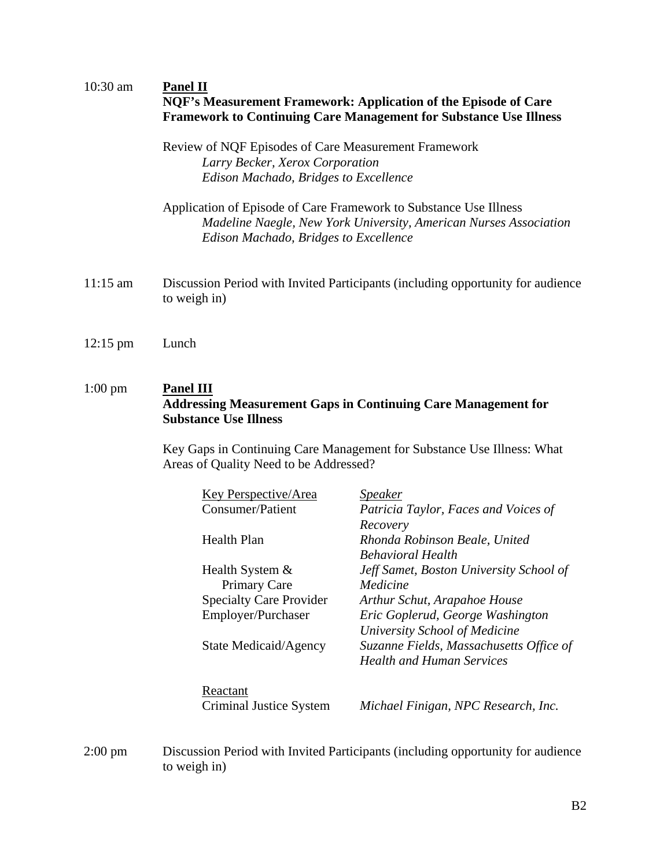# 10:30 am **Panel II**

| NOF's Measurement Framework: Application of the Episode of Care          |  |
|--------------------------------------------------------------------------|--|
| <b>Framework to Continuing Care Management for Substance Use Illness</b> |  |

Review of NQF Episodes of Care Measurement Framework *Larry Becker, Xerox Corporation Edison Machado, Bridges to Excellence* 

- Application of Episode of Care Framework to Substance Use Illness *Madeline Naegle, New York University, American Nurses Association Edison Machado, Bridges to Excellence*
- 11:15 am Discussion Period with Invited Participants (including opportunity for audience to weigh in)
- 12:15 pm Lunch

# 1:00 pm **Panel III Addressing Measurement Gaps in Continuing Care Management for Substance Use Illness**

Key Gaps in Continuing Care Management for Substance Use Illness: What Areas of Quality Need to be Addressed?

| <b>Key Perspective/Area</b>    | <i>Speaker</i>                          |
|--------------------------------|-----------------------------------------|
| <b>Consumer/Patient</b>        | Patricia Taylor, Faces and Voices of    |
|                                | Recovery                                |
| Health Plan                    | Rhonda Robinson Beale, United           |
|                                | <b>Behavioral Health</b>                |
| Health System &                | Jeff Samet, Boston University School of |
| Primary Care                   | Medicine                                |
| <b>Specialty Care Provider</b> | Arthur Schut, Arapahoe House            |
| Employer/Purchaser             | Eric Goplerud, George Washington        |
|                                | University School of Medicine           |
| State Medicaid/Agency          | Suzanne Fields, Massachusetts Office of |
|                                | <b>Health and Human Services</b>        |
| Reactant                       |                                         |
| Criminal Justice System        | Michael Finigan, NPC Research, Inc.     |
|                                |                                         |

2:00 pm Discussion Period with Invited Participants (including opportunity for audience to weigh in)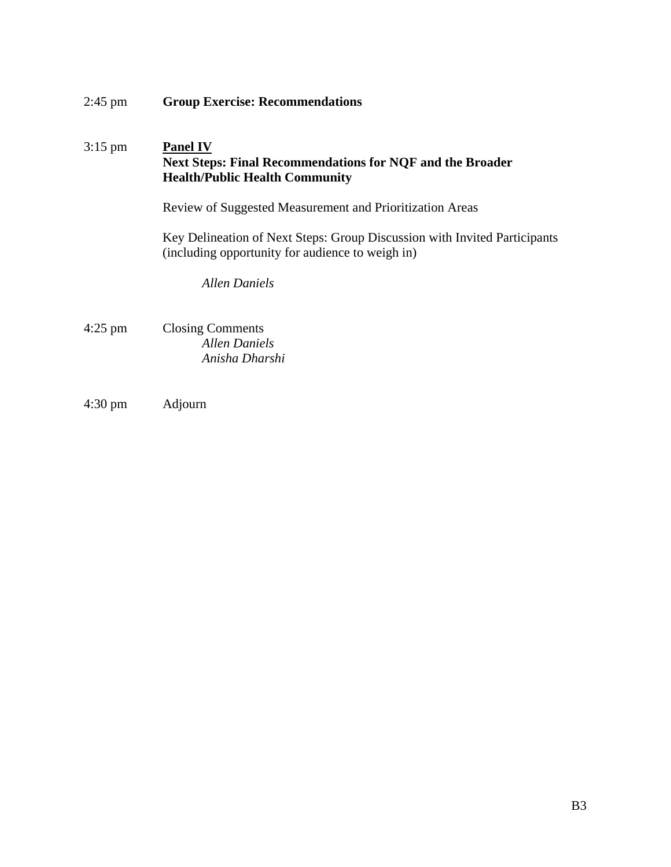| $2:45$ pm | <b>Group Exercise: Recommendations</b>                                                                                                                                                   |
|-----------|------------------------------------------------------------------------------------------------------------------------------------------------------------------------------------------|
| $3:15$ pm | <b>Panel IV</b><br><b>Next Steps: Final Recommendations for NQF and the Broader</b><br><b>Health/Public Health Community</b><br>Review of Suggested Measurement and Prioritization Areas |
|           | Key Delineation of Next Steps: Group Discussion with Invited Participants<br>(including opportunity for audience to weigh in)<br><b>Allen Daniels</b>                                    |
| $4:25$ pm | <b>Closing Comments</b><br>Allen Daniels<br>Anisha Dharshi                                                                                                                               |

4:30 pm Adjourn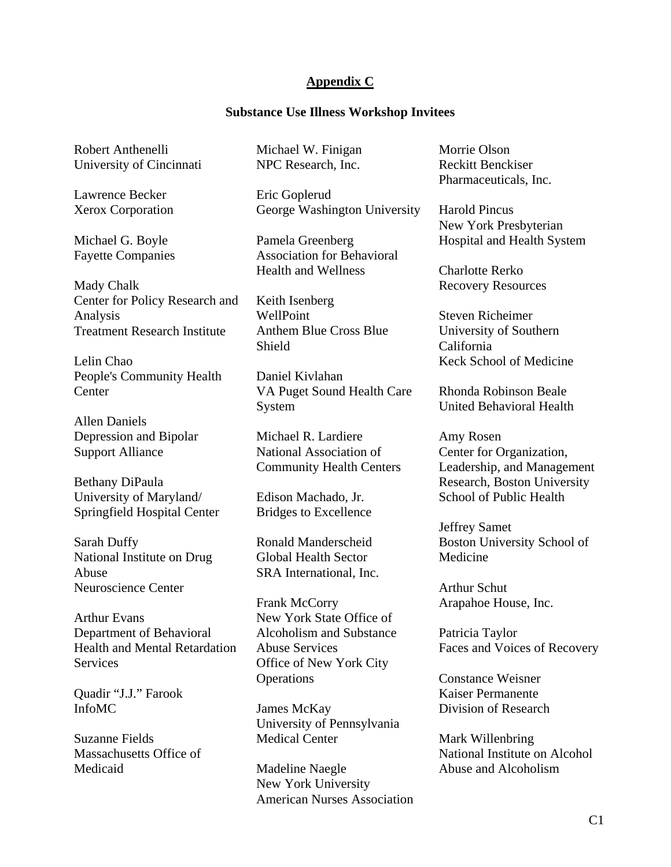### **Appendix C**

#### **Substance Use Illness Workshop Invitees**

Robert Anthenelli University of Cincinnati

Lawrence Becker Xerox Corporation

Michael G. Boyle Fayette Companies

Mady Chalk Center for Policy Research and Analysis Treatment Research Institute

Lelin Chao People's Community Health **Center** 

Allen Daniels Depression and Bipolar Support Alliance

Bethany DiPaula University of Maryland/ Springfield Hospital Center

Sarah Duffy National Institute on Drug Abuse Neuroscience Center

Arthur Evans Department of Behavioral Health and Mental Retardation Services

Quadir "J.J." Farook InfoMC

Suzanne Fields Massachusetts Office of Medicaid

Michael W. Finigan NPC Research, Inc.

Eric Goplerud George Washington University

Pamela Greenberg Association for Behavioral Health and Wellness

Keith Isenberg WellPoint Anthem Blue Cross Blue Shield

Daniel Kivlahan VA Puget Sound Health Care System

Michael R. Lardiere National Association of Community Health Centers

Edison Machado, Jr. Bridges to Excellence

Ronald Manderscheid Global Health Sector SRA International, Inc.

Frank McCorry New York State Office of Alcoholism and Substance Abuse Services Office of New York City **Operations** 

James McKay University of Pennsylvania Medical Center

Madeline Naegle New York University American Nurses Association Morrie Olson Reckitt Benckiser Pharmaceuticals, Inc.

Harold Pincus New York Presbyterian Hospital and Health System

Charlotte Rerko Recovery Resources

Steven Richeimer University of Southern California Keck School of Medicine

Rhonda Robinson Beale United Behavioral Health

Amy Rosen Center for Organization, Leadership, and Management Research, Boston University School of Public Health

Jeffrey Samet Boston University School of Medicine

Arthur Schut Arapahoe House, Inc.

Patricia Taylor Faces and Voices of Recovery

Constance Weisner Kaiser Permanente Division of Research

Mark Willenbring National Institute on Alcohol Abuse and Alcoholism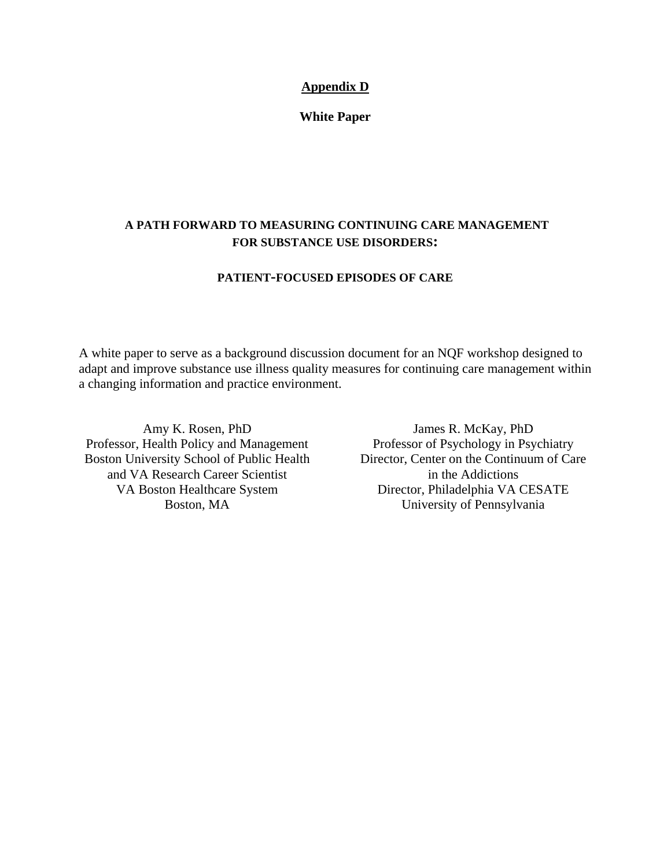## **Appendix D**

**White Paper** 

# **A PATH FORWARD TO MEASURING CONTINUING CARE MANAGEMENT FOR SUBSTANCE USE DISORDERS:**

### **PATIENT-FOCUSED EPISODES OF CARE**

A white paper to serve as a background discussion document for an NQF workshop designed to adapt and improve substance use illness quality measures for continuing care management within a changing information and practice environment.

Amy K. Rosen, PhD Professor, Health Policy and Management Boston University School of Public Health and VA Research Career Scientist VA Boston Healthcare System Boston, MA

James R. McKay, PhD Professor of Psychology in Psychiatry Director, Center on the Continuum of Care in the Addictions Director, Philadelphia VA CESATE University of Pennsylvania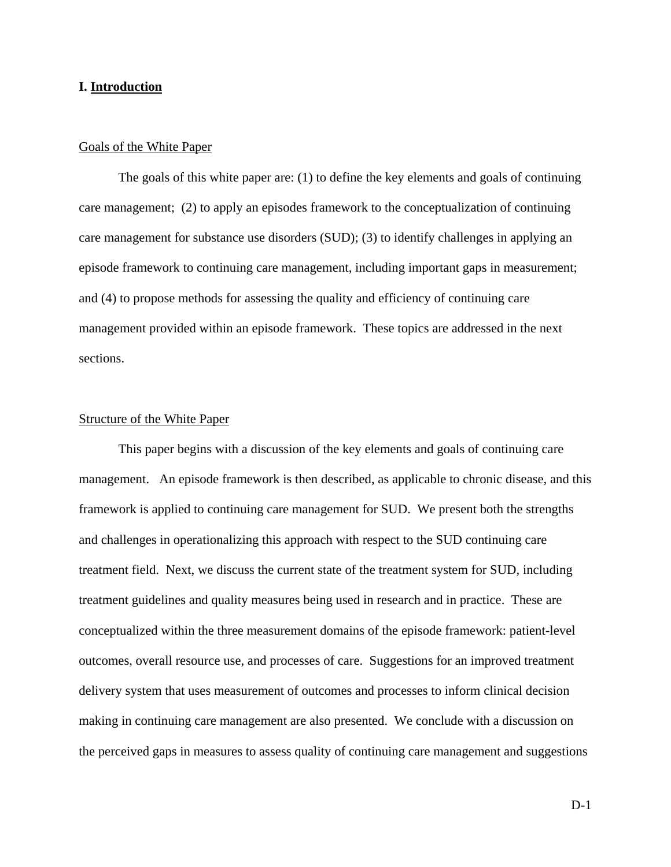#### **I. Introduction**

#### Goals of the White Paper

 The goals of this white paper are: (1) to define the key elements and goals of continuing care management; (2) to apply an episodes framework to the conceptualization of continuing care management for substance use disorders (SUD); (3) to identify challenges in applying an episode framework to continuing care management, including important gaps in measurement; and (4) to propose methods for assessing the quality and efficiency of continuing care management provided within an episode framework. These topics are addressed in the next sections.

#### Structure of the White Paper

 This paper begins with a discussion of the key elements and goals of continuing care management. An episode framework is then described, as applicable to chronic disease, and this framework is applied to continuing care management for SUD. We present both the strengths and challenges in operationalizing this approach with respect to the SUD continuing care treatment field. Next, we discuss the current state of the treatment system for SUD, including treatment guidelines and quality measures being used in research and in practice. These are conceptualized within the three measurement domains of the episode framework: patient-level outcomes, overall resource use, and processes of care. Suggestions for an improved treatment delivery system that uses measurement of outcomes and processes to inform clinical decision making in continuing care management are also presented. We conclude with a discussion on the perceived gaps in measures to assess quality of continuing care management and suggestions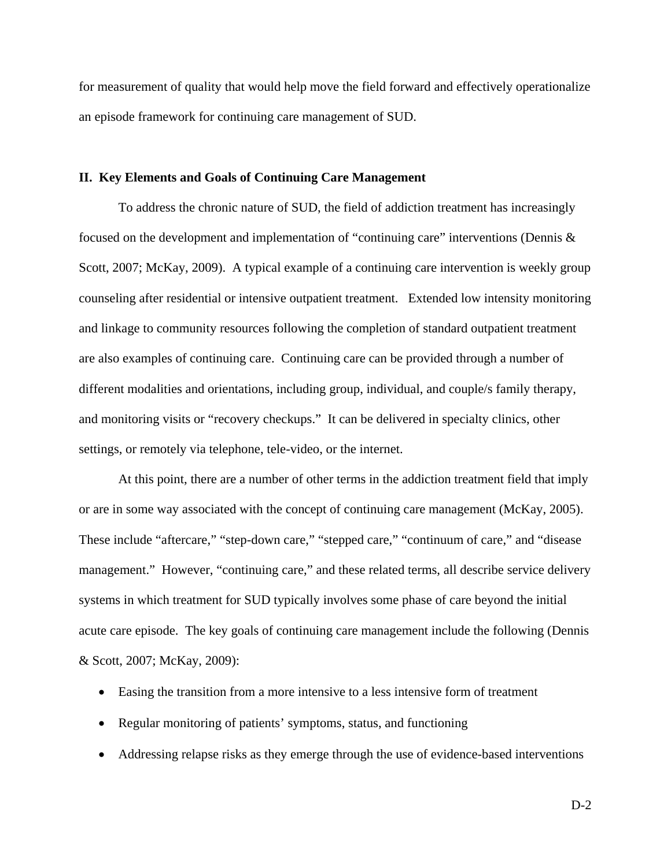for measurement of quality that would help move the field forward and effectively operationalize an episode framework for continuing care management of SUD.

#### **II. Key Elements and Goals of Continuing Care Management**

 To address the chronic nature of SUD, the field of addiction treatment has increasingly focused on the development and implementation of "continuing care" interventions (Dennis & Scott, 2007; McKay, 2009). A typical example of a continuing care intervention is weekly group counseling after residential or intensive outpatient treatment. Extended low intensity monitoring and linkage to community resources following the completion of standard outpatient treatment are also examples of continuing care. Continuing care can be provided through a number of different modalities and orientations, including group, individual, and couple/s family therapy, and monitoring visits or "recovery checkups." It can be delivered in specialty clinics, other settings, or remotely via telephone, tele-video, or the internet.

 At this point, there are a number of other terms in the addiction treatment field that imply or are in some way associated with the concept of continuing care management (McKay, 2005). These include "aftercare," "step-down care," "stepped care," "continuum of care," and "disease management." However, "continuing care," and these related terms, all describe service delivery systems in which treatment for SUD typically involves some phase of care beyond the initial acute care episode. The key goals of continuing care management include the following (Dennis & Scott, 2007; McKay, 2009):

- Easing the transition from a more intensive to a less intensive form of treatment
- Regular monitoring of patients' symptoms, status, and functioning
- Addressing relapse risks as they emerge through the use of evidence-based interventions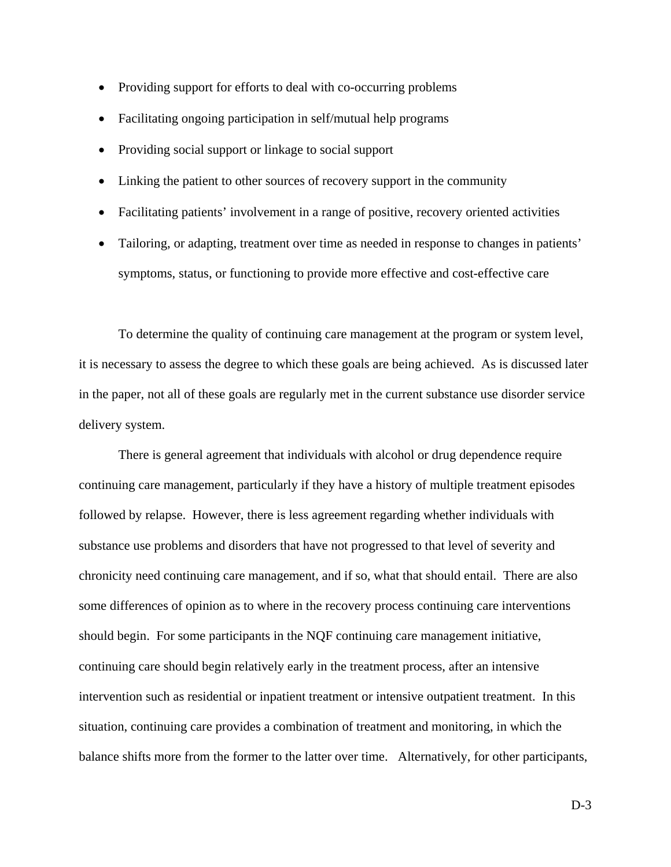- Providing support for efforts to deal with co-occurring problems
- Facilitating ongoing participation in self/mutual help programs
- Providing social support or linkage to social support
- Linking the patient to other sources of recovery support in the community
- Facilitating patients' involvement in a range of positive, recovery oriented activities
- Tailoring, or adapting, treatment over time as needed in response to changes in patients' symptoms, status, or functioning to provide more effective and cost-effective care

To determine the quality of continuing care management at the program or system level, it is necessary to assess the degree to which these goals are being achieved. As is discussed later in the paper, not all of these goals are regularly met in the current substance use disorder service delivery system.

There is general agreement that individuals with alcohol or drug dependence require continuing care management, particularly if they have a history of multiple treatment episodes followed by relapse. However, there is less agreement regarding whether individuals with substance use problems and disorders that have not progressed to that level of severity and chronicity need continuing care management, and if so, what that should entail. There are also some differences of opinion as to where in the recovery process continuing care interventions should begin. For some participants in the NQF continuing care management initiative, continuing care should begin relatively early in the treatment process, after an intensive intervention such as residential or inpatient treatment or intensive outpatient treatment. In this situation, continuing care provides a combination of treatment and monitoring, in which the balance shifts more from the former to the latter over time. Alternatively, for other participants,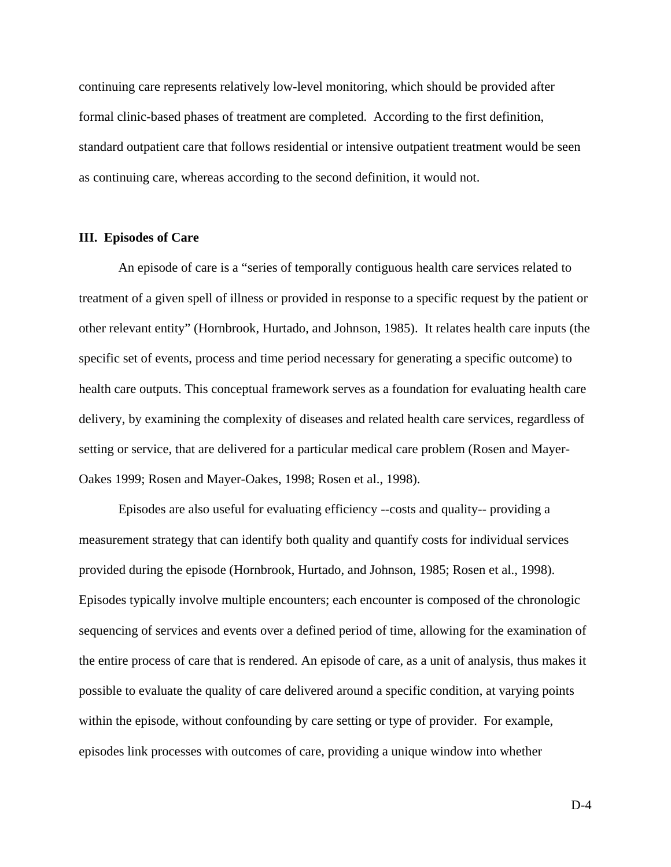continuing care represents relatively low-level monitoring, which should be provided after formal clinic-based phases of treatment are completed. According to the first definition, standard outpatient care that follows residential or intensive outpatient treatment would be seen as continuing care, whereas according to the second definition, it would not.

#### **III. Episodes of Care**

 An episode of care is a "series of temporally contiguous health care services related to treatment of a given spell of illness or provided in response to a specific request by the patient or other relevant entity" (Hornbrook, Hurtado, and Johnson, 1985). It relates health care inputs (the specific set of events, process and time period necessary for generating a specific outcome) to health care outputs. This conceptual framework serves as a foundation for evaluating health care delivery, by examining the complexity of diseases and related health care services, regardless of setting or service, that are delivered for a particular medical care problem (Rosen and Mayer-Oakes 1999; Rosen and Mayer-Oakes, 1998; Rosen et al., 1998).

 Episodes are also useful for evaluating efficiency --costs and quality-- providing a measurement strategy that can identify both quality and quantify costs for individual services provided during the episode (Hornbrook, Hurtado, and Johnson, 1985; Rosen et al., 1998). Episodes typically involve multiple encounters; each encounter is composed of the chronologic sequencing of services and events over a defined period of time, allowing for the examination of the entire process of care that is rendered. An episode of care, as a unit of analysis, thus makes it possible to evaluate the quality of care delivered around a specific condition, at varying points within the episode, without confounding by care setting or type of provider. For example, episodes link processes with outcomes of care, providing a unique window into whether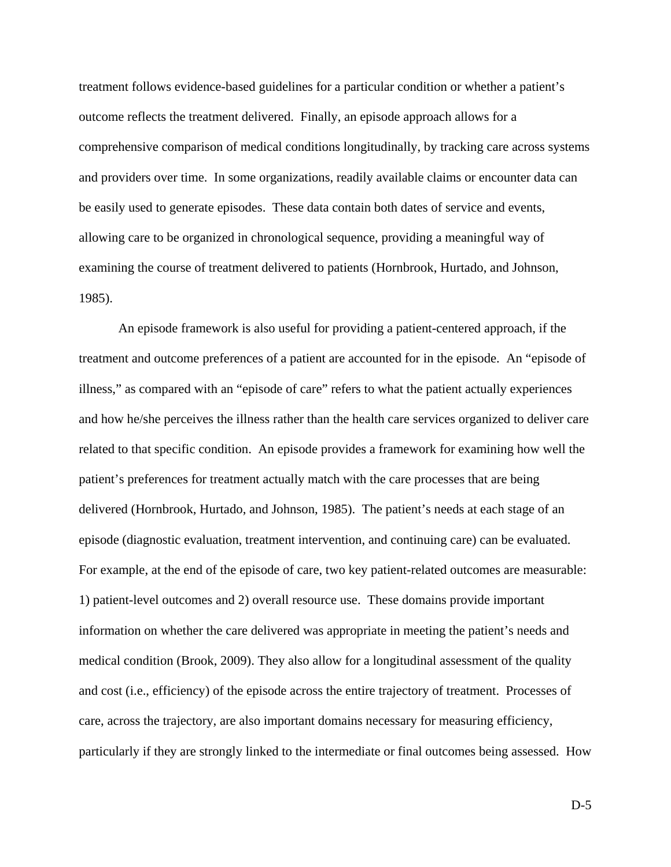treatment follows evidence-based guidelines for a particular condition or whether a patient's outcome reflects the treatment delivered. Finally, an episode approach allows for a comprehensive comparison of medical conditions longitudinally, by tracking care across systems and providers over time. In some organizations, readily available claims or encounter data can be easily used to generate episodes. These data contain both dates of service and events, allowing care to be organized in chronological sequence, providing a meaningful way of examining the course of treatment delivered to patients (Hornbrook, Hurtado, and Johnson, 1985).

An episode framework is also useful for providing a patient-centered approach, if the treatment and outcome preferences of a patient are accounted for in the episode. An "episode of illness," as compared with an "episode of care" refers to what the patient actually experiences and how he/she perceives the illness rather than the health care services organized to deliver care related to that specific condition. An episode provides a framework for examining how well the patient's preferences for treatment actually match with the care processes that are being delivered (Hornbrook, Hurtado, and Johnson, 1985). The patient's needs at each stage of an episode (diagnostic evaluation, treatment intervention, and continuing care) can be evaluated. For example, at the end of the episode of care, two key patient-related outcomes are measurable: 1) patient-level outcomes and 2) overall resource use. These domains provide important information on whether the care delivered was appropriate in meeting the patient's needs and medical condition (Brook, 2009). They also allow for a longitudinal assessment of the quality and cost (i.e., efficiency) of the episode across the entire trajectory of treatment. Processes of care, across the trajectory, are also important domains necessary for measuring efficiency, particularly if they are strongly linked to the intermediate or final outcomes being assessed. How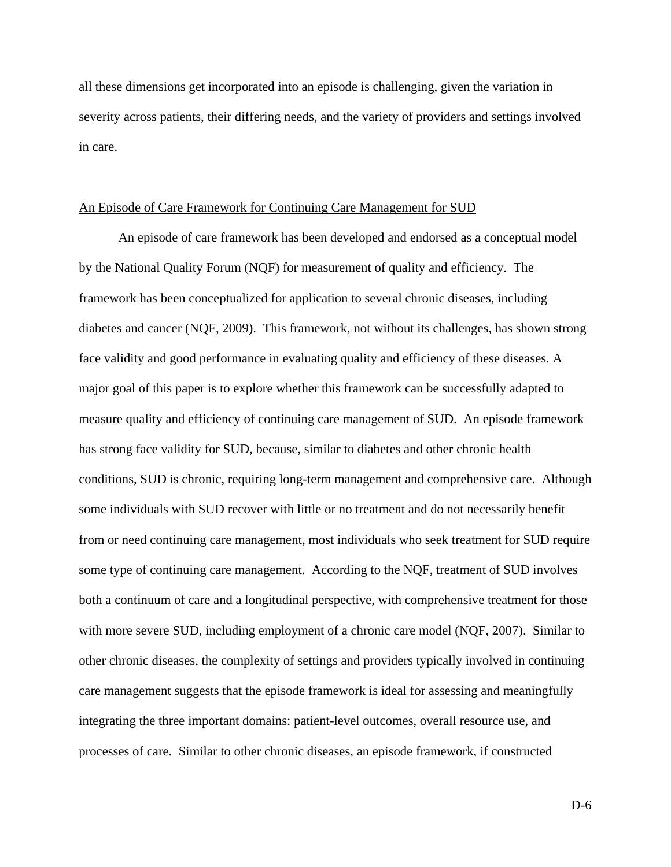all these dimensions get incorporated into an episode is challenging, given the variation in severity across patients, their differing needs, and the variety of providers and settings involved in care.

#### An Episode of Care Framework for Continuing Care Management for SUD

 An episode of care framework has been developed and endorsed as a conceptual model by the National Quality Forum (NQF) for measurement of quality and efficiency. The framework has been conceptualized for application to several chronic diseases, including diabetes and cancer (NQF, 2009). This framework, not without its challenges, has shown strong face validity and good performance in evaluating quality and efficiency of these diseases. A major goal of this paper is to explore whether this framework can be successfully adapted to measure quality and efficiency of continuing care management of SUD. An episode framework has strong face validity for SUD, because, similar to diabetes and other chronic health conditions, SUD is chronic, requiring long-term management and comprehensive care. Although some individuals with SUD recover with little or no treatment and do not necessarily benefit from or need continuing care management, most individuals who seek treatment for SUD require some type of continuing care management. According to the NQF, treatment of SUD involves both a continuum of care and a longitudinal perspective, with comprehensive treatment for those with more severe SUD, including employment of a chronic care model (NQF, 2007). Similar to other chronic diseases, the complexity of settings and providers typically involved in continuing care management suggests that the episode framework is ideal for assessing and meaningfully integrating the three important domains: patient-level outcomes, overall resource use, and processes of care. Similar to other chronic diseases, an episode framework, if constructed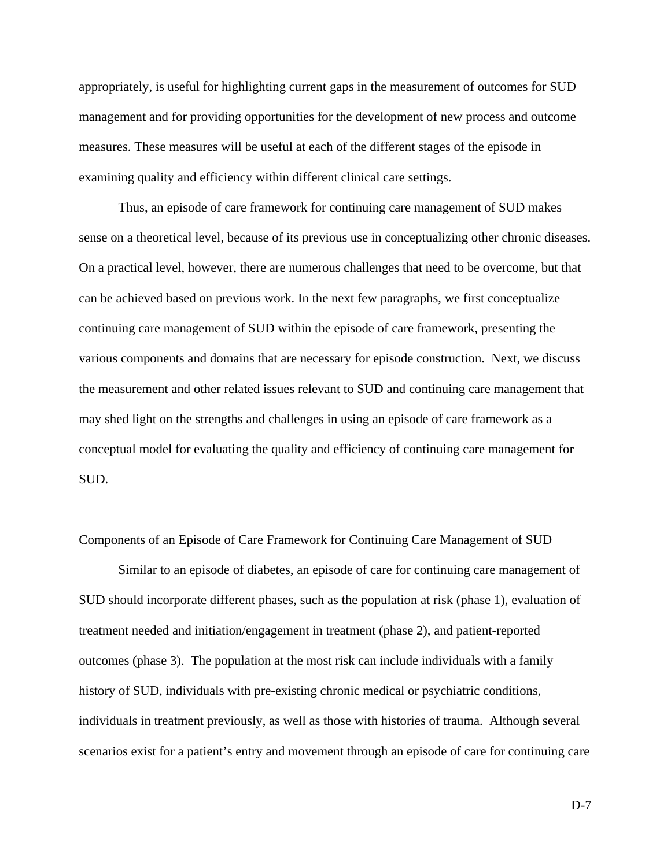appropriately, is useful for highlighting current gaps in the measurement of outcomes for SUD management and for providing opportunities for the development of new process and outcome measures. These measures will be useful at each of the different stages of the episode in examining quality and efficiency within different clinical care settings.

Thus, an episode of care framework for continuing care management of SUD makes sense on a theoretical level, because of its previous use in conceptualizing other chronic diseases. On a practical level, however, there are numerous challenges that need to be overcome, but that can be achieved based on previous work. In the next few paragraphs, we first conceptualize continuing care management of SUD within the episode of care framework, presenting the various components and domains that are necessary for episode construction. Next, we discuss the measurement and other related issues relevant to SUD and continuing care management that may shed light on the strengths and challenges in using an episode of care framework as a conceptual model for evaluating the quality and efficiency of continuing care management for SUD.

#### Components of an Episode of Care Framework for Continuing Care Management of SUD

Similar to an episode of diabetes, an episode of care for continuing care management of SUD should incorporate different phases, such as the population at risk (phase 1), evaluation of treatment needed and initiation/engagement in treatment (phase 2), and patient-reported outcomes (phase 3). The population at the most risk can include individuals with a family history of SUD, individuals with pre-existing chronic medical or psychiatric conditions, individuals in treatment previously, as well as those with histories of trauma. Although several scenarios exist for a patient's entry and movement through an episode of care for continuing care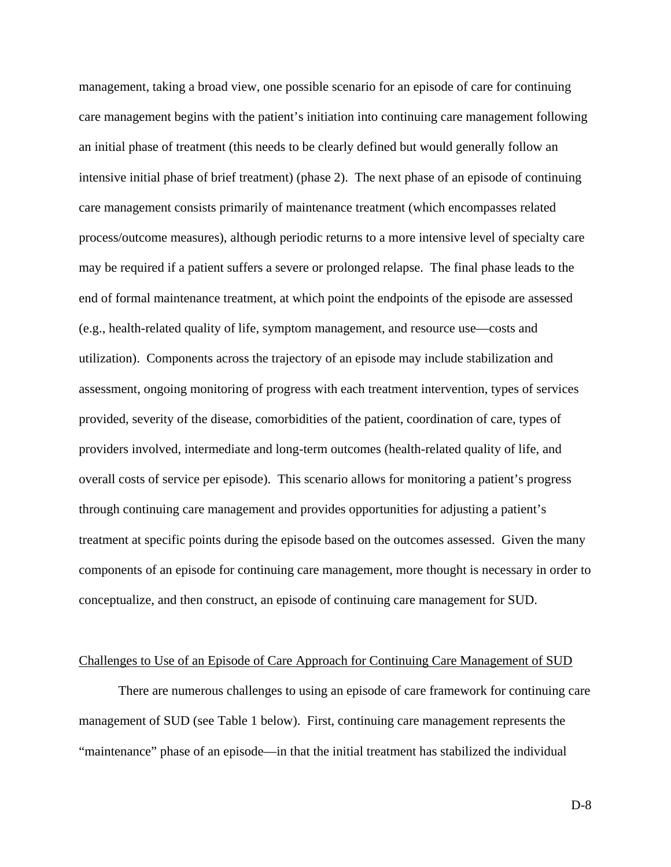management, taking a broad view, one possible scenario for an episode of care for continuing care management begins with the patient's initiation into continuing care management following an initial phase of treatment (this needs to be clearly defined but would generally follow an intensive initial phase of brief treatment) (phase 2). The next phase of an episode of continuing care management consists primarily of maintenance treatment (which encompasses related process/outcome measures), although periodic returns to a more intensive level of specialty care may be required if a patient suffers a severe or prolonged relapse. The final phase leads to the end of formal maintenance treatment, at which point the endpoints of the episode are assessed (e.g., health-related quality of life, symptom management, and resource use—costs and utilization). Components across the trajectory of an episode may include stabilization and assessment, ongoing monitoring of progress with each treatment intervention, types of services provided, severity of the disease, comorbidities of the patient, coordination of care, types of providers involved, intermediate and long-term outcomes (health-related quality of life, and overall costs of service per episode). This scenario allows for monitoring a patient's progress through continuing care management and provides opportunities for adjusting a patient's treatment at specific points during the episode based on the outcomes assessed. Given the many components of an episode for continuing care management, more thought is necessary in order to conceptualize, and then construct, an episode of continuing care management for SUD.

#### Challenges to Use of an Episode of Care Approach for Continuing Care Management of SUD

There are numerous challenges to using an episode of care framework for continuing care management of SUD (see Table 1 below). First, continuing care management represents the "maintenance" phase of an episode—in that the initial treatment has stabilized the individual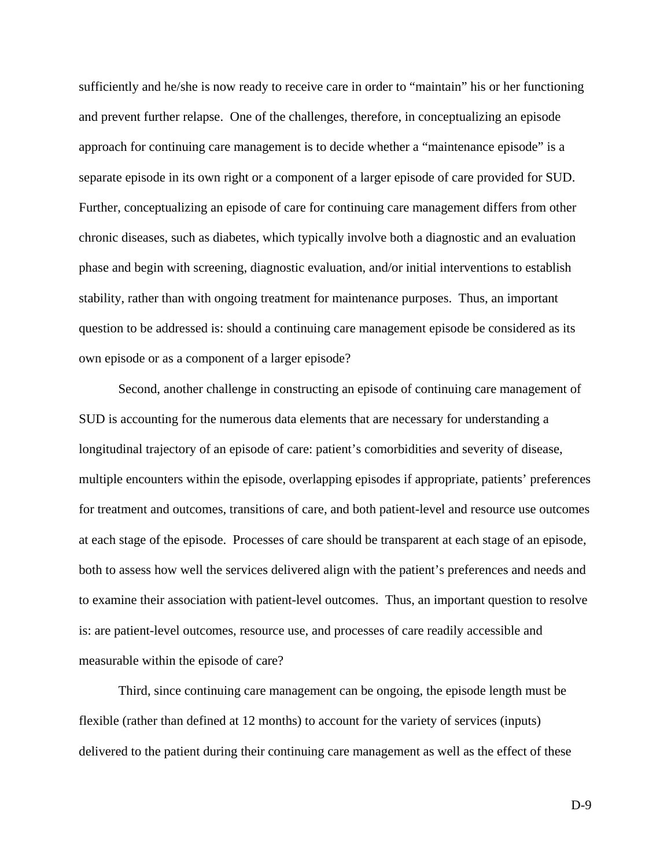sufficiently and he/she is now ready to receive care in order to "maintain" his or her functioning and prevent further relapse. One of the challenges, therefore, in conceptualizing an episode approach for continuing care management is to decide whether a "maintenance episode" is a separate episode in its own right or a component of a larger episode of care provided for SUD. Further, conceptualizing an episode of care for continuing care management differs from other chronic diseases, such as diabetes, which typically involve both a diagnostic and an evaluation phase and begin with screening, diagnostic evaluation, and/or initial interventions to establish stability, rather than with ongoing treatment for maintenance purposes. Thus, an important question to be addressed is: should a continuing care management episode be considered as its own episode or as a component of a larger episode?

 Second, another challenge in constructing an episode of continuing care management of SUD is accounting for the numerous data elements that are necessary for understanding a longitudinal trajectory of an episode of care: patient's comorbidities and severity of disease, multiple encounters within the episode, overlapping episodes if appropriate, patients' preferences for treatment and outcomes, transitions of care, and both patient-level and resource use outcomes at each stage of the episode. Processes of care should be transparent at each stage of an episode, both to assess how well the services delivered align with the patient's preferences and needs and to examine their association with patient-level outcomes. Thus, an important question to resolve is: are patient-level outcomes, resource use, and processes of care readily accessible and measurable within the episode of care?

Third, since continuing care management can be ongoing, the episode length must be flexible (rather than defined at 12 months) to account for the variety of services (inputs) delivered to the patient during their continuing care management as well as the effect of these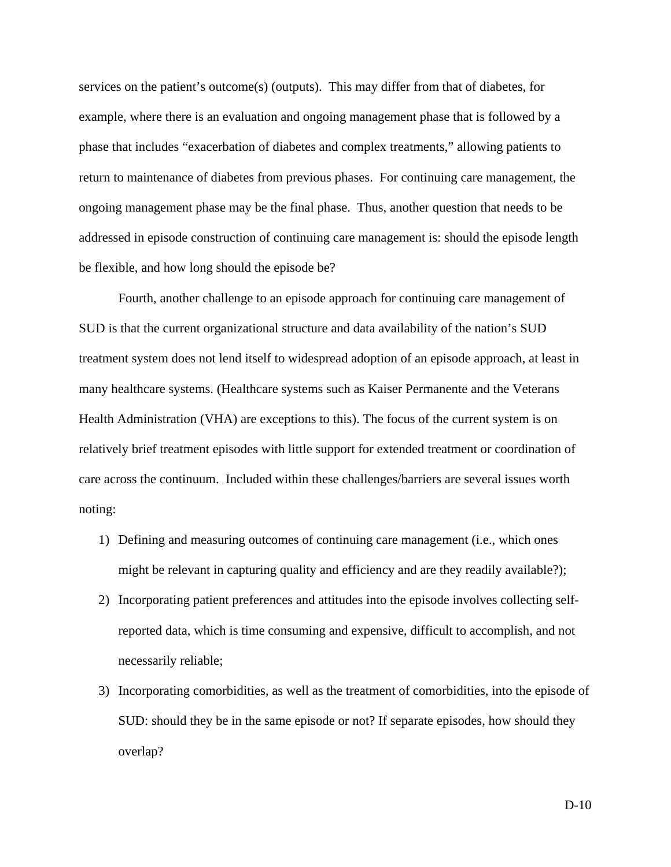services on the patient's outcome(s) (outputs). This may differ from that of diabetes, for example, where there is an evaluation and ongoing management phase that is followed by a phase that includes "exacerbation of diabetes and complex treatments," allowing patients to return to maintenance of diabetes from previous phases. For continuing care management, the ongoing management phase may be the final phase. Thus, another question that needs to be addressed in episode construction of continuing care management is: should the episode length be flexible, and how long should the episode be?

Fourth, another challenge to an episode approach for continuing care management of SUD is that the current organizational structure and data availability of the nation's SUD treatment system does not lend itself to widespread adoption of an episode approach, at least in many healthcare systems. (Healthcare systems such as Kaiser Permanente and the Veterans Health Administration (VHA) are exceptions to this). The focus of the current system is on relatively brief treatment episodes with little support for extended treatment or coordination of care across the continuum. Included within these challenges/barriers are several issues worth noting:

- 1) Defining and measuring outcomes of continuing care management (i.e., which ones might be relevant in capturing quality and efficiency and are they readily available?);
- 2) Incorporating patient preferences and attitudes into the episode involves collecting selfreported data, which is time consuming and expensive, difficult to accomplish, and not necessarily reliable;
- 3) Incorporating comorbidities, as well as the treatment of comorbidities, into the episode of SUD: should they be in the same episode or not? If separate episodes, how should they overlap?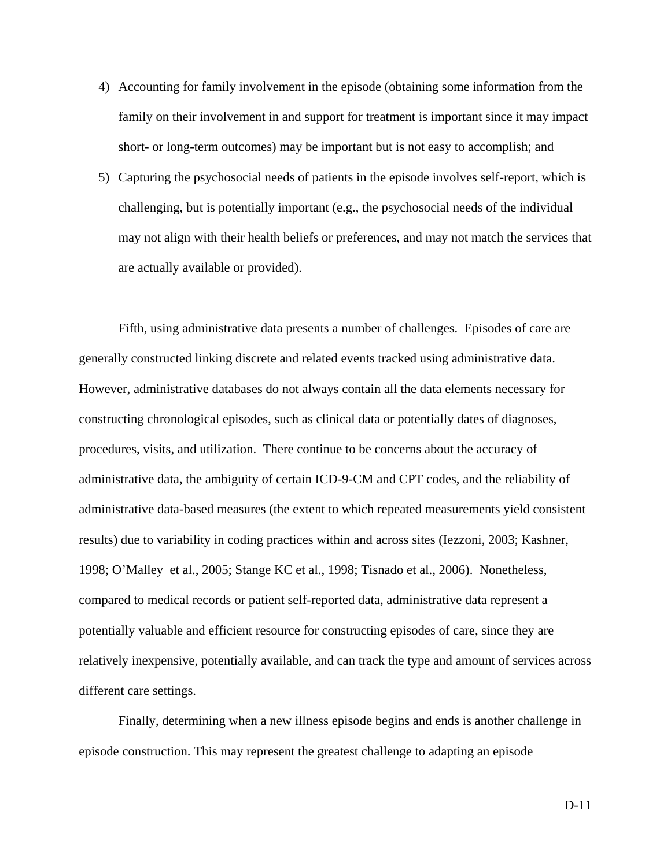- 4) Accounting for family involvement in the episode (obtaining some information from the family on their involvement in and support for treatment is important since it may impact short- or long-term outcomes) may be important but is not easy to accomplish; and
- 5) Capturing the psychosocial needs of patients in the episode involves self-report, which is challenging, but is potentially important (e.g., the psychosocial needs of the individual may not align with their health beliefs or preferences, and may not match the services that are actually available or provided).

Fifth, using administrative data presents a number of challenges. Episodes of care are generally constructed linking discrete and related events tracked using administrative data. However, administrative databases do not always contain all the data elements necessary for constructing chronological episodes, such as clinical data or potentially dates of diagnoses, procedures, visits, and utilization. There continue to be concerns about the accuracy of administrative data, the ambiguity of certain ICD-9-CM and CPT codes, and the reliability of administrative data-based measures (the extent to which repeated measurements yield consistent results) due to variability in coding practices within and across sites (Iezzoni, 2003; Kashner, 1998; O'Malley et al., 2005; Stange KC et al., 1998; Tisnado et al., 2006). Nonetheless, compared to medical records or patient self-reported data, administrative data represent a potentially valuable and efficient resource for constructing episodes of care, since they are relatively inexpensive, potentially available, and can track the type and amount of services across different care settings.

Finally, determining when a new illness episode begins and ends is another challenge in episode construction. This may represent the greatest challenge to adapting an episode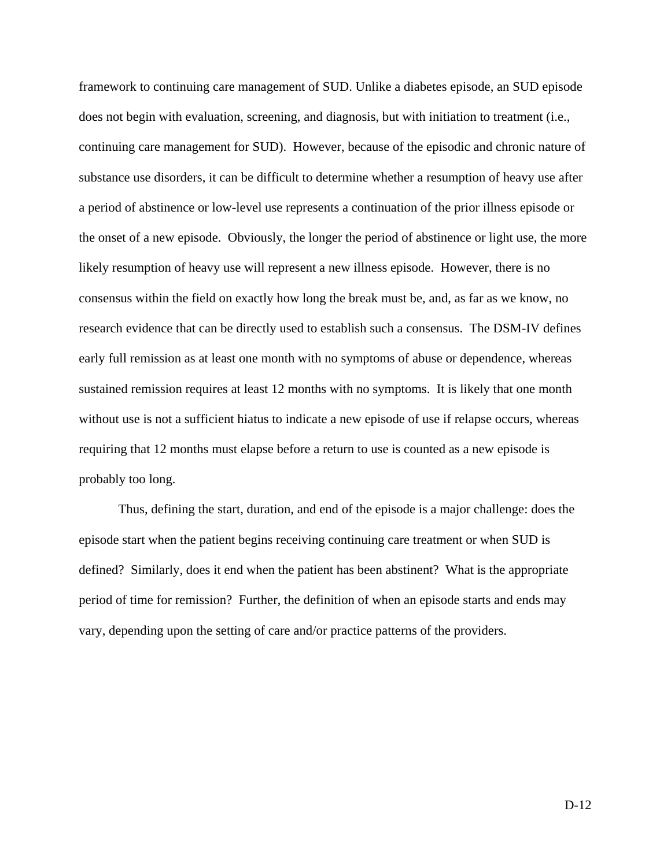framework to continuing care management of SUD. Unlike a diabetes episode, an SUD episode does not begin with evaluation, screening, and diagnosis, but with initiation to treatment (i.e., continuing care management for SUD). However, because of the episodic and chronic nature of substance use disorders, it can be difficult to determine whether a resumption of heavy use after a period of abstinence or low-level use represents a continuation of the prior illness episode or the onset of a new episode. Obviously, the longer the period of abstinence or light use, the more likely resumption of heavy use will represent a new illness episode. However, there is no consensus within the field on exactly how long the break must be, and, as far as we know, no research evidence that can be directly used to establish such a consensus. The DSM-IV defines early full remission as at least one month with no symptoms of abuse or dependence, whereas sustained remission requires at least 12 months with no symptoms. It is likely that one month without use is not a sufficient hiatus to indicate a new episode of use if relapse occurs, whereas requiring that 12 months must elapse before a return to use is counted as a new episode is probably too long.

Thus, defining the start, duration, and end of the episode is a major challenge: does the episode start when the patient begins receiving continuing care treatment or when SUD is defined? Similarly, does it end when the patient has been abstinent? What is the appropriate period of time for remission? Further, the definition of when an episode starts and ends may vary, depending upon the setting of care and/or practice patterns of the providers.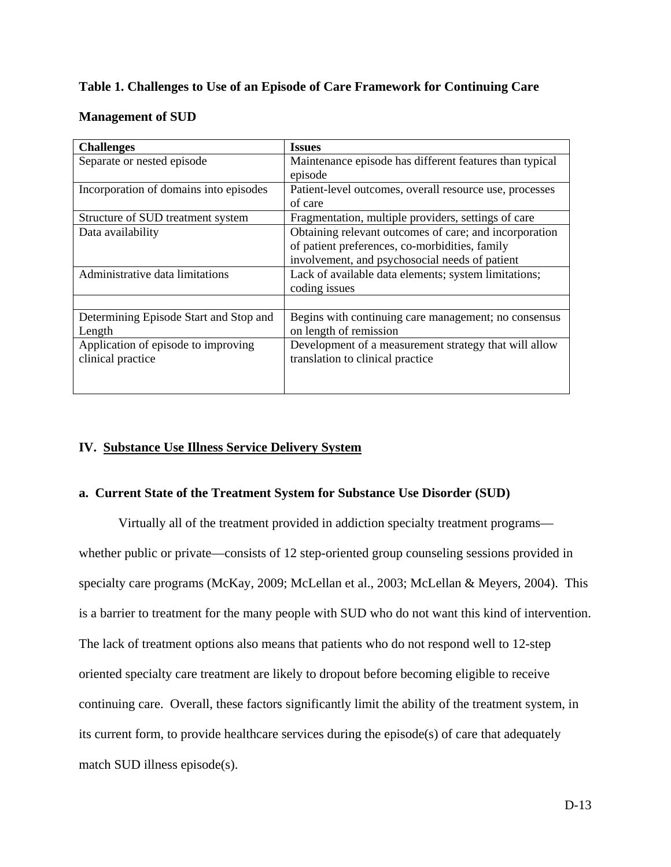### **Table 1. Challenges to Use of an Episode of Care Framework for Continuing Care**

### **Management of SUD**

| <b>Challenges</b>                                        | <b>Issues</b>                                                                                                                                              |
|----------------------------------------------------------|------------------------------------------------------------------------------------------------------------------------------------------------------------|
| Separate or nested episode                               | Maintenance episode has different features than typical<br>episode                                                                                         |
| Incorporation of domains into episodes                   | Patient-level outcomes, overall resource use, processes<br>of care                                                                                         |
| Structure of SUD treatment system                        | Fragmentation, multiple providers, settings of care                                                                                                        |
| Data availability                                        | Obtaining relevant outcomes of care; and incorporation<br>of patient preferences, co-morbidities, family<br>involvement, and psychosocial needs of patient |
| Administrative data limitations                          | Lack of available data elements; system limitations;<br>coding issues                                                                                      |
|                                                          |                                                                                                                                                            |
| Determining Episode Start and Stop and<br>Length         | Begins with continuing care management; no consensus<br>on length of remission                                                                             |
| Application of episode to improving<br>clinical practice | Development of a measurement strategy that will allow<br>translation to clinical practice                                                                  |

### **IV. Substance Use Illness Service Delivery System**

### **a. Current State of the Treatment System for Substance Use Disorder (SUD)**

 Virtually all of the treatment provided in addiction specialty treatment programs whether public or private—consists of 12 step-oriented group counseling sessions provided in specialty care programs (McKay, 2009; McLellan et al., 2003; McLellan & Meyers, 2004). This is a barrier to treatment for the many people with SUD who do not want this kind of intervention. The lack of treatment options also means that patients who do not respond well to 12-step oriented specialty care treatment are likely to dropout before becoming eligible to receive continuing care. Overall, these factors significantly limit the ability of the treatment system, in its current form, to provide healthcare services during the episode(s) of care that adequately match SUD illness episode(s).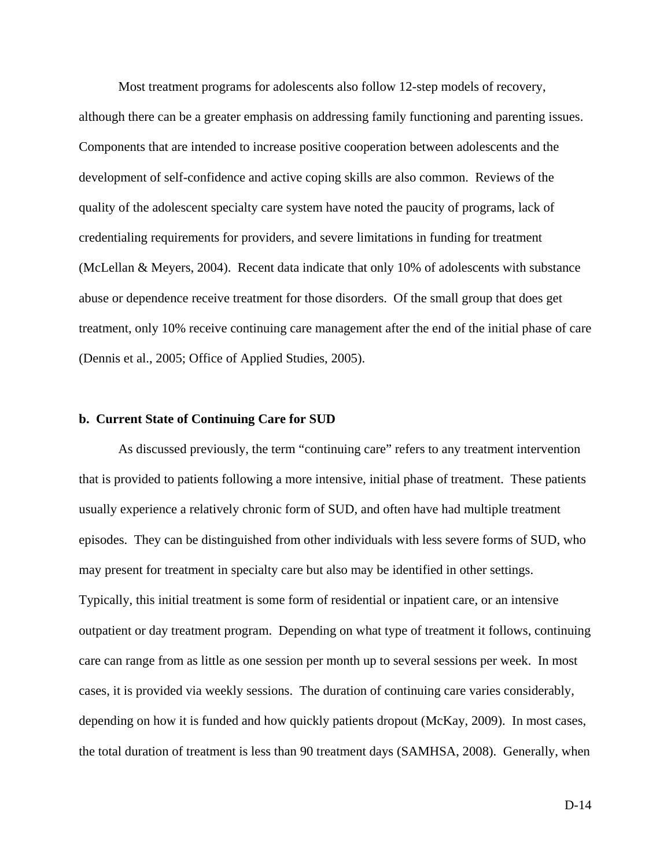Most treatment programs for adolescents also follow 12-step models of recovery, although there can be a greater emphasis on addressing family functioning and parenting issues. Components that are intended to increase positive cooperation between adolescents and the development of self-confidence and active coping skills are also common. Reviews of the quality of the adolescent specialty care system have noted the paucity of programs, lack of credentialing requirements for providers, and severe limitations in funding for treatment (McLellan & Meyers, 2004). Recent data indicate that only 10% of adolescents with substance abuse or dependence receive treatment for those disorders. Of the small group that does get treatment, only 10% receive continuing care management after the end of the initial phase of care (Dennis et al., 2005; Office of Applied Studies, 2005).

#### **b. Current State of Continuing Care for SUD**

 As discussed previously, the term "continuing care" refers to any treatment intervention that is provided to patients following a more intensive, initial phase of treatment. These patients usually experience a relatively chronic form of SUD, and often have had multiple treatment episodes. They can be distinguished from other individuals with less severe forms of SUD, who may present for treatment in specialty care but also may be identified in other settings. Typically, this initial treatment is some form of residential or inpatient care, or an intensive outpatient or day treatment program. Depending on what type of treatment it follows, continuing care can range from as little as one session per month up to several sessions per week. In most cases, it is provided via weekly sessions. The duration of continuing care varies considerably, depending on how it is funded and how quickly patients dropout (McKay, 2009). In most cases, the total duration of treatment is less than 90 treatment days (SAMHSA, 2008). Generally, when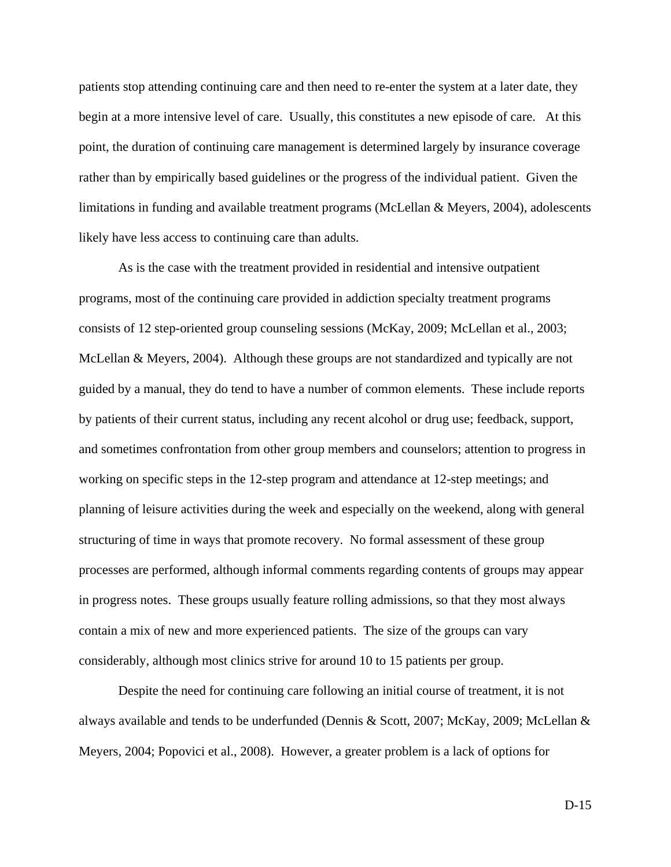patients stop attending continuing care and then need to re-enter the system at a later date, they begin at a more intensive level of care. Usually, this constitutes a new episode of care. At this point, the duration of continuing care management is determined largely by insurance coverage rather than by empirically based guidelines or the progress of the individual patient. Given the limitations in funding and available treatment programs (McLellan & Meyers, 2004), adolescents likely have less access to continuing care than adults.

 As is the case with the treatment provided in residential and intensive outpatient programs, most of the continuing care provided in addiction specialty treatment programs consists of 12 step-oriented group counseling sessions (McKay, 2009; McLellan et al., 2003; McLellan & Meyers, 2004). Although these groups are not standardized and typically are not guided by a manual, they do tend to have a number of common elements. These include reports by patients of their current status, including any recent alcohol or drug use; feedback, support, and sometimes confrontation from other group members and counselors; attention to progress in working on specific steps in the 12-step program and attendance at 12-step meetings; and planning of leisure activities during the week and especially on the weekend, along with general structuring of time in ways that promote recovery. No formal assessment of these group processes are performed, although informal comments regarding contents of groups may appear in progress notes. These groups usually feature rolling admissions, so that they most always contain a mix of new and more experienced patients. The size of the groups can vary considerably, although most clinics strive for around 10 to 15 patients per group.

 Despite the need for continuing care following an initial course of treatment, it is not always available and tends to be underfunded (Dennis & Scott, 2007; McKay, 2009; McLellan & Meyers, 2004; Popovici et al., 2008). However, a greater problem is a lack of options for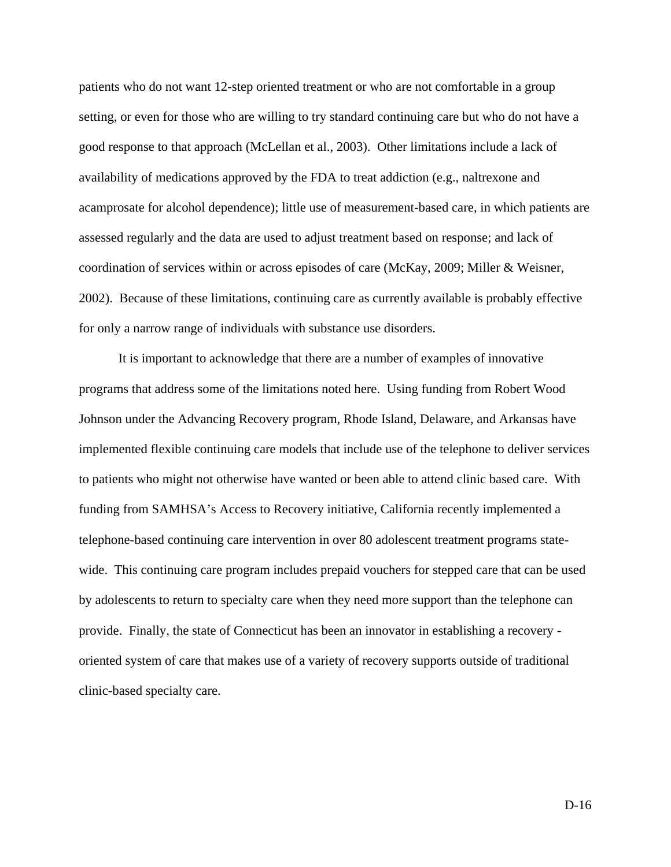patients who do not want 12-step oriented treatment or who are not comfortable in a group setting, or even for those who are willing to try standard continuing care but who do not have a good response to that approach (McLellan et al., 2003). Other limitations include a lack of availability of medications approved by the FDA to treat addiction (e.g., naltrexone and acamprosate for alcohol dependence); little use of measurement-based care, in which patients are assessed regularly and the data are used to adjust treatment based on response; and lack of coordination of services within or across episodes of care (McKay, 2009; Miller & Weisner, 2002). Because of these limitations, continuing care as currently available is probably effective for only a narrow range of individuals with substance use disorders.

 It is important to acknowledge that there are a number of examples of innovative programs that address some of the limitations noted here. Using funding from Robert Wood Johnson under the Advancing Recovery program, Rhode Island, Delaware, and Arkansas have implemented flexible continuing care models that include use of the telephone to deliver services to patients who might not otherwise have wanted or been able to attend clinic based care. With funding from SAMHSA's Access to Recovery initiative, California recently implemented a telephone-based continuing care intervention in over 80 adolescent treatment programs statewide. This continuing care program includes prepaid vouchers for stepped care that can be used by adolescents to return to specialty care when they need more support than the telephone can provide. Finally, the state of Connecticut has been an innovator in establishing a recovery oriented system of care that makes use of a variety of recovery supports outside of traditional clinic-based specialty care.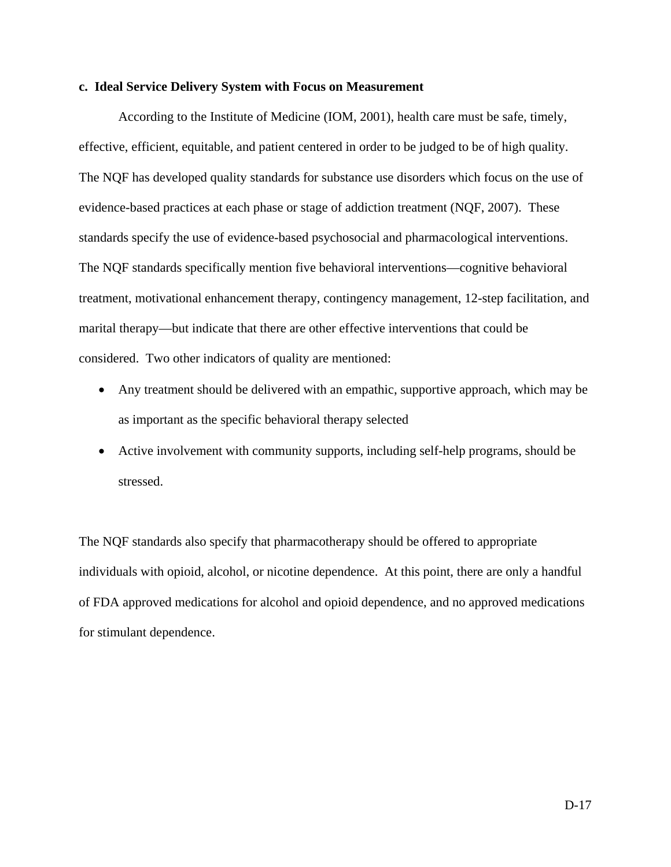#### **c. Ideal Service Delivery System with Focus on Measurement**

 According to the Institute of Medicine (IOM, 2001), health care must be safe, timely, effective, efficient, equitable, and patient centered in order to be judged to be of high quality. The NQF has developed quality standards for substance use disorders which focus on the use of evidence-based practices at each phase or stage of addiction treatment (NQF, 2007). These standards specify the use of evidence-based psychosocial and pharmacological interventions. The NQF standards specifically mention five behavioral interventions—cognitive behavioral treatment, motivational enhancement therapy, contingency management, 12-step facilitation, and marital therapy—but indicate that there are other effective interventions that could be considered. Two other indicators of quality are mentioned:

- Any treatment should be delivered with an empathic, supportive approach, which may be as important as the specific behavioral therapy selected
- Active involvement with community supports, including self-help programs, should be stressed.

The NQF standards also specify that pharmacotherapy should be offered to appropriate individuals with opioid, alcohol, or nicotine dependence. At this point, there are only a handful of FDA approved medications for alcohol and opioid dependence, and no approved medications for stimulant dependence.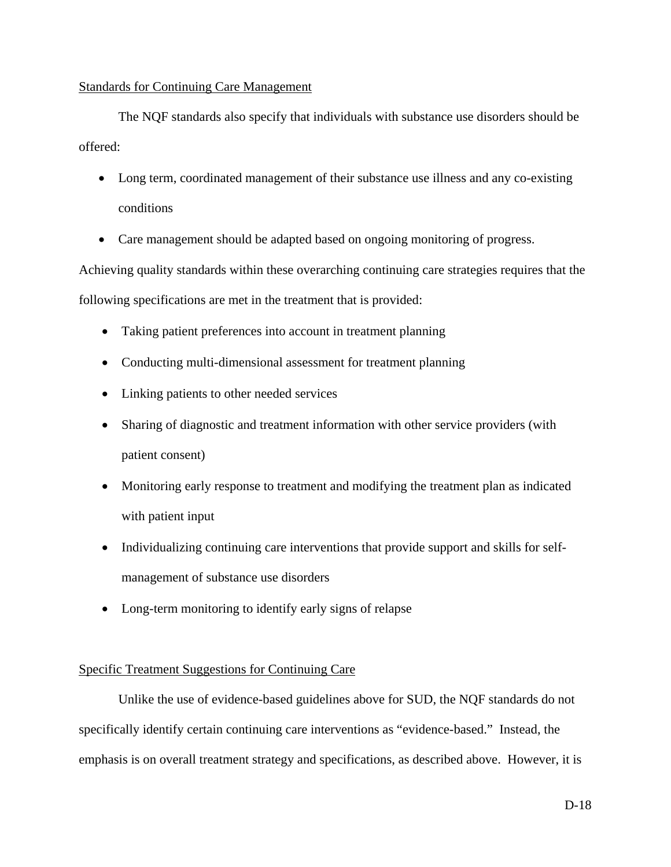# Standards for Continuing Care Management

 The NQF standards also specify that individuals with substance use disorders should be offered:

- Long term, coordinated management of their substance use illness and any co-existing conditions
- Care management should be adapted based on ongoing monitoring of progress.

Achieving quality standards within these overarching continuing care strategies requires that the following specifications are met in the treatment that is provided:

- Taking patient preferences into account in treatment planning
- Conducting multi-dimensional assessment for treatment planning
- Linking patients to other needed services
- Sharing of diagnostic and treatment information with other service providers (with patient consent)
- Monitoring early response to treatment and modifying the treatment plan as indicated with patient input
- Individualizing continuing care interventions that provide support and skills for selfmanagement of substance use disorders
- Long-term monitoring to identify early signs of relapse

# Specific Treatment Suggestions for Continuing Care

 Unlike the use of evidence-based guidelines above for SUD, the NQF standards do not specifically identify certain continuing care interventions as "evidence-based." Instead, the emphasis is on overall treatment strategy and specifications, as described above. However, it is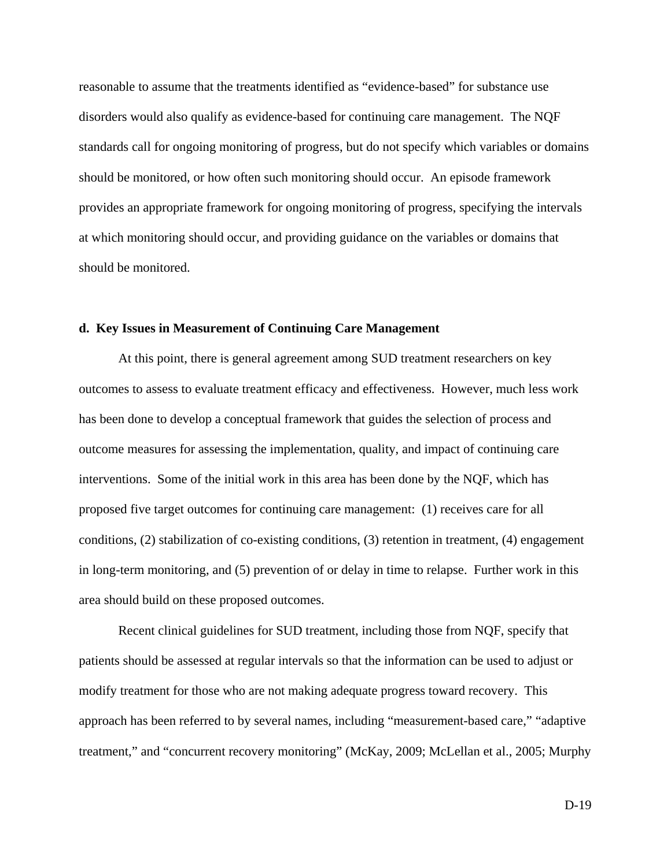reasonable to assume that the treatments identified as "evidence-based" for substance use disorders would also qualify as evidence-based for continuing care management. The NQF standards call for ongoing monitoring of progress, but do not specify which variables or domains should be monitored, or how often such monitoring should occur. An episode framework provides an appropriate framework for ongoing monitoring of progress, specifying the intervals at which monitoring should occur, and providing guidance on the variables or domains that should be monitored.

#### **d. Key Issues in Measurement of Continuing Care Management**

 At this point, there is general agreement among SUD treatment researchers on key outcomes to assess to evaluate treatment efficacy and effectiveness. However, much less work has been done to develop a conceptual framework that guides the selection of process and outcome measures for assessing the implementation, quality, and impact of continuing care interventions. Some of the initial work in this area has been done by the NQF, which has proposed five target outcomes for continuing care management: (1) receives care for all conditions, (2) stabilization of co-existing conditions, (3) retention in treatment, (4) engagement in long-term monitoring, and (5) prevention of or delay in time to relapse. Further work in this area should build on these proposed outcomes.

 Recent clinical guidelines for SUD treatment, including those from NQF, specify that patients should be assessed at regular intervals so that the information can be used to adjust or modify treatment for those who are not making adequate progress toward recovery. This approach has been referred to by several names, including "measurement-based care," "adaptive treatment," and "concurrent recovery monitoring" (McKay, 2009; McLellan et al., 2005; Murphy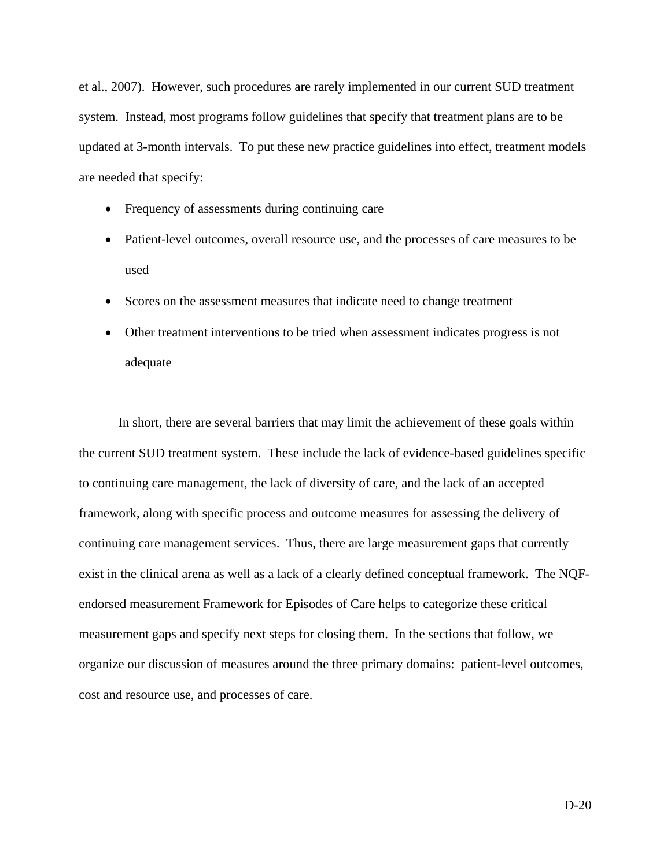et al., 2007). However, such procedures are rarely implemented in our current SUD treatment system. Instead, most programs follow guidelines that specify that treatment plans are to be updated at 3-month intervals. To put these new practice guidelines into effect, treatment models are needed that specify:

- Frequency of assessments during continuing care
- Patient-level outcomes, overall resource use, and the processes of care measures to be used
- Scores on the assessment measures that indicate need to change treatment
- Other treatment interventions to be tried when assessment indicates progress is not adequate

In short, there are several barriers that may limit the achievement of these goals within the current SUD treatment system. These include the lack of evidence-based guidelines specific to continuing care management, the lack of diversity of care, and the lack of an accepted framework, along with specific process and outcome measures for assessing the delivery of continuing care management services. Thus, there are large measurement gaps that currently exist in the clinical arena as well as a lack of a clearly defined conceptual framework. The NQFendorsed measurement Framework for Episodes of Care helps to categorize these critical measurement gaps and specify next steps for closing them. In the sections that follow, we organize our discussion of measures around the three primary domains: patient-level outcomes, cost and resource use, and processes of care.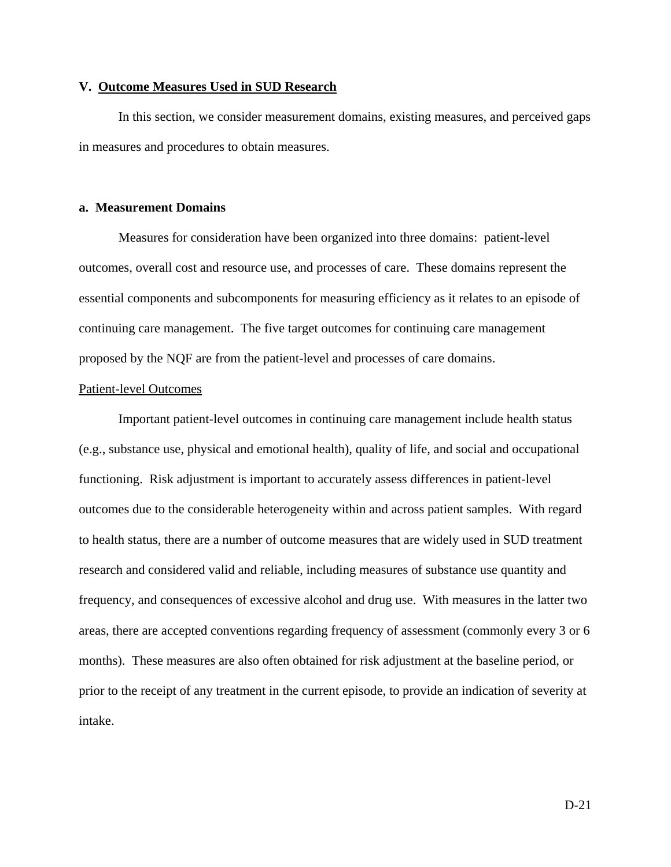### **V. Outcome Measures Used in SUD Research**

 In this section, we consider measurement domains, existing measures, and perceived gaps in measures and procedures to obtain measures.

#### **a. Measurement Domains**

 Measures for consideration have been organized into three domains: patient-level outcomes, overall cost and resource use, and processes of care. These domains represent the essential components and subcomponents for measuring efficiency as it relates to an episode of continuing care management. The five target outcomes for continuing care management proposed by the NQF are from the patient-level and processes of care domains.

#### Patient-level Outcomes

 Important patient-level outcomes in continuing care management include health status (e.g., substance use, physical and emotional health), quality of life, and social and occupational functioning. Risk adjustment is important to accurately assess differences in patient-level outcomes due to the considerable heterogeneity within and across patient samples. With regard to health status, there are a number of outcome measures that are widely used in SUD treatment research and considered valid and reliable, including measures of substance use quantity and frequency, and consequences of excessive alcohol and drug use. With measures in the latter two areas, there are accepted conventions regarding frequency of assessment (commonly every 3 or 6 months). These measures are also often obtained for risk adjustment at the baseline period, or prior to the receipt of any treatment in the current episode, to provide an indication of severity at intake.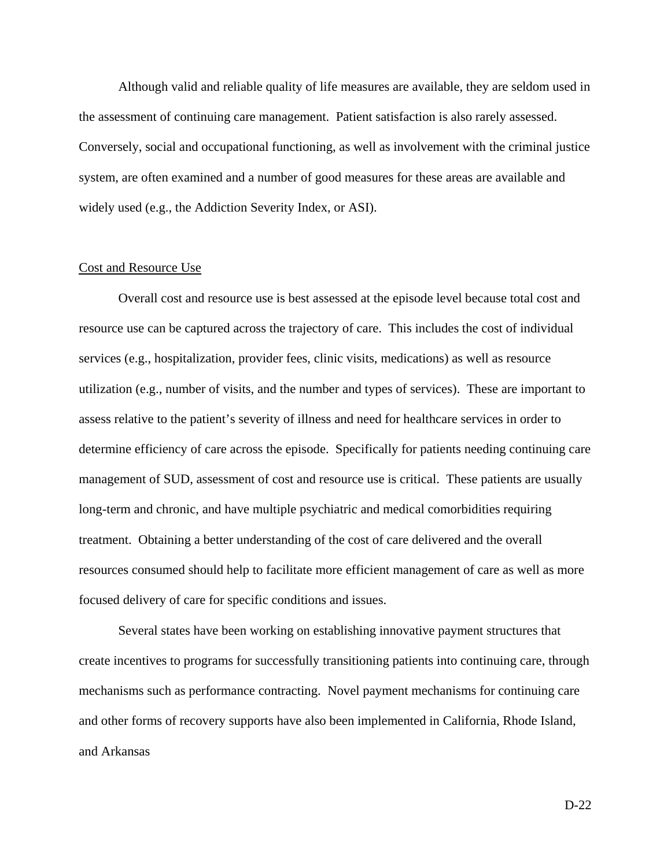Although valid and reliable quality of life measures are available, they are seldom used in the assessment of continuing care management. Patient satisfaction is also rarely assessed. Conversely, social and occupational functioning, as well as involvement with the criminal justice system, are often examined and a number of good measures for these areas are available and widely used (e.g., the Addiction Severity Index, or ASI).

#### Cost and Resource Use

 Overall cost and resource use is best assessed at the episode level because total cost and resource use can be captured across the trajectory of care. This includes the cost of individual services (e.g., hospitalization, provider fees, clinic visits, medications) as well as resource utilization (e.g., number of visits, and the number and types of services). These are important to assess relative to the patient's severity of illness and need for healthcare services in order to determine efficiency of care across the episode. Specifically for patients needing continuing care management of SUD, assessment of cost and resource use is critical. These patients are usually long-term and chronic, and have multiple psychiatric and medical comorbidities requiring treatment. Obtaining a better understanding of the cost of care delivered and the overall resources consumed should help to facilitate more efficient management of care as well as more focused delivery of care for specific conditions and issues.

 Several states have been working on establishing innovative payment structures that create incentives to programs for successfully transitioning patients into continuing care, through mechanisms such as performance contracting. Novel payment mechanisms for continuing care and other forms of recovery supports have also been implemented in California, Rhode Island, and Arkansas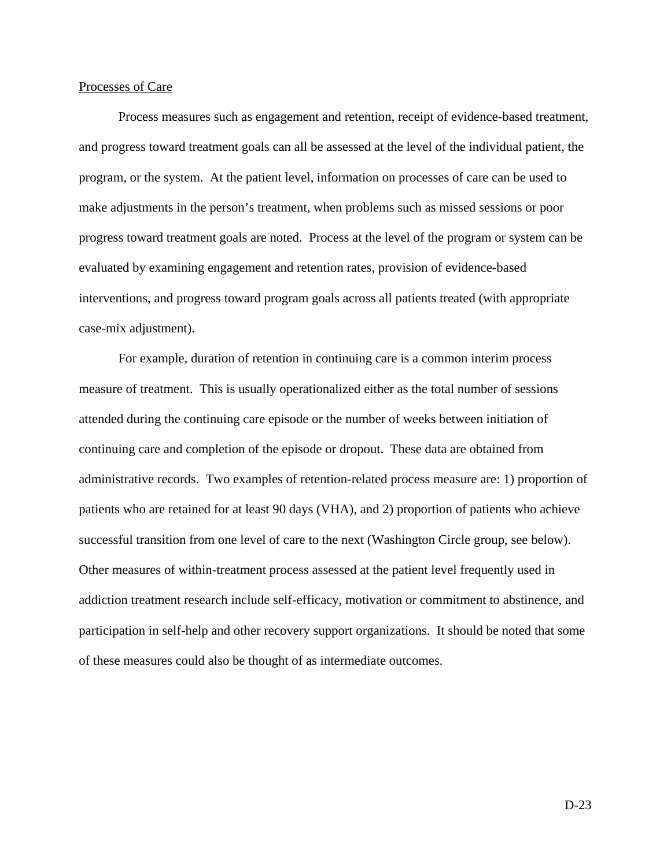#### Processes of Care

 Process measures such as engagement and retention, receipt of evidence-based treatment, and progress toward treatment goals can all be assessed at the level of the individual patient, the program, or the system. At the patient level, information on processes of care can be used to make adjustments in the person's treatment, when problems such as missed sessions or poor progress toward treatment goals are noted. Process at the level of the program or system can be evaluated by examining engagement and retention rates, provision of evidence-based interventions, and progress toward program goals across all patients treated (with appropriate case-mix adjustment).

 For example, duration of retention in continuing care is a common interim process measure of treatment. This is usually operationalized either as the total number of sessions attended during the continuing care episode or the number of weeks between initiation of continuing care and completion of the episode or dropout. These data are obtained from administrative records. Two examples of retention-related process measure are: 1) proportion of patients who are retained for at least 90 days (VHA), and 2) proportion of patients who achieve successful transition from one level of care to the next (Washington Circle group, see below). Other measures of within-treatment process assessed at the patient level frequently used in addiction treatment research include self-efficacy, motivation or commitment to abstinence, and participation in self-help and other recovery support organizations. It should be noted that some of these measures could also be thought of as intermediate outcomes.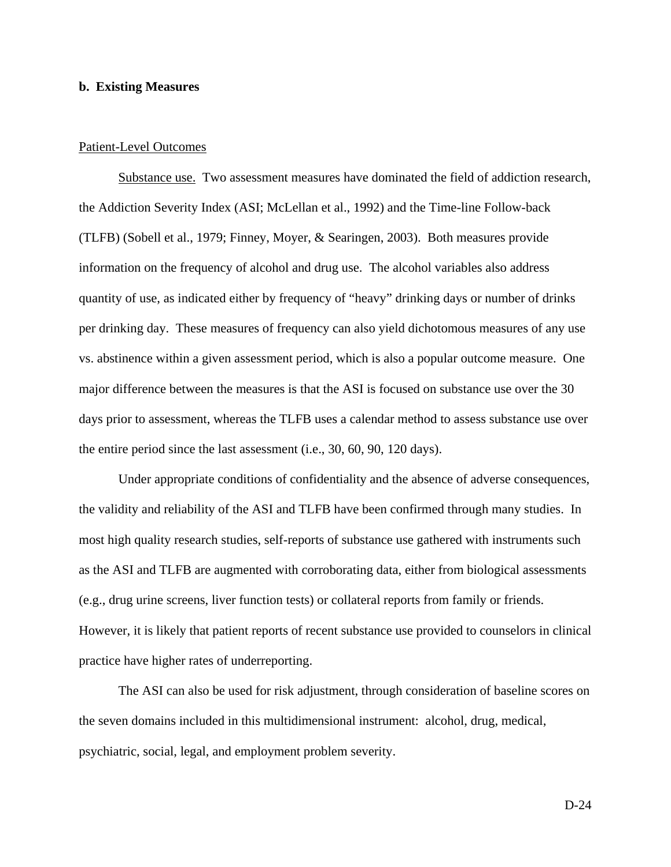#### **b. Existing Measures**

#### Patient-Level Outcomes

Substance use. Two assessment measures have dominated the field of addiction research, the Addiction Severity Index (ASI; McLellan et al., 1992) and the Time-line Follow-back (TLFB) (Sobell et al., 1979; Finney, Moyer, & Searingen, 2003). Both measures provide information on the frequency of alcohol and drug use. The alcohol variables also address quantity of use, as indicated either by frequency of "heavy" drinking days or number of drinks per drinking day. These measures of frequency can also yield dichotomous measures of any use vs. abstinence within a given assessment period, which is also a popular outcome measure. One major difference between the measures is that the ASI is focused on substance use over the 30 days prior to assessment, whereas the TLFB uses a calendar method to assess substance use over the entire period since the last assessment (i.e., 30, 60, 90, 120 days).

 Under appropriate conditions of confidentiality and the absence of adverse consequences, the validity and reliability of the ASI and TLFB have been confirmed through many studies. In most high quality research studies, self-reports of substance use gathered with instruments such as the ASI and TLFB are augmented with corroborating data, either from biological assessments (e.g., drug urine screens, liver function tests) or collateral reports from family or friends. However, it is likely that patient reports of recent substance use provided to counselors in clinical practice have higher rates of underreporting.

 The ASI can also be used for risk adjustment, through consideration of baseline scores on the seven domains included in this multidimensional instrument: alcohol, drug, medical, psychiatric, social, legal, and employment problem severity.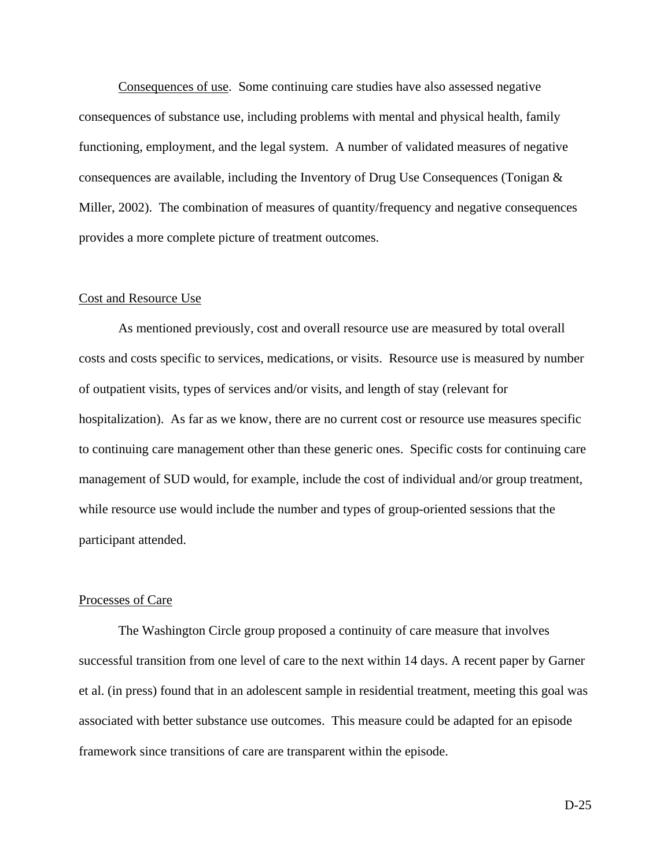Consequences of use. Some continuing care studies have also assessed negative consequences of substance use, including problems with mental and physical health, family functioning, employment, and the legal system. A number of validated measures of negative consequences are available, including the Inventory of Drug Use Consequences (Tonigan & Miller, 2002). The combination of measures of quantity/frequency and negative consequences provides a more complete picture of treatment outcomes.

#### Cost and Resource Use

 As mentioned previously, cost and overall resource use are measured by total overall costs and costs specific to services, medications, or visits. Resource use is measured by number of outpatient visits, types of services and/or visits, and length of stay (relevant for hospitalization). As far as we know, there are no current cost or resource use measures specific to continuing care management other than these generic ones. Specific costs for continuing care management of SUD would, for example, include the cost of individual and/or group treatment, while resource use would include the number and types of group-oriented sessions that the participant attended.

#### Processes of Care

 The Washington Circle group proposed a continuity of care measure that involves successful transition from one level of care to the next within 14 days. A recent paper by Garner et al. (in press) found that in an adolescent sample in residential treatment, meeting this goal was associated with better substance use outcomes. This measure could be adapted for an episode framework since transitions of care are transparent within the episode.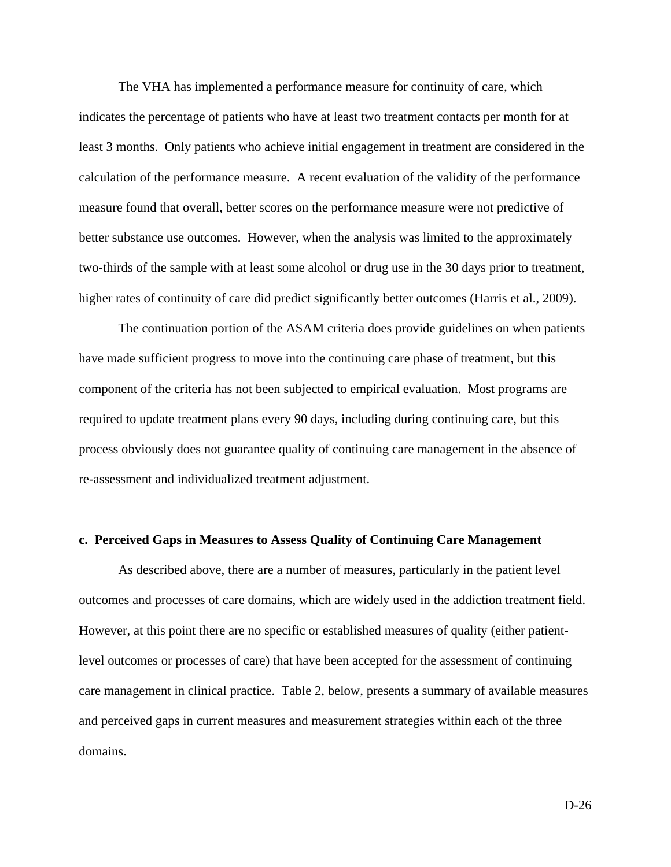The VHA has implemented a performance measure for continuity of care, which indicates the percentage of patients who have at least two treatment contacts per month for at least 3 months. Only patients who achieve initial engagement in treatment are considered in the calculation of the performance measure. A recent evaluation of the validity of the performance measure found that overall, better scores on the performance measure were not predictive of better substance use outcomes. However, when the analysis was limited to the approximately two-thirds of the sample with at least some alcohol or drug use in the 30 days prior to treatment, higher rates of continuity of care did predict significantly better outcomes (Harris et al., 2009).

 The continuation portion of the ASAM criteria does provide guidelines on when patients have made sufficient progress to move into the continuing care phase of treatment, but this component of the criteria has not been subjected to empirical evaluation. Most programs are required to update treatment plans every 90 days, including during continuing care, but this process obviously does not guarantee quality of continuing care management in the absence of re-assessment and individualized treatment adjustment.

#### **c. Perceived Gaps in Measures to Assess Quality of Continuing Care Management**

 As described above, there are a number of measures, particularly in the patient level outcomes and processes of care domains, which are widely used in the addiction treatment field. However, at this point there are no specific or established measures of quality (either patientlevel outcomes or processes of care) that have been accepted for the assessment of continuing care management in clinical practice. Table 2, below, presents a summary of available measures and perceived gaps in current measures and measurement strategies within each of the three domains.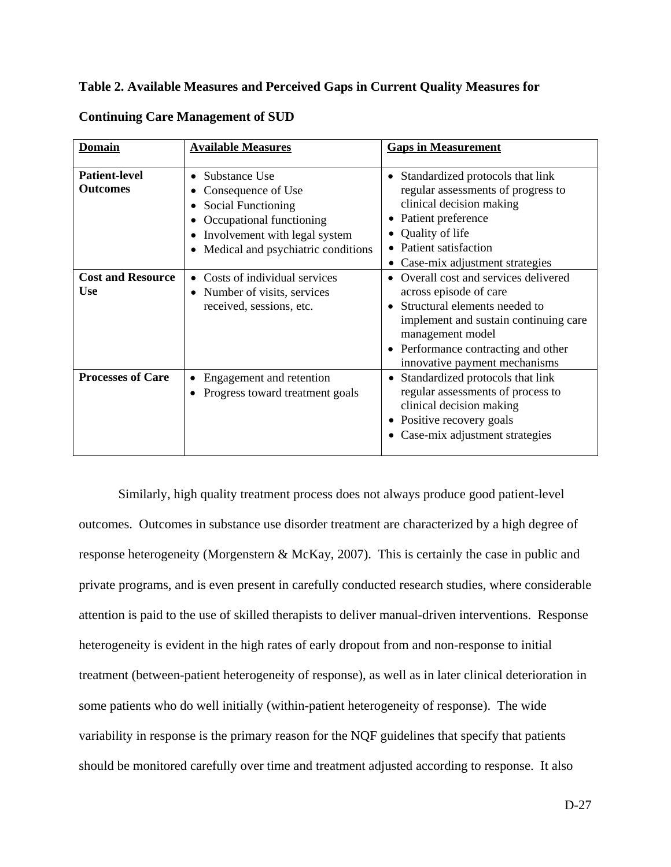## **Table 2. Available Measures and Perceived Gaps in Current Quality Measures for**

| <b>Domain</b>                           | <b>Available Measures</b>                                                                                                                                                        | <b>Gaps in Measurement</b>                                                                                                                                                                                                        |  |  |
|-----------------------------------------|----------------------------------------------------------------------------------------------------------------------------------------------------------------------------------|-----------------------------------------------------------------------------------------------------------------------------------------------------------------------------------------------------------------------------------|--|--|
| <b>Patient-level</b><br><b>Outcomes</b> | Substance Use<br>$\bullet$<br>Consequence of Use<br><b>Social Functioning</b><br>Occupational functioning<br>Involvement with legal system<br>Medical and psychiatric conditions | Standardized protocols that link<br>$\bullet$<br>regular assessments of progress to<br>clinical decision making<br>Patient preference<br>Quality of life<br>Patient satisfaction<br>Case-mix adjustment strategies                |  |  |
| <b>Cost and Resource</b><br><b>Use</b>  | Costs of individual services<br>• Number of visits, services<br>received, sessions, etc.                                                                                         | Overall cost and services delivered<br>across episode of care<br>Structural elements needed to<br>implement and sustain continuing care<br>management model<br>Performance contracting and other<br>innovative payment mechanisms |  |  |
| <b>Processes of Care</b>                | Engagement and retention<br>Progress toward treatment goals                                                                                                                      | Standardized protocols that link<br>regular assessments of process to<br>clinical decision making<br>Positive recovery goals<br>Case-mix adjustment strategies                                                                    |  |  |

# **Continuing Care Management of SUD**

Similarly, high quality treatment process does not always produce good patient-level outcomes. Outcomes in substance use disorder treatment are characterized by a high degree of response heterogeneity (Morgenstern & McKay, 2007). This is certainly the case in public and private programs, and is even present in carefully conducted research studies, where considerable attention is paid to the use of skilled therapists to deliver manual-driven interventions. Response heterogeneity is evident in the high rates of early dropout from and non-response to initial treatment (between-patient heterogeneity of response), as well as in later clinical deterioration in some patients who do well initially (within-patient heterogeneity of response). The wide variability in response is the primary reason for the NQF guidelines that specify that patients should be monitored carefully over time and treatment adjusted according to response. It also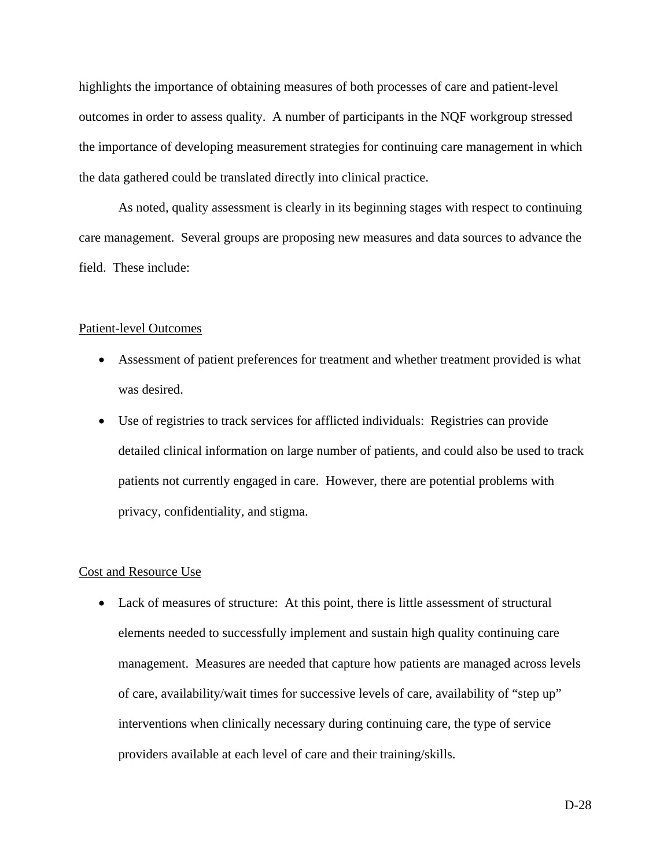highlights the importance of obtaining measures of both processes of care and patient-level outcomes in order to assess quality. A number of participants in the NQF workgroup stressed the importance of developing measurement strategies for continuing care management in which the data gathered could be translated directly into clinical practice.

As noted, quality assessment is clearly in its beginning stages with respect to continuing care management. Several groups are proposing new measures and data sources to advance the field. These include:

#### Patient-level Outcomes

- Assessment of patient preferences for treatment and whether treatment provided is what was desired.
- Use of registries to track services for afflicted individuals: Registries can provide detailed clinical information on large number of patients, and could also be used to track patients not currently engaged in care. However, there are potential problems with privacy, confidentiality, and stigma.

#### Cost and Resource Use

• Lack of measures of structure: At this point, there is little assessment of structural elements needed to successfully implement and sustain high quality continuing care management. Measures are needed that capture how patients are managed across levels of care, availability/wait times for successive levels of care, availability of "step up" interventions when clinically necessary during continuing care, the type of service providers available at each level of care and their training/skills.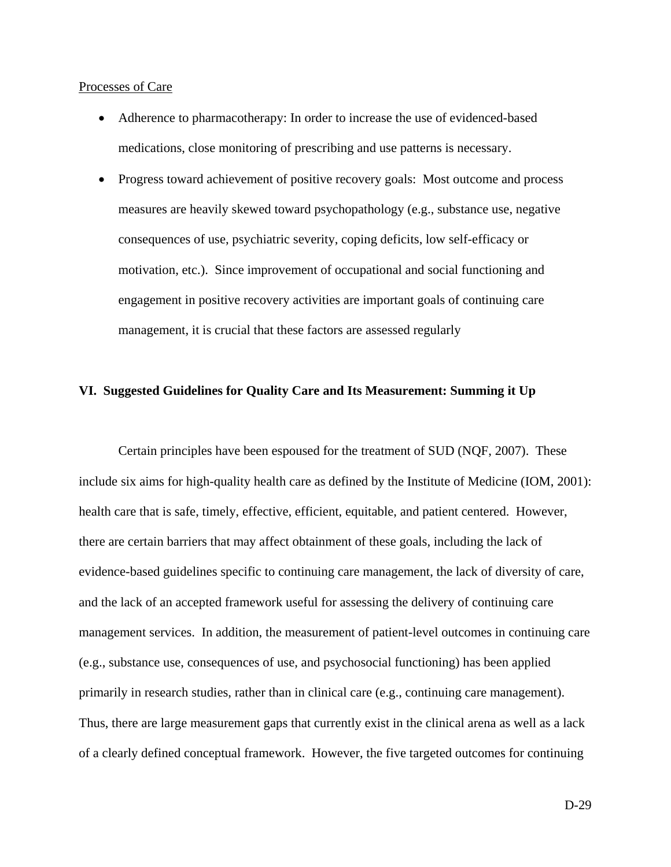#### Processes of Care

- Adherence to pharmacotherapy: In order to increase the use of evidenced-based medications, close monitoring of prescribing and use patterns is necessary.
- Progress toward achievement of positive recovery goals: Most outcome and process measures are heavily skewed toward psychopathology (e.g., substance use, negative consequences of use, psychiatric severity, coping deficits, low self-efficacy or motivation, etc.). Since improvement of occupational and social functioning and engagement in positive recovery activities are important goals of continuing care management, it is crucial that these factors are assessed regularly

## **VI. Suggested Guidelines for Quality Care and Its Measurement: Summing it Up**

Certain principles have been espoused for the treatment of SUD (NQF, 2007). These include six aims for high-quality health care as defined by the Institute of Medicine (IOM, 2001): health care that is safe, timely, effective, efficient, equitable, and patient centered. However, there are certain barriers that may affect obtainment of these goals, including the lack of evidence-based guidelines specific to continuing care management, the lack of diversity of care, and the lack of an accepted framework useful for assessing the delivery of continuing care management services. In addition, the measurement of patient-level outcomes in continuing care (e.g., substance use, consequences of use, and psychosocial functioning) has been applied primarily in research studies, rather than in clinical care (e.g., continuing care management). Thus, there are large measurement gaps that currently exist in the clinical arena as well as a lack of a clearly defined conceptual framework. However, the five targeted outcomes for continuing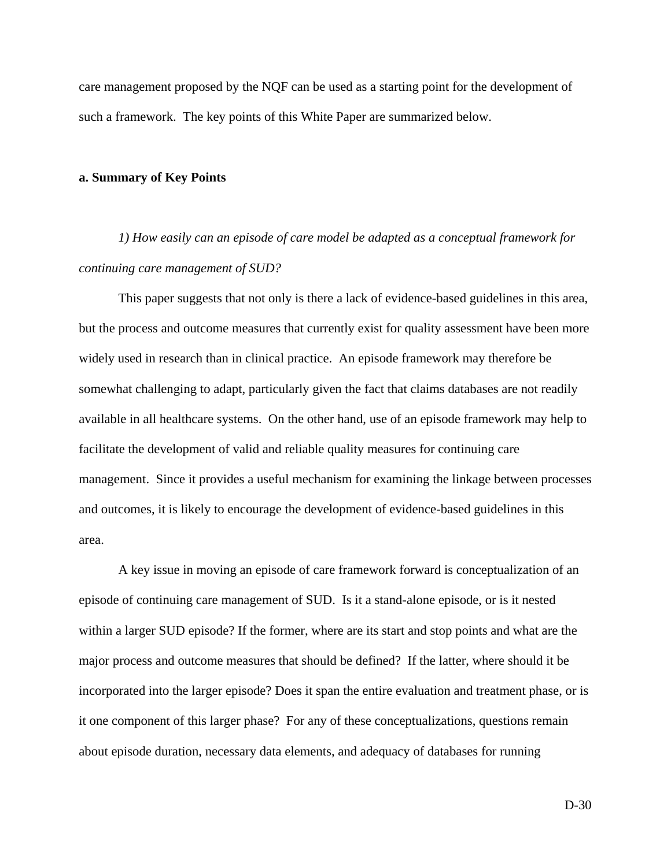care management proposed by the NQF can be used as a starting point for the development of such a framework. The key points of this White Paper are summarized below.

#### **a. Summary of Key Points**

*1) How easily can an episode of care model be adapted as a conceptual framework for continuing care management of SUD?* 

 This paper suggests that not only is there a lack of evidence-based guidelines in this area, but the process and outcome measures that currently exist for quality assessment have been more widely used in research than in clinical practice. An episode framework may therefore be somewhat challenging to adapt, particularly given the fact that claims databases are not readily available in all healthcare systems. On the other hand, use of an episode framework may help to facilitate the development of valid and reliable quality measures for continuing care management. Since it provides a useful mechanism for examining the linkage between processes and outcomes, it is likely to encourage the development of evidence-based guidelines in this area.

 A key issue in moving an episode of care framework forward is conceptualization of an episode of continuing care management of SUD. Is it a stand-alone episode, or is it nested within a larger SUD episode? If the former, where are its start and stop points and what are the major process and outcome measures that should be defined? If the latter, where should it be incorporated into the larger episode? Does it span the entire evaluation and treatment phase, or is it one component of this larger phase? For any of these conceptualizations, questions remain about episode duration, necessary data elements, and adequacy of databases for running

D-30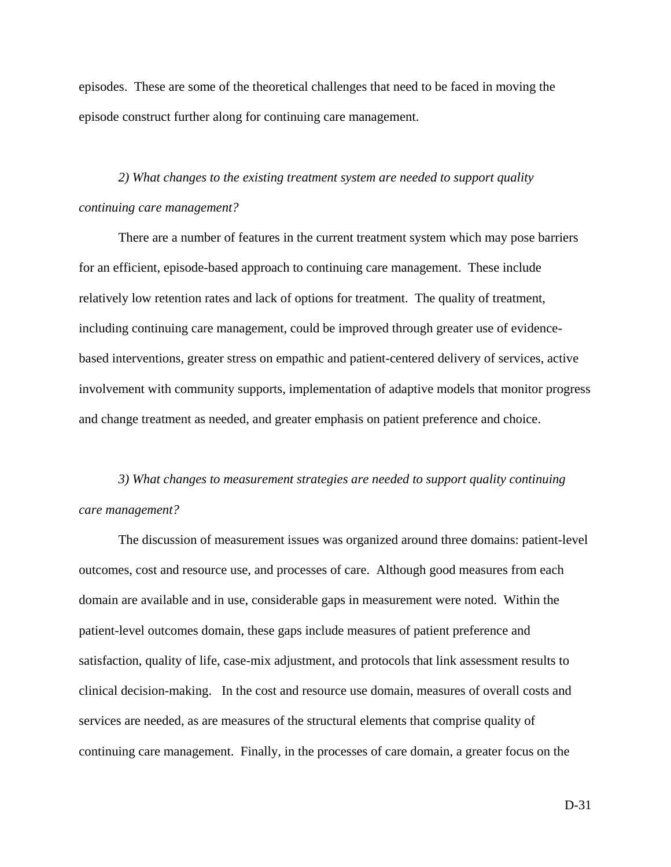episodes. These are some of the theoretical challenges that need to be faced in moving the episode construct further along for continuing care management.

*2) What changes to the existing treatment system are needed to support quality continuing care management?* 

 There are a number of features in the current treatment system which may pose barriers for an efficient, episode-based approach to continuing care management. These include relatively low retention rates and lack of options for treatment. The quality of treatment, including continuing care management, could be improved through greater use of evidencebased interventions, greater stress on empathic and patient-centered delivery of services, active involvement with community supports, implementation of adaptive models that monitor progress and change treatment as needed, and greater emphasis on patient preference and choice.

*3) What changes to measurement strategies are needed to support quality continuing care management?* 

 The discussion of measurement issues was organized around three domains: patient-level outcomes, cost and resource use, and processes of care. Although good measures from each domain are available and in use, considerable gaps in measurement were noted. Within the patient-level outcomes domain, these gaps include measures of patient preference and satisfaction, quality of life, case-mix adjustment, and protocols that link assessment results to clinical decision-making. In the cost and resource use domain, measures of overall costs and services are needed, as are measures of the structural elements that comprise quality of continuing care management. Finally, in the processes of care domain, a greater focus on the

D-31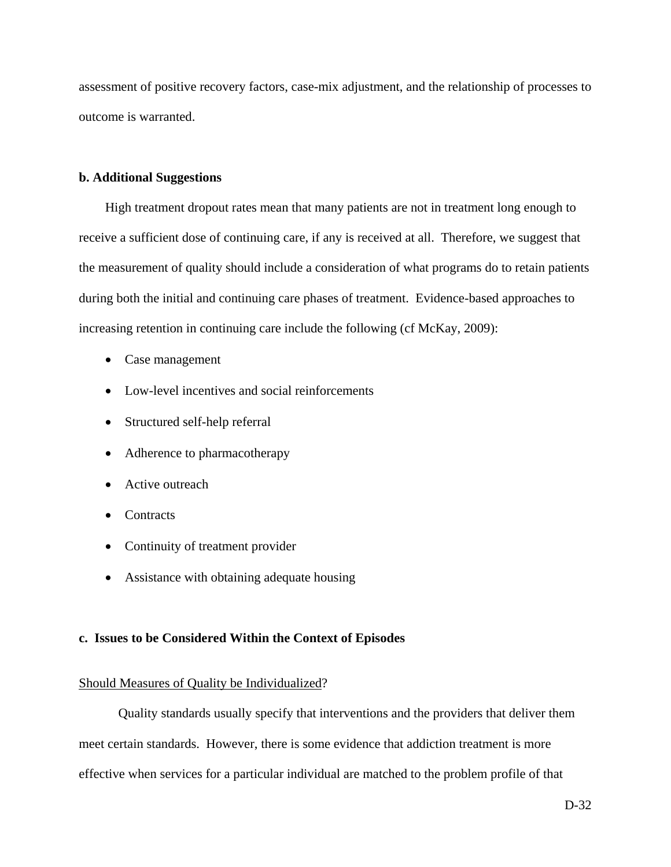assessment of positive recovery factors, case-mix adjustment, and the relationship of processes to outcome is warranted.

#### **b. Additional Suggestions**

High treatment dropout rates mean that many patients are not in treatment long enough to receive a sufficient dose of continuing care, if any is received at all. Therefore, we suggest that the measurement of quality should include a consideration of what programs do to retain patients during both the initial and continuing care phases of treatment. Evidence-based approaches to increasing retention in continuing care include the following (cf McKay, 2009):

- Case management
- Low-level incentives and social reinforcements
- Structured self-help referral
- Adherence to pharmacotherapy
- Active outreach
- Contracts
- Continuity of treatment provider
- Assistance with obtaining adequate housing

### **c. Issues to be Considered Within the Context of Episodes**

### Should Measures of Quality be Individualized?

 Quality standards usually specify that interventions and the providers that deliver them meet certain standards. However, there is some evidence that addiction treatment is more effective when services for a particular individual are matched to the problem profile of that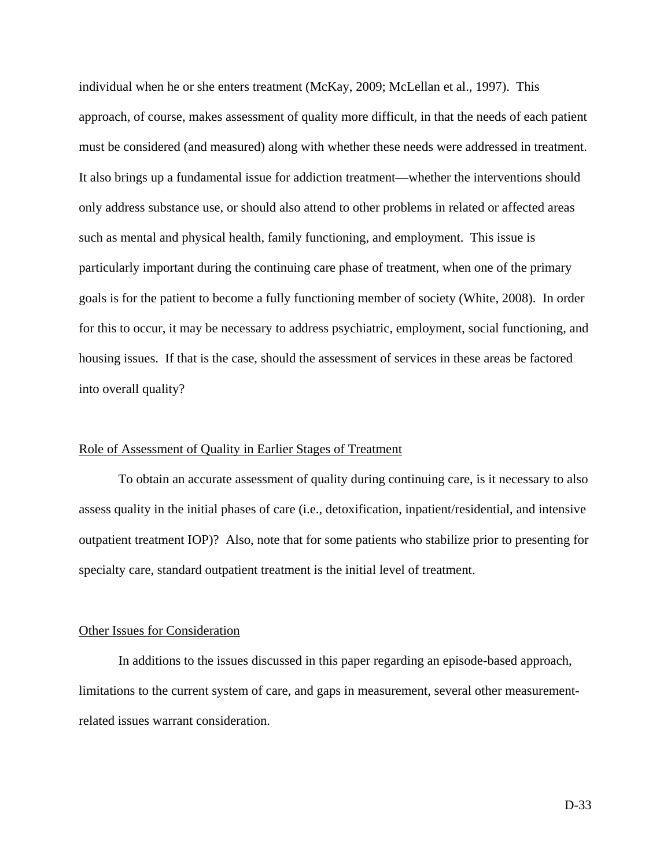individual when he or she enters treatment (McKay, 2009; McLellan et al., 1997). This approach, of course, makes assessment of quality more difficult, in that the needs of each patient must be considered (and measured) along with whether these needs were addressed in treatment. It also brings up a fundamental issue for addiction treatment—whether the interventions should only address substance use, or should also attend to other problems in related or affected areas such as mental and physical health, family functioning, and employment. This issue is particularly important during the continuing care phase of treatment, when one of the primary goals is for the patient to become a fully functioning member of society (White, 2008). In order for this to occur, it may be necessary to address psychiatric, employment, social functioning, and housing issues. If that is the case, should the assessment of services in these areas be factored into overall quality?

## Role of Assessment of Quality in Earlier Stages of Treatment

 To obtain an accurate assessment of quality during continuing care, is it necessary to also assess quality in the initial phases of care (i.e., detoxification, inpatient/residential, and intensive outpatient treatment IOP)? Also, note that for some patients who stabilize prior to presenting for specialty care, standard outpatient treatment is the initial level of treatment.

#### Other Issues for Consideration

 In additions to the issues discussed in this paper regarding an episode-based approach, limitations to the current system of care, and gaps in measurement, several other measurementrelated issues warrant consideration.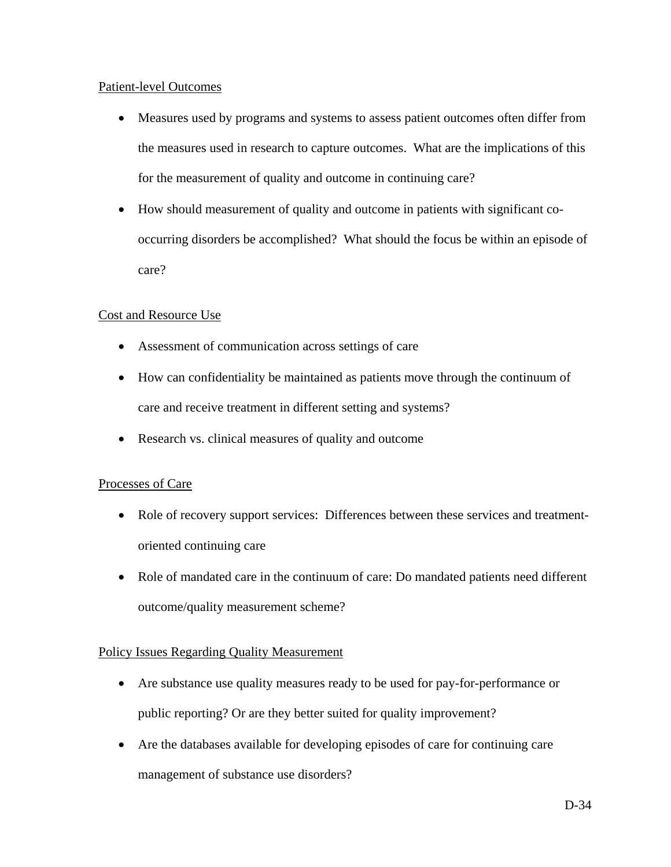# Patient-level Outcomes

- Measures used by programs and systems to assess patient outcomes often differ from the measures used in research to capture outcomes. What are the implications of this for the measurement of quality and outcome in continuing care?
- How should measurement of quality and outcome in patients with significant cooccurring disorders be accomplished? What should the focus be within an episode of care?

# Cost and Resource Use

- Assessment of communication across settings of care
- How can confidentiality be maintained as patients move through the continuum of care and receive treatment in different setting and systems?
- Research vs. clinical measures of quality and outcome

# Processes of Care

- Role of recovery support services: Differences between these services and treatmentoriented continuing care
- Role of mandated care in the continuum of care: Do mandated patients need different outcome/quality measurement scheme?

# Policy Issues Regarding Quality Measurement

- Are substance use quality measures ready to be used for pay-for-performance or public reporting? Or are they better suited for quality improvement?
- Are the databases available for developing episodes of care for continuing care management of substance use disorders?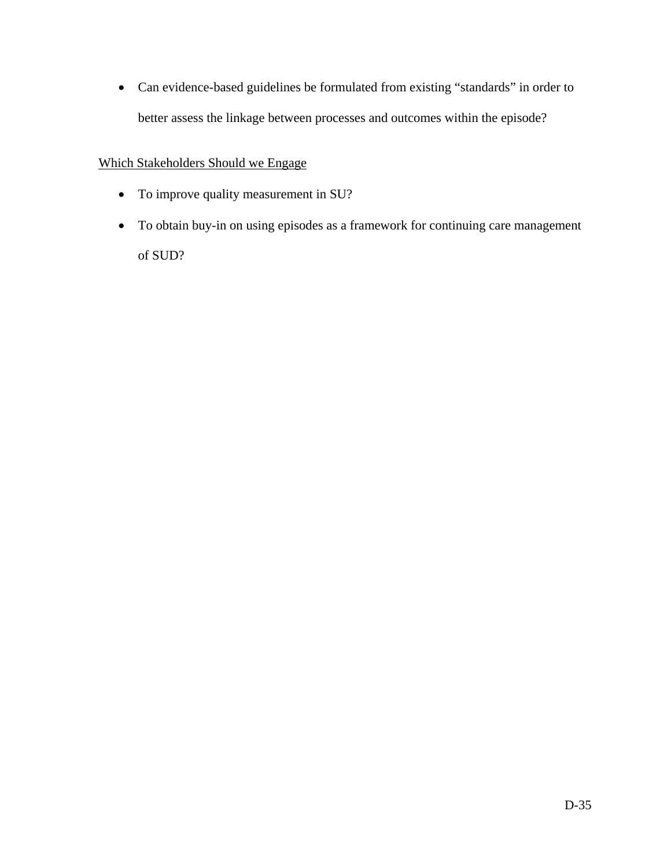• Can evidence-based guidelines be formulated from existing "standards" in order to better assess the linkage between processes and outcomes within the episode?

# Which Stakeholders Should we Engage

- To improve quality measurement in SU?
- To obtain buy-in on using episodes as a framework for continuing care management of SUD?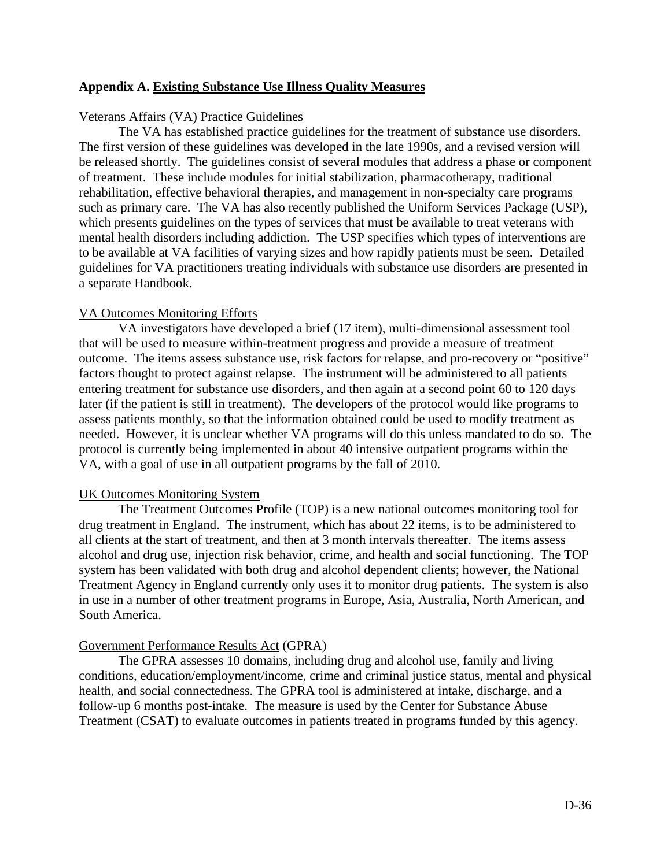# **Appendix A. Existing Substance Use Illness Quality Measures**

# Veterans Affairs (VA) Practice Guidelines

 The VA has established practice guidelines for the treatment of substance use disorders. The first version of these guidelines was developed in the late 1990s, and a revised version will be released shortly. The guidelines consist of several modules that address a phase or component of treatment. These include modules for initial stabilization, pharmacotherapy, traditional rehabilitation, effective behavioral therapies, and management in non-specialty care programs such as primary care. The VA has also recently published the Uniform Services Package (USP), which presents guidelines on the types of services that must be available to treat veterans with mental health disorders including addiction. The USP specifies which types of interventions are to be available at VA facilities of varying sizes and how rapidly patients must be seen. Detailed guidelines for VA practitioners treating individuals with substance use disorders are presented in a separate Handbook.

# VA Outcomes Monitoring Efforts

 VA investigators have developed a brief (17 item), multi-dimensional assessment tool that will be used to measure within-treatment progress and provide a measure of treatment outcome. The items assess substance use, risk factors for relapse, and pro-recovery or "positive" factors thought to protect against relapse. The instrument will be administered to all patients entering treatment for substance use disorders, and then again at a second point 60 to 120 days later (if the patient is still in treatment). The developers of the protocol would like programs to assess patients monthly, so that the information obtained could be used to modify treatment as needed. However, it is unclear whether VA programs will do this unless mandated to do so. The protocol is currently being implemented in about 40 intensive outpatient programs within the VA, with a goal of use in all outpatient programs by the fall of 2010.

### UK Outcomes Monitoring System

 The Treatment Outcomes Profile (TOP) is a new national outcomes monitoring tool for drug treatment in England. The instrument, which has about 22 items, is to be administered to all clients at the start of treatment, and then at 3 month intervals thereafter. The items assess alcohol and drug use, injection risk behavior, crime, and health and social functioning. The TOP system has been validated with both drug and alcohol dependent clients; however, the National Treatment Agency in England currently only uses it to monitor drug patients. The system is also in use in a number of other treatment programs in Europe, Asia, Australia, North American, and South America.

# Government Performance Results Act (GPRA)

 The GPRA assesses 10 domains, including drug and alcohol use, family and living conditions, education/employment/income, crime and criminal justice status, mental and physical health, and social connectedness. The GPRA tool is administered at intake, discharge, and a follow-up 6 months post-intake. The measure is used by the Center for Substance Abuse Treatment (CSAT) to evaluate outcomes in patients treated in programs funded by this agency.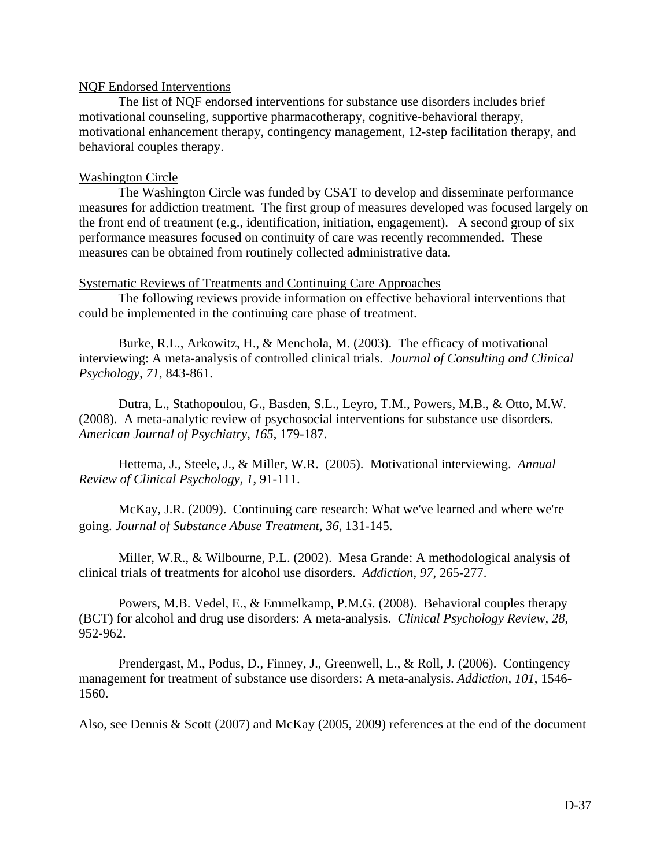# NQF Endorsed Interventions

 The list of NQF endorsed interventions for substance use disorders includes brief motivational counseling, supportive pharmacotherapy, cognitive-behavioral therapy, motivational enhancement therapy, contingency management, 12-step facilitation therapy, and behavioral couples therapy.

# Washington Circle

 The Washington Circle was funded by CSAT to develop and disseminate performance measures for addiction treatment. The first group of measures developed was focused largely on the front end of treatment (e.g., identification, initiation, engagement). A second group of six performance measures focused on continuity of care was recently recommended. These measures can be obtained from routinely collected administrative data.

# Systematic Reviews of Treatments and Continuing Care Approaches

 The following reviews provide information on effective behavioral interventions that could be implemented in the continuing care phase of treatment.

Burke, R.L., Arkowitz, H., & Menchola, M. (2003). The efficacy of motivational interviewing: A meta-analysis of controlled clinical trials. *Journal of Consulting and Clinical Psychology, 71*, 843-861.

Dutra, L., Stathopoulou, G., Basden, S.L., Leyro, T.M., Powers, M.B., & Otto, M.W. (2008). A meta-analytic review of psychosocial interventions for substance use disorders. *American Journal of Psychiatry*, *165*, 179-187.

Hettema, J., Steele, J., & Miller, W.R. (2005). Motivational interviewing. *Annual Review of Clinical Psychology, 1*, 91-111.

McKay, J.R. (2009). Continuing care research: What we've learned and where we're going. *Journal of Substance Abuse Treatment, 36*, 131-145.

Miller, W.R., & Wilbourne, P.L. (2002). Mesa Grande: A methodological analysis of clinical trials of treatments for alcohol use disorders. *Addiction, 97*, 265-277.

Powers, M.B. Vedel, E., & Emmelkamp, P.M.G. (2008). Behavioral couples therapy (BCT) for alcohol and drug use disorders: A meta-analysis. *Clinical Psychology Review, 28*, 952-962.

Prendergast, M., Podus, D., Finney, J., Greenwell, L., & Roll, J. (2006). Contingency management for treatment of substance use disorders: A meta-analysis. *Addiction, 101*, 1546- 1560.

Also, see Dennis & Scott (2007) and McKay (2005, 2009) references at the end of the document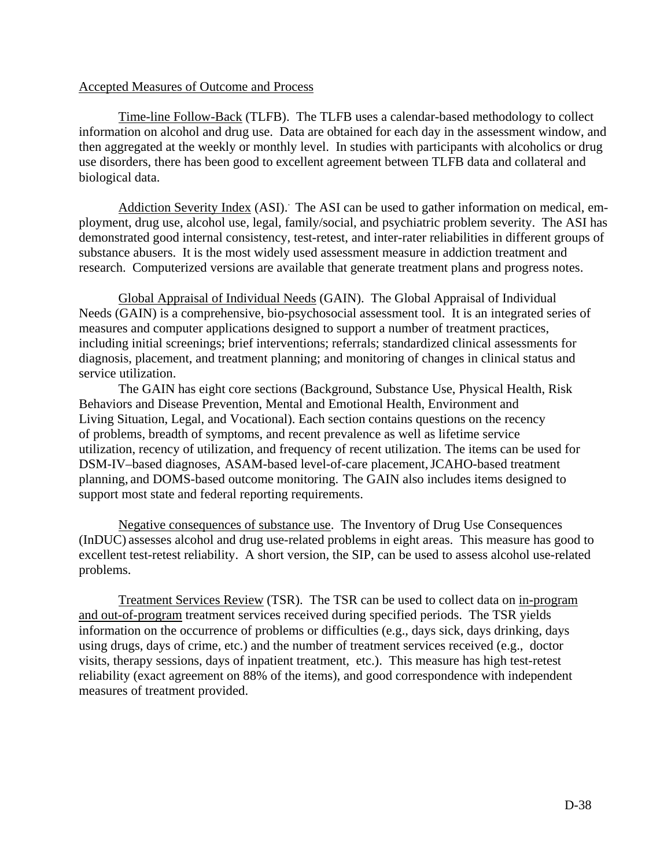# Accepted Measures of Outcome and Process

 Time-line Follow-Back (TLFB). The TLFB uses a calendar-based methodology to collect information on alcohol and drug use. Data are obtained for each day in the assessment window, and then aggregated at the weekly or monthly level. In studies with participants with alcoholics or drug use disorders, there has been good to excellent agreement between TLFB data and collateral and biological data.

Addiction Severity Index (ASI). The ASI can be used to gather information on medical, employment, drug use, alcohol use, legal, family/social, and psychiatric problem severity. The ASI has demonstrated good internal consistency, test-retest, and inter-rater reliabilities in different groups of substance abusers. It is the most widely used assessment measure in addiction treatment and research. Computerized versions are available that generate treatment plans and progress notes.

 Global Appraisal of Individual Needs (GAIN). The Global Appraisal of Individual Needs (GAIN) is a comprehensive, bio-psychosocial assessment tool. It is an integrated series of measures and computer applications designed to support a number of treatment practices, including initial screenings; brief interventions; referrals; standardized clinical assessments for diagnosis, placement, and treatment planning; and monitoring of changes in clinical status and service utilization.

 The GAIN has eight core sections (Background, Substance Use, Physical Health, Risk Behaviors and Disease Prevention, Mental and Emotional Health, Environment and Living Situation, Legal, and Vocational). Each section contains questions on the recency of problems, breadth of symptoms, and recent prevalence as well as lifetime service utilization, recency of utilization, and frequency of recent utilization. The items can be used for DSM-IV–based diagnoses, ASAM-based level-of-care placement,JCAHO-based treatment planning, and DOMS-based outcome monitoring. The GAIN also includes items designed to support most state and federal reporting requirements.

 Negative consequences of substance use. The Inventory of Drug Use Consequences (InDUC) assesses alcohol and drug use-related problems in eight areas. This measure has good to excellent test-retest reliability. A short version, the SIP, can be used to assess alcohol use-related problems.

 Treatment Services Review (TSR). The TSR can be used to collect data on in-program and out-of-program treatment services received during specified periods. The TSR yields information on the occurrence of problems or difficulties (e.g., days sick, days drinking, days using drugs, days of crime, etc.) and the number of treatment services received (e.g., doctor visits, therapy sessions, days of inpatient treatment, etc.). This measure has high test-retest reliability (exact agreement on 88% of the items), and good correspondence with independent measures of treatment provided.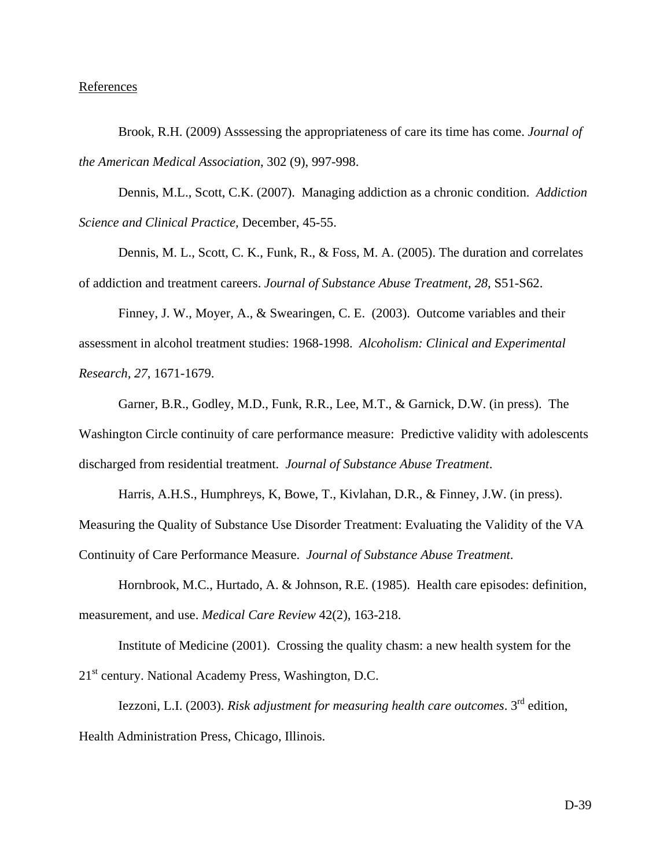## References

Brook, R.H. (2009) Asssessing the appropriateness of care its time has come. *Journal of the American Medical Association*, 302 (9), 997-998.

Dennis, M.L., Scott, C.K. (2007). Managing addiction as a chronic condition. *Addiction Science and Clinical Practice,* December, 45-55.

 Dennis, M. L., Scott, C. K., Funk, R., & Foss, M. A. (2005). The duration and correlates of addiction and treatment careers. *Journal of Substance Abuse Treatment, 28*, S51-S62.

Finney, J. W., Moyer, A., & Swearingen, C. E. (2003). Outcome variables and their assessment in alcohol treatment studies: 1968-1998. *Alcoholism: Clinical and Experimental Research, 27*, 1671-1679.

Garner, B.R., Godley, M.D., Funk, R.R., Lee, M.T., & Garnick, D.W. (in press). The Washington Circle continuity of care performance measure: Predictive validity with adolescents discharged from residential treatment. *Journal of Substance Abuse Treatment*.

Harris, A.H.S., Humphreys, K, Bowe, T., Kivlahan, D.R., & Finney, J.W. (in press). Measuring the Quality of Substance Use Disorder Treatment: Evaluating the Validity of the VA Continuity of Care Performance Measure. *Journal of Substance Abuse Treatment*.

Hornbrook, M.C., Hurtado, A. & Johnson, R.E. (1985). Health care episodes: definition, measurement, and use. *Medical Care Review* 42(2), 163-218.

Institute of Medicine (2001). Crossing the quality chasm: a new health system for the 21<sup>st</sup> century. National Academy Press, Washington, D.C.

Iezzoni, L.I. (2003). *Risk adjustment for measuring health care outcomes*. 3rd edition, Health Administration Press, Chicago, Illinois.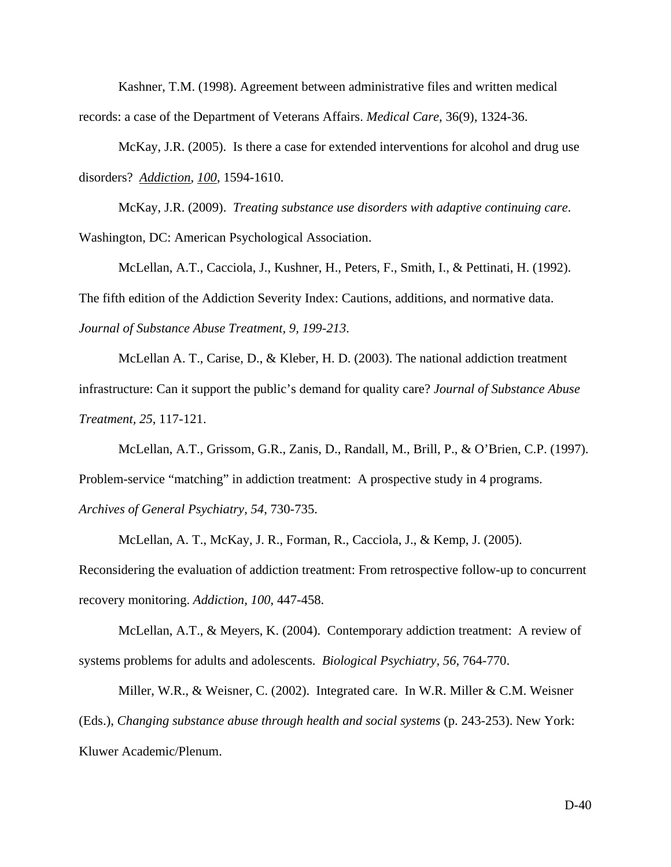Kashner, T.M. (1998). Agreement between administrative files and written medical records: a case of the Department of Veterans Affairs. *Medical Care*, 36(9), 1324-36.

 McKay, J.R. (2005). Is there a case for extended interventions for alcohol and drug use disorders? *Addiction, 100*, 1594-1610.

McKay, J.R. (2009). *Treating substance use disorders with adaptive continuing care*. Washington, DC: American Psychological Association.

McLellan, A.T., Cacciola, J., Kushner, H., Peters, F., Smith, I., & Pettinati, H. (1992). The fifth edition of the Addiction Severity Index: Cautions, additions, and normative data. *Journal of Substance Abuse Treatment, 9, 199-213*.

McLellan A. T., Carise, D., & Kleber, H. D. (2003). The national addiction treatment infrastructure: Can it support the public's demand for quality care? *Journal of Substance Abuse Treatment, 25*, 117-121.

McLellan, A.T., Grissom, G.R., Zanis, D., Randall, M., Brill, P., & O'Brien, C.P. (1997). Problem-service "matching" in addiction treatment: A prospective study in 4 programs. *Archives of General Psychiatry, 54*, 730-735.

McLellan, A. T., McKay, J. R., Forman, R., Cacciola, J., & Kemp, J. (2005).

Reconsidering the evaluation of addiction treatment: From retrospective follow-up to concurrent recovery monitoring. *Addiction, 100*, 447-458.

McLellan, A.T., & Meyers, K. (2004). Contemporary addiction treatment: A review of systems problems for adults and adolescents. *Biological Psychiatry, 56*, 764-770.

Miller, W.R., & Weisner, C. (2002). Integrated care. In W.R. Miller & C.M. Weisner (Eds.), *Changing substance abuse through health and social systems* (p. 243-253). New York: Kluwer Academic/Plenum.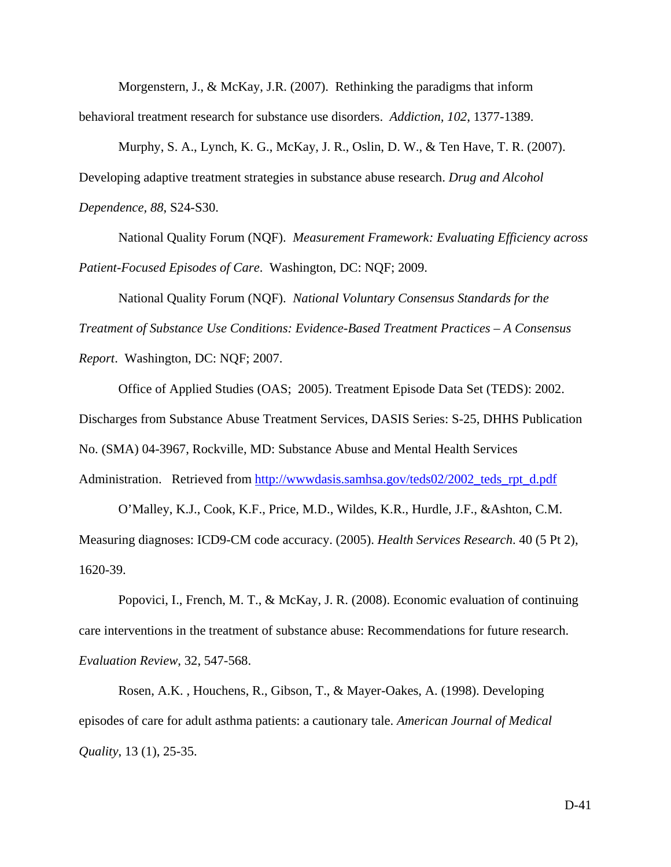Morgenstern, J., & McKay, J.R. (2007). Rethinking the paradigms that inform behavioral treatment research for substance use disorders. *Addiction, 102*, 1377-1389.

Murphy, S. A., Lynch, K. G., McKay, J. R., Oslin, D. W., & Ten Have, T. R. (2007). Developing adaptive treatment strategies in substance abuse research. *Drug and Alcohol Dependence, 88*, S24-S30.

National Quality Forum (NQF). *Measurement Framework: Evaluating Efficiency across Patient-Focused Episodes of Care*. Washington, DC: NQF; 2009.

 National Quality Forum (NQF). *National Voluntary Consensus Standards for the Treatment of Substance Use Conditions: Evidence-Based Treatment Practices – A Consensus Report*. Washington, DC: NQF; 2007.

 Office of Applied Studies (OAS; 2005). Treatment Episode Data Set (TEDS): 2002. Discharges from Substance Abuse Treatment Services, DASIS Series: S-25, DHHS Publication No. (SMA) 04-3967, Rockville, MD: Substance Abuse and Mental Health Services Administration. Retrieved from [http://wwwdasis.samhsa.gov/teds02/2002\\_teds\\_rpt\\_d.pdf](http://wwwdasis.samhsa.gov/teds02/2002_teds_rpt_d.pdf)

O'Malley, K.J., Cook, K.F., Price, M.D., Wildes, K.R., Hurdle, J.F., &Ashton, C.M. Measuring diagnoses: ICD9-CM code accuracy. (2005). *Health Services Research*. 40 (5 Pt 2), 1620-39.

Popovici, I., French, M. T., & McKay, J. R. (2008). Economic evaluation of continuing care interventions in the treatment of substance abuse: Recommendations for future research. *Evaluation Review*, 32, 547-568.

Rosen, A.K. , Houchens, R., Gibson, T., & Mayer-Oakes, A. (1998). Developing episodes of care for adult asthma patients: a cautionary tale. *American Journal of Medical Quality*, 13 (1), 25-35.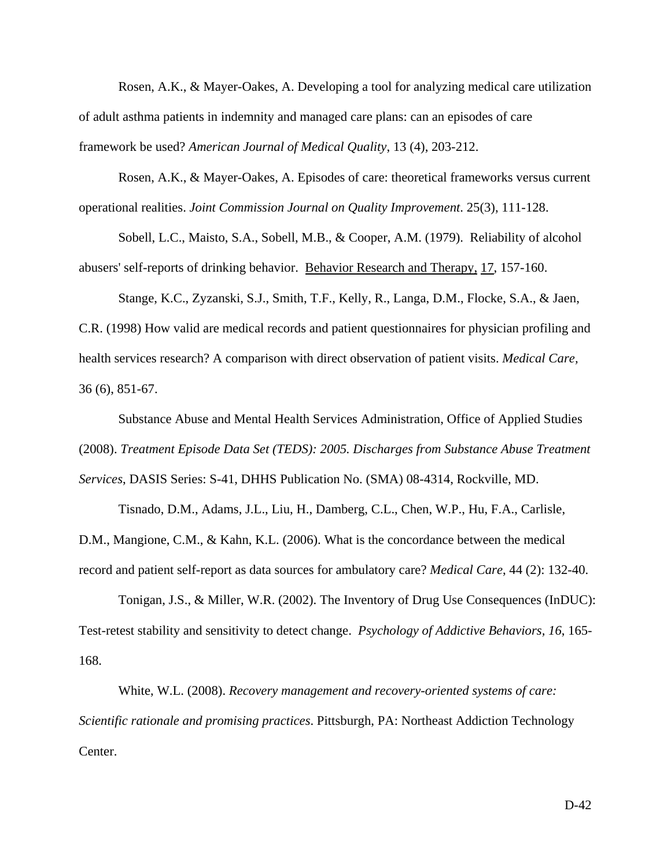Rosen, A.K., & Mayer-Oakes, A. Developing a tool for analyzing medical care utilization of adult asthma patients in indemnity and managed care plans: can an episodes of care framework be used? *American Journal of Medical Quality*, 13 (4), 203-212.

Rosen, A.K., & Mayer-Oakes, A. Episodes of care: theoretical frameworks versus current operational realities. *Joint Commission Journal on Quality Improvement*. 25(3), 111-128.

Sobell, L.C., Maisto, S.A., Sobell, M.B., & Cooper, A.M. (1979). Reliability of alcohol abusers' self-reports of drinking behavior. Behavior Research and Therapy, 17, 157-160.

Stange, K.C., Zyzanski, S.J., Smith, T.F., Kelly, R., Langa, D.M., Flocke, S.A., & Jaen, C.R. (1998) How valid are medical records and patient questionnaires for physician profiling and health services research? A comparison with direct observation of patient visits. *Medical Care,* 36 (6), 851-67.

Substance Abuse and Mental Health Services Administration, Office of Applied Studies (2008). *Treatment Episode Data Set (TEDS): 2005. Discharges from Substance Abuse Treatment Services*, DASIS Series: S-41, DHHS Publication No. (SMA) 08-4314, Rockville, MD.

 Tisnado, D.M., Adams, J.L., Liu, H., Damberg, C.L., Chen, W.P., Hu, F.A., Carlisle, D.M., Mangione, C.M., & Kahn, K.L. (2006). What is the concordance between the medical record and patient self-report as data sources for ambulatory care? *Medical Care*, 44 (2): 132-40.

 Tonigan, J.S., & Miller, W.R. (2002). The Inventory of Drug Use Consequences (InDUC): Test-retest stability and sensitivity to detect change. *Psychology of Addictive Behaviors, 16*, 165- 168.

 White, W.L. (2008). *Recovery management and recovery-oriented systems of care: Scientific rationale and promising practices*. Pittsburgh, PA: Northeast Addiction Technology Center.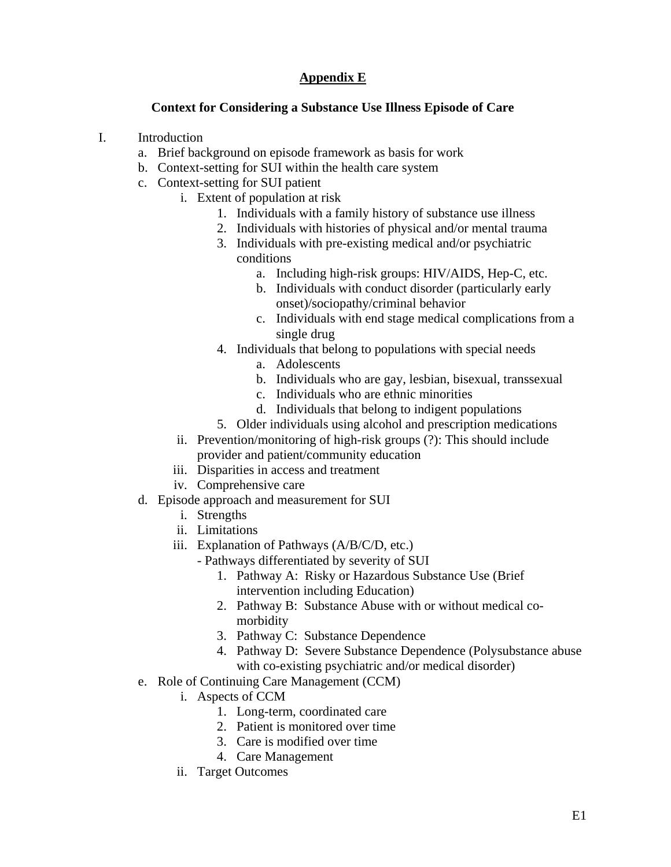# **Appendix E**

# **Context for Considering a Substance Use Illness Episode of Care**

- I. Introduction
	- a. Brief background on episode framework as basis for work
	- b. Context-setting for SUI within the health care system
	- c. Context-setting for SUI patient
		- i. Extent of population at risk
			- 1. Individuals with a family history of substance use illness
			- 2. Individuals with histories of physical and/or mental trauma
			- 3. Individuals with pre-existing medical and/or psychiatric conditions
				- a. Including high-risk groups: HIV/AIDS, Hep-C, etc.
				- b. Individuals with conduct disorder (particularly early onset)/sociopathy/criminal behavior
				- c. Individuals with end stage medical complications from a single drug
			- 4. Individuals that belong to populations with special needs
				- a. Adolescents
				- b. Individuals who are gay, lesbian, bisexual, transsexual
				- c. Individuals who are ethnic minorities
				- d. Individuals that belong to indigent populations
			- 5. Older individuals using alcohol and prescription medications
			- ii. Prevention/monitoring of high-risk groups (?): This should include provider and patient/community education
		- iii. Disparities in access and treatment
		- iv. Comprehensive care
	- d. Episode approach and measurement for SUI
		- i. Strengths
		- ii. Limitations
		- iii. Explanation of Pathways (A/B/C/D, etc.)
			- Pathways differentiated by severity of SUI
				- 1. Pathway A: Risky or Hazardous Substance Use (Brief intervention including Education)
				- 2. Pathway B: Substance Abuse with or without medical comorbidity
				- 3. Pathway C: Substance Dependence
				- 4. Pathway D: Severe Substance Dependence (Polysubstance abuse with co-existing psychiatric and/or medical disorder)
	- e. Role of Continuing Care Management (CCM)
		- i. Aspects of CCM
			- 1. Long-term, coordinated care
			- 2. Patient is monitored over time
			- 3. Care is modified over time
			- 4. Care Management
		- ii. Target Outcomes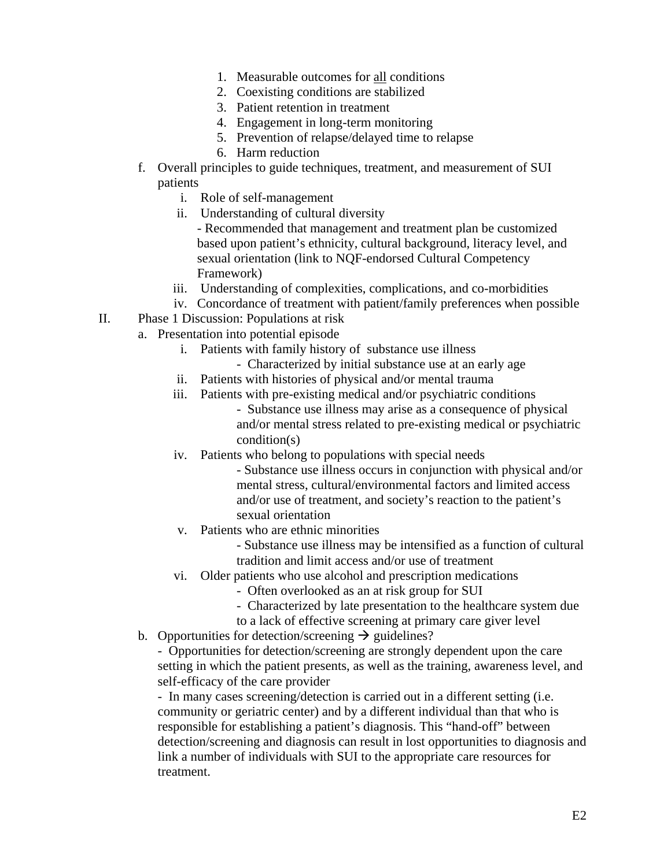- 1. Measurable outcomes for all conditions
- 2. Coexisting conditions are stabilized
- 3. Patient retention in treatment
- 4. Engagement in long-term monitoring
- 5. Prevention of relapse/delayed time to relapse
- 6. Harm reduction
- f. Overall principles to guide techniques, treatment, and measurement of SUI patients
	- i. Role of self-management
	- ii. Understanding of cultural diversity
		- Recommended that management and treatment plan be customized based upon patient's ethnicity, cultural background, literacy level, and sexual orientation (link to NQF-endorsed Cultural Competency Framework)
	- iii. Understanding of complexities, complications, and co-morbidities
	- iv. Concordance of treatment with patient/family preferences when possible
- II. Phase 1 Discussion: Populations at risk
	- a. Presentation into potential episode
		- i. Patients with family history of substance use illness
			- Characterized by initial substance use at an early age
		- ii. Patients with histories of physical and/or mental trauma
		- iii. Patients with pre-existing medical and/or psychiatric conditions - Substance use illness may arise as a consequence of physical and/or mental stress related to pre-existing medical or psychiatric condition(s)
		- iv. Patients who belong to populations with special needs
			- Substance use illness occurs in conjunction with physical and/or mental stress, cultural/environmental factors and limited access and/or use of treatment, and society's reaction to the patient's sexual orientation
		- v. Patients who are ethnic minorities
			- Substance use illness may be intensified as a function of cultural tradition and limit access and/or use of treatment
		- vi. Older patients who use alcohol and prescription medications
			- Often overlooked as an at risk group for SUI
			- Characterized by late presentation to the healthcare system due
			- to a lack of effective screening at primary care giver level
	- b. Opportunities for detection/screening  $\rightarrow$  guidelines?

- Opportunities for detection/screening are strongly dependent upon the care setting in which the patient presents, as well as the training, awareness level, and self-efficacy of the care provider

- In many cases screening/detection is carried out in a different setting (i.e. community or geriatric center) and by a different individual than that who is responsible for establishing a patient's diagnosis. This "hand-off" between detection/screening and diagnosis can result in lost opportunities to diagnosis and link a number of individuals with SUI to the appropriate care resources for treatment.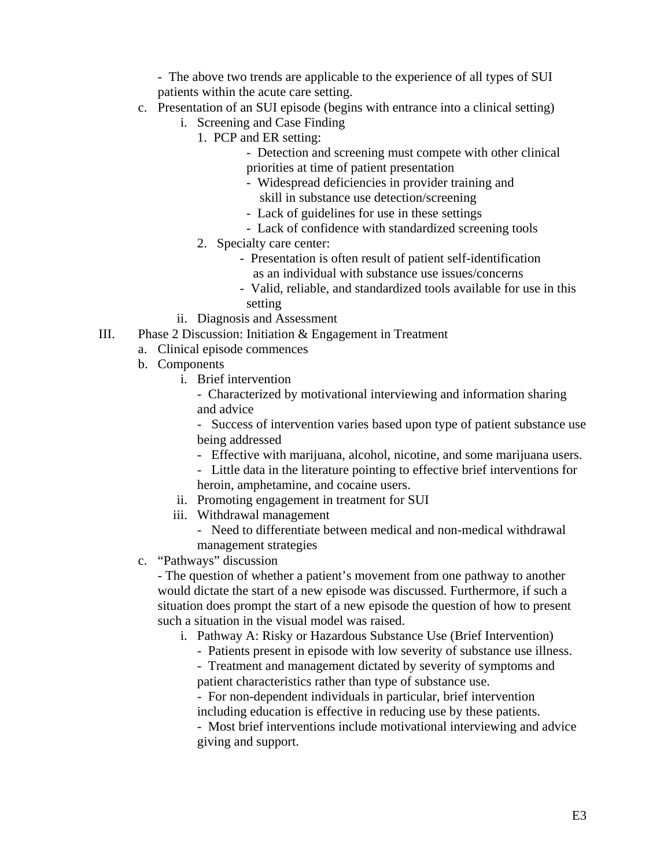- The above two trends are applicable to the experience of all types of SUI patients within the acute care setting.

- c. Presentation of an SUI episode (begins with entrance into a clinical setting)
	- i. Screening and Case Finding
		- 1. PCP and ER setting:
			- Detection and screening must compete with other clinical priorities at time of patient presentation
			- Widespread deficiencies in provider training and skill in substance use detection/screening
			- Lack of guidelines for use in these settings
			- Lack of confidence with standardized screening tools
		- 2. Specialty care center:
			- Presentation is often result of patient self-identification as an individual with substance use issues/concerns
			- Valid, reliable, and standardized tools available for use in this setting
	- ii. Diagnosis and Assessment
- III. Phase 2 Discussion: Initiation & Engagement in Treatment
	- a. Clinical episode commences
	- b. Components
		- i. Brief intervention
			- Characterized by motivational interviewing and information sharing and advice

- Success of intervention varies based upon type of patient substance use being addressed

- Effective with marijuana, alcohol, nicotine, and some marijuana users.
- Little data in the literature pointing to effective brief interventions for heroin, amphetamine, and cocaine users.
- ii. Promoting engagement in treatment for SUI
- iii. Withdrawal management
	- Need to differentiate between medical and non-medical withdrawal management strategies
- c. "Pathways" discussion

- The question of whether a patient's movement from one pathway to another would dictate the start of a new episode was discussed. Furthermore, if such a situation does prompt the start of a new episode the question of how to present such a situation in the visual model was raised.

i. Pathway A: Risky or Hazardous Substance Use (Brief Intervention)

- Patients present in episode with low severity of substance use illness.
- Treatment and management dictated by severity of symptoms and patient characteristics rather than type of substance use.
- For non-dependent individuals in particular, brief intervention including education is effective in reducing use by these patients.

- Most brief interventions include motivational interviewing and advice giving and support.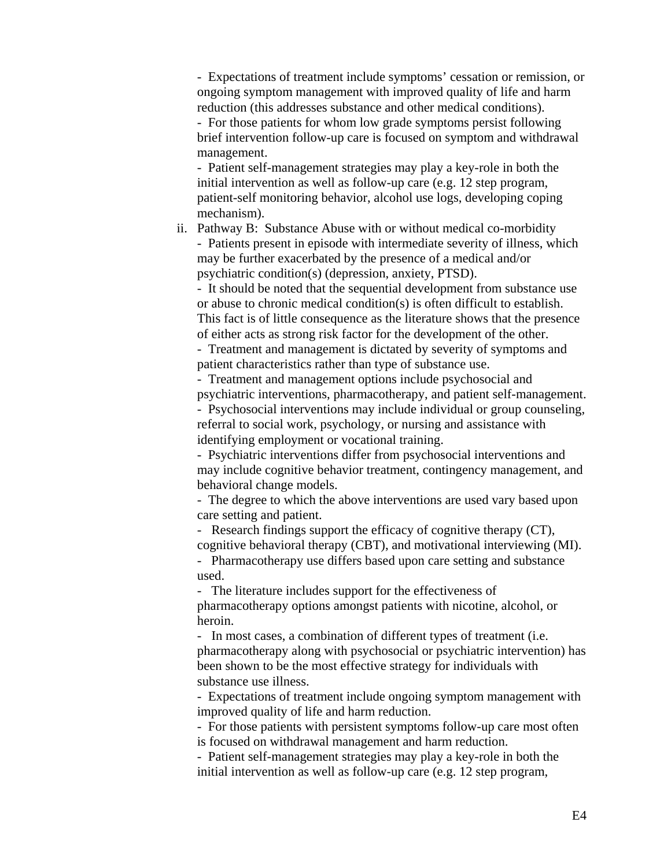- Expectations of treatment include symptoms' cessation or remission, or ongoing symptom management with improved quality of life and harm reduction (this addresses substance and other medical conditions). - For those patients for whom low grade symptoms persist following brief intervention follow-up care is focused on symptom and withdrawal

- Patient self-management strategies may play a key-role in both the initial intervention as well as follow-up care (e.g. 12 step program, patient-self monitoring behavior, alcohol use logs, developing coping mechanism).

management.

ii. Pathway B: Substance Abuse with or without medical co-morbidity - Patients present in episode with intermediate severity of illness, which may be further exacerbated by the presence of a medical and/or psychiatric condition(s) (depression, anxiety, PTSD).

- It should be noted that the sequential development from substance use or abuse to chronic medical condition(s) is often difficult to establish. This fact is of little consequence as the literature shows that the presence of either acts as strong risk factor for the development of the other.

- Treatment and management is dictated by severity of symptoms and patient characteristics rather than type of substance use.

- Treatment and management options include psychosocial and psychiatric interventions, pharmacotherapy, and patient self-management. - Psychosocial interventions may include individual or group counseling, referral to social work, psychology, or nursing and assistance with identifying employment or vocational training.

- Psychiatric interventions differ from psychosocial interventions and may include cognitive behavior treatment, contingency management, and behavioral change models.

- The degree to which the above interventions are used vary based upon care setting and patient.

- Research findings support the efficacy of cognitive therapy (CT), cognitive behavioral therapy (CBT), and motivational interviewing (MI).

- Pharmacotherapy use differs based upon care setting and substance used.

- The literature includes support for the effectiveness of pharmacotherapy options amongst patients with nicotine, alcohol, or heroin.

- In most cases, a combination of different types of treatment (i.e. pharmacotherapy along with psychosocial or psychiatric intervention) has been shown to be the most effective strategy for individuals with substance use illness.

- Expectations of treatment include ongoing symptom management with improved quality of life and harm reduction.

- For those patients with persistent symptoms follow-up care most often is focused on withdrawal management and harm reduction.

- Patient self-management strategies may play a key-role in both the initial intervention as well as follow-up care (e.g. 12 step program,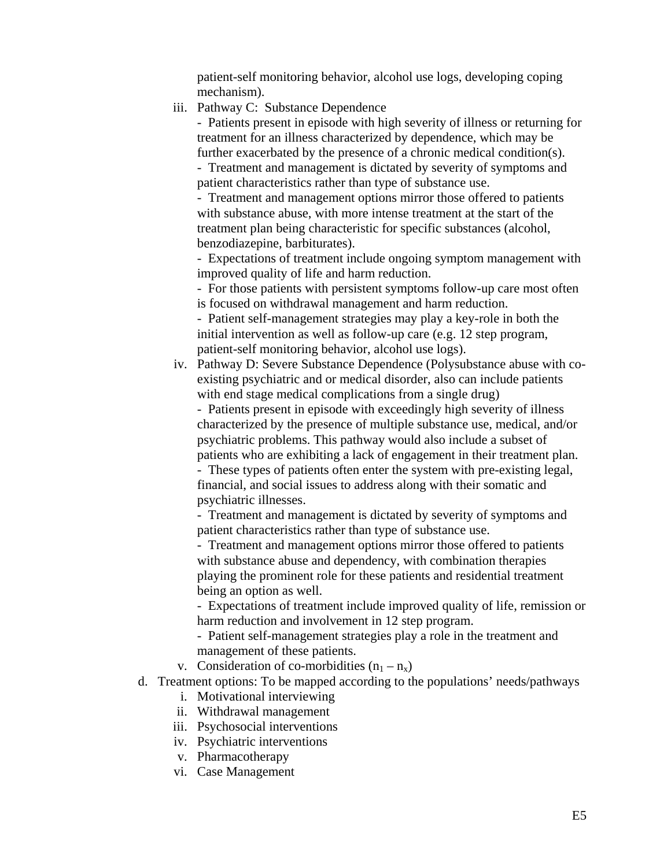patient-self monitoring behavior, alcohol use logs, developing coping mechanism).

iii. Pathway C: Substance Dependence

- Patients present in episode with high severity of illness or returning for treatment for an illness characterized by dependence, which may be further exacerbated by the presence of a chronic medical condition(s).

- Treatment and management is dictated by severity of symptoms and patient characteristics rather than type of substance use.

- Treatment and management options mirror those offered to patients with substance abuse, with more intense treatment at the start of the treatment plan being characteristic for specific substances (alcohol, benzodiazepine, barbiturates).

- Expectations of treatment include ongoing symptom management with improved quality of life and harm reduction.

- For those patients with persistent symptoms follow-up care most often is focused on withdrawal management and harm reduction.

- Patient self-management strategies may play a key-role in both the initial intervention as well as follow-up care (e.g. 12 step program, patient-self monitoring behavior, alcohol use logs).

iv. Pathway D: Severe Substance Dependence (Polysubstance abuse with coexisting psychiatric and or medical disorder, also can include patients with end stage medical complications from a single drug)

- Patients present in episode with exceedingly high severity of illness characterized by the presence of multiple substance use, medical, and/or psychiatric problems. This pathway would also include a subset of patients who are exhibiting a lack of engagement in their treatment plan.

- These types of patients often enter the system with pre-existing legal, financial, and social issues to address along with their somatic and psychiatric illnesses.

- Treatment and management is dictated by severity of symptoms and patient characteristics rather than type of substance use.

- Treatment and management options mirror those offered to patients with substance abuse and dependency, with combination therapies playing the prominent role for these patients and residential treatment being an option as well.

- Expectations of treatment include improved quality of life, remission or harm reduction and involvement in 12 step program.

- Patient self-management strategies play a role in the treatment and management of these patients.

v. Consideration of co-morbidities  $(n_1 - n_x)$ 

- d. Treatment options: To be mapped according to the populations' needs/pathways
	- i. Motivational interviewing
	- ii. Withdrawal management
	- iii. Psychosocial interventions
	- iv. Psychiatric interventions
	- v. Pharmacotherapy
	- vi. Case Management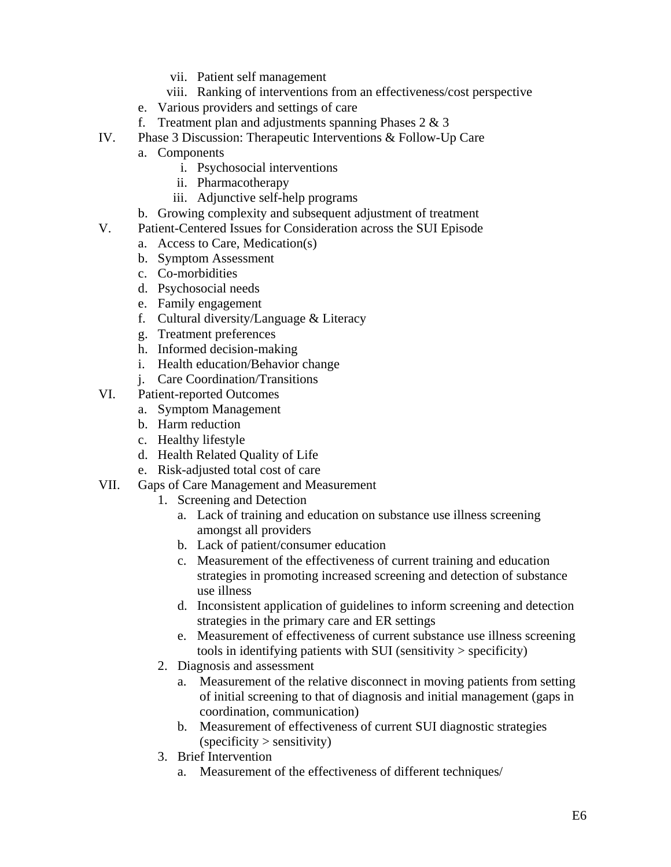- vii. Patient self management
- viii. Ranking of interventions from an effectiveness/cost perspective
- e. Various providers and settings of care
- f. Treatment plan and adjustments spanning Phases  $2 \& 3$
- IV. Phase 3 Discussion: Therapeutic Interventions & Follow-Up Care
	- a. Components
		- i. Psychosocial interventions
		- ii. Pharmacotherapy
		- iii. Adjunctive self-help programs
	- b. Growing complexity and subsequent adjustment of treatment
- V. Patient-Centered Issues for Consideration across the SUI Episode
	- a. Access to Care, Medication(s)
	- b. Symptom Assessment
	- c. Co-morbidities
	- d. Psychosocial needs
	- e. Family engagement
	- f. Cultural diversity/Language & Literacy
	- g. Treatment preferences
	- h. Informed decision-making
	- i. Health education/Behavior change
	- j. Care Coordination/Transitions
- VI. Patient-reported Outcomes
	- a. Symptom Management
	- b. Harm reduction
	- c. Healthy lifestyle
	- d. Health Related Quality of Life
	- e. Risk-adjusted total cost of care
- VII. Gaps of Care Management and Measurement
	- 1. Screening and Detection
		- a. Lack of training and education on substance use illness screening amongst all providers
		- b. Lack of patient/consumer education
		- c. Measurement of the effectiveness of current training and education strategies in promoting increased screening and detection of substance use illness
		- d. Inconsistent application of guidelines to inform screening and detection strategies in the primary care and ER settings
		- e. Measurement of effectiveness of current substance use illness screening tools in identifying patients with SUI (sensitivity > specificity)
	- 2. Diagnosis and assessment
		- a. Measurement of the relative disconnect in moving patients from setting of initial screening to that of diagnosis and initial management (gaps in coordination, communication)
		- b. Measurement of effectiveness of current SUI diagnostic strategies  $(specificity > sensitivity)$
	- 3. Brief Intervention
		- a. Measurement of the effectiveness of different techniques/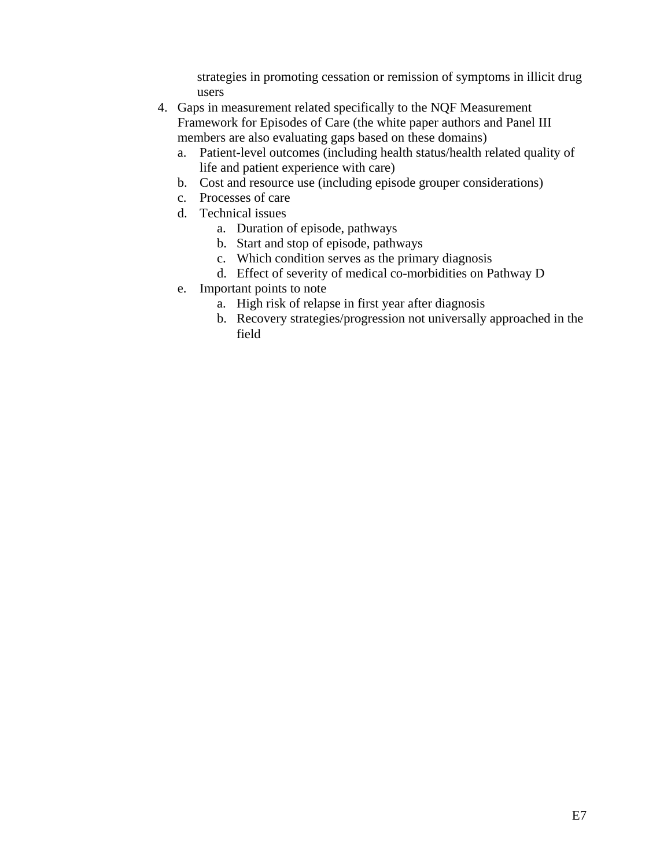strategies in promoting cessation or remission of symptoms in illicit drug users

- 4. Gaps in measurement related specifically to the NQF Measurement Framework for Episodes of Care (the white paper authors and Panel III members are also evaluating gaps based on these domains)
	- a. Patient-level outcomes (including health status/health related quality of life and patient experience with care)
	- b. Cost and resource use (including episode grouper considerations)
	- c. Processes of care
	- d. Technical issues
		- a. Duration of episode, pathways
		- b. Start and stop of episode, pathways
		- c. Which condition serves as the primary diagnosis
		- d. Effect of severity of medical co-morbidities on Pathway D
	- e. Important points to note
		- a. High risk of relapse in first year after diagnosis
		- b. Recovery strategies/progression not universally approached in the field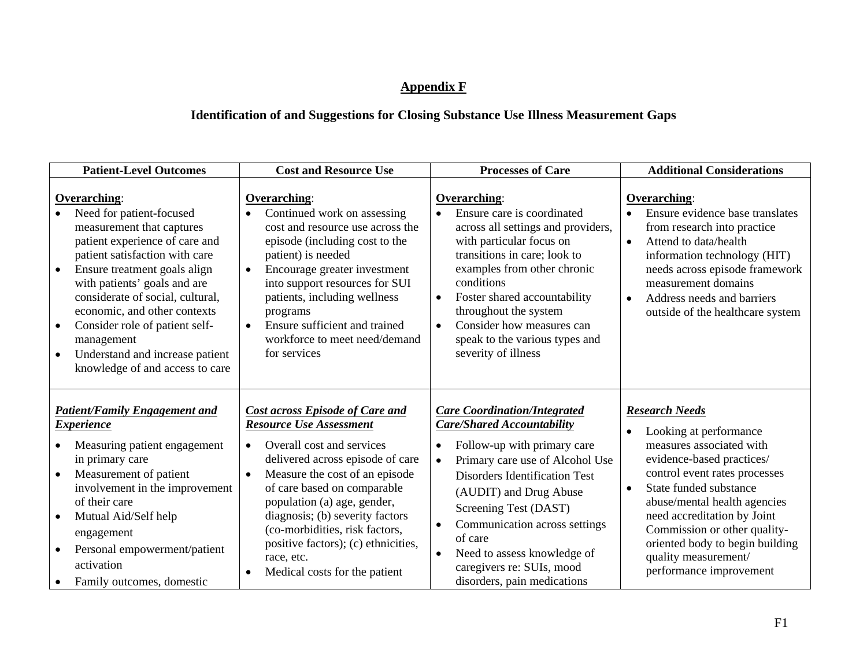# **Appendix F**

# **Identification of and Suggestions for Closing Substance Use Illness Measurement Gaps**

| <b>Patient-Level Outcomes</b>                                                                                                                                                                                                                                                                                                                                                                                                              | <b>Cost and Resource Use</b>                                                                                                                                                                                                                                                                                                                                                                                                                | <b>Processes of Care</b>                                                                                                                                                                                                                                                                                                                                                                                                         | <b>Additional Considerations</b>                                                                                                                                                                                                                                                                                                                         |
|--------------------------------------------------------------------------------------------------------------------------------------------------------------------------------------------------------------------------------------------------------------------------------------------------------------------------------------------------------------------------------------------------------------------------------------------|---------------------------------------------------------------------------------------------------------------------------------------------------------------------------------------------------------------------------------------------------------------------------------------------------------------------------------------------------------------------------------------------------------------------------------------------|----------------------------------------------------------------------------------------------------------------------------------------------------------------------------------------------------------------------------------------------------------------------------------------------------------------------------------------------------------------------------------------------------------------------------------|----------------------------------------------------------------------------------------------------------------------------------------------------------------------------------------------------------------------------------------------------------------------------------------------------------------------------------------------------------|
| Overarching:<br>Need for patient-focused<br>measurement that captures<br>patient experience of care and<br>patient satisfaction with care<br>Ensure treatment goals align<br>$\bullet$<br>with patients' goals and are<br>considerate of social, cultural,<br>economic, and other contexts<br>Consider role of patient self-<br>$\bullet$<br>management<br>Understand and increase patient<br>$\bullet$<br>knowledge of and access to care | <b>Overarching:</b><br>Continued work on assessing<br>cost and resource use across the<br>episode (including cost to the<br>patient) is needed<br>Encourage greater investment<br>$\bullet$<br>into support resources for SUI<br>patients, including wellness<br>programs<br>Ensure sufficient and trained<br>$\bullet$<br>workforce to meet need/demand<br>for services                                                                    | Overarching:<br>Ensure care is coordinated<br>across all settings and providers,<br>with particular focus on<br>transitions in care; look to<br>examples from other chronic<br>conditions<br>Foster shared accountability<br>$\bullet$<br>throughout the system<br>Consider how measures can<br>$\bullet$<br>speak to the various types and<br>severity of illness                                                               | <b>Overarching:</b><br>Ensure evidence base translates<br>from research into practice<br>Attend to data/health<br>information technology (HIT)<br>needs across episode framework<br>measurement domains<br>Address needs and barriers<br>$\bullet$<br>outside of the healthcare system                                                                   |
| <b>Patient/Family Engagement and</b><br><b>Experience</b><br>Measuring patient engagement<br>in primary care<br>Measurement of patient<br>$\bullet$<br>involvement in the improvement<br>of their care<br>Mutual Aid/Self help<br>$\bullet$<br>engagement<br>Personal empowerment/patient<br>activation<br>Family outcomes, domestic                                                                                                       | <b>Cost across Episode of Care and</b><br><b>Resource Use Assessment</b><br>Overall cost and services<br>$\bullet$<br>delivered across episode of care<br>Measure the cost of an episode<br>$\bullet$<br>of care based on comparable<br>population (a) age, gender,<br>diagnosis; (b) severity factors<br>(co-morbidities, risk factors,<br>positive factors); (c) ethnicities,<br>race, etc.<br>Medical costs for the patient<br>$\bullet$ | <b>Care Coordination/Integrated</b><br><b>Care/Shared Accountability</b><br>Follow-up with primary care<br>$\bullet$<br>Primary care use of Alcohol Use<br>$\bullet$<br><b>Disorders Identification Test</b><br>(AUDIT) and Drug Abuse<br>Screening Test (DAST)<br>Communication across settings<br>$\bullet$<br>of care<br>Need to assess knowledge of<br>$\bullet$<br>caregivers re: SUIs, mood<br>disorders, pain medications | <b>Research Needs</b><br>Looking at performance<br>measures associated with<br>evidence-based practices/<br>control event rates processes<br>State funded substance<br>abuse/mental health agencies<br>need accreditation by Joint<br>Commission or other quality-<br>oriented body to begin building<br>quality measurement/<br>performance improvement |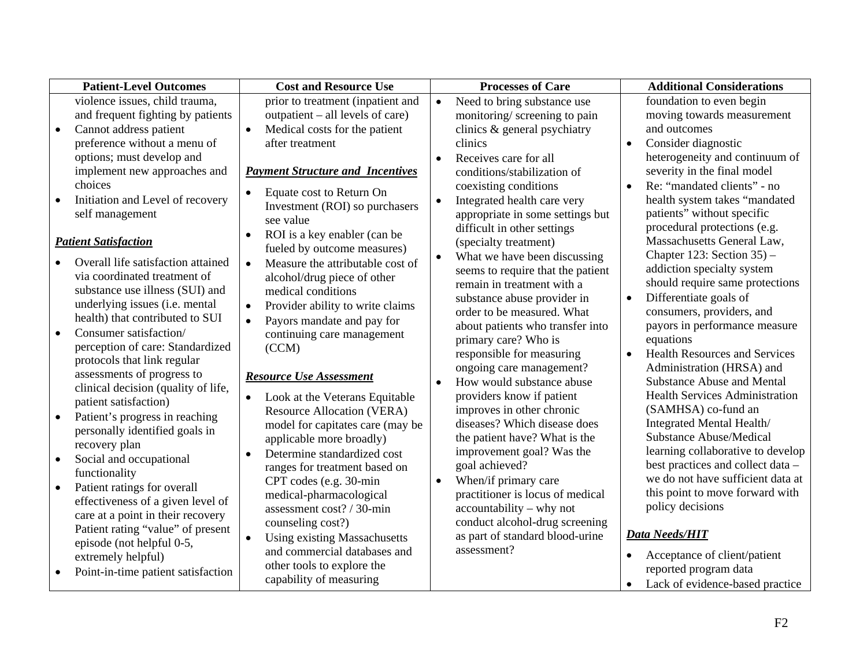|           | <b>Patient-Level Outcomes</b>                   | <b>Cost and Resource Use</b>                                        | <b>Processes of Care</b> |                                                   |           | <b>Additional Considerations</b>                           |  |
|-----------|-------------------------------------------------|---------------------------------------------------------------------|--------------------------|---------------------------------------------------|-----------|------------------------------------------------------------|--|
|           | violence issues, child trauma,                  | prior to treatment (inpatient and                                   | $\bullet$                | Need to bring substance use                       |           | foundation to even begin                                   |  |
|           | and frequent fighting by patients               | outpatient – all levels of care)                                    |                          | monitoring/screening to pain                      |           | moving towards measurement                                 |  |
| $\bullet$ | Cannot address patient                          | Medical costs for the patient<br>$\bullet$                          |                          | clinics & general psychiatry                      |           | and outcomes                                               |  |
|           | preference without a menu of                    | after treatment                                                     |                          | clinics                                           | $\bullet$ | Consider diagnostic                                        |  |
|           | options; must develop and                       |                                                                     | $\bullet$                | Receives care for all                             |           | heterogeneity and continuum of                             |  |
|           | implement new approaches and                    | <b>Payment Structure and Incentives</b>                             |                          | conditions/stabilization of                       |           | severity in the final model                                |  |
|           | choices                                         | Equate cost to Return On<br>$\bullet$                               |                          | coexisting conditions                             | $\bullet$ | Re: "mandated clients" - no                                |  |
|           | Initiation and Level of recovery                | Investment (ROI) so purchasers                                      | $\bullet$                | Integrated health care very                       |           | health system takes "mandated                              |  |
|           | self management                                 | see value                                                           |                          | appropriate in some settings but                  |           | patients" without specific                                 |  |
|           |                                                 | ROI is a key enabler (can be<br>$\bullet$                           |                          | difficult in other settings                       |           | procedural protections (e.g.                               |  |
|           | <b>Patient Satisfaction</b>                     | fueled by outcome measures)                                         |                          | (specialty treatment)                             |           | Massachusetts General Law,                                 |  |
|           | Overall life satisfaction attained              | Measure the attributable cost of<br>$\bullet$                       | $\bullet$                | What we have been discussing                      |           | Chapter 123: Section $35$ ) –                              |  |
|           | via coordinated treatment of                    | alcohol/drug piece of other                                         |                          | seems to require that the patient                 |           | addiction specialty system                                 |  |
|           | substance use illness (SUI) and                 | medical conditions                                                  |                          | remain in treatment with a                        |           | should require same protections                            |  |
|           | underlying issues (i.e. mental                  | Provider ability to write claims<br>$\bullet$                       |                          | substance abuse provider in                       |           | Differentiate goals of                                     |  |
|           | health) that contributed to SUI                 | Payors mandate and pay for<br>$\bullet$                             |                          | order to be measured. What                        |           | consumers, providers, and<br>payors in performance measure |  |
| $\bullet$ | Consumer satisfaction/                          | continuing care management                                          |                          | about patients who transfer into                  |           | equations                                                  |  |
|           | perception of care: Standardized                | (CCM)                                                               |                          | primary care? Who is<br>responsible for measuring | $\bullet$ | <b>Health Resources and Services</b>                       |  |
|           | protocols that link regular                     |                                                                     |                          | ongoing care management?                          |           | Administration (HRSA) and                                  |  |
|           | assessments of progress to                      | <b>Resource Use Assessment</b>                                      | $\bullet$                | How would substance abuse                         |           | <b>Substance Abuse and Mental</b>                          |  |
|           | clinical decision (quality of life,             | $\bullet$                                                           |                          | providers know if patient                         |           | <b>Health Services Administration</b>                      |  |
|           | patient satisfaction)                           | Look at the Veterans Equitable<br><b>Resource Allocation (VERA)</b> |                          | improves in other chronic                         |           | (SAMHSA) co-fund an                                        |  |
| $\bullet$ | Patient's progress in reaching                  | model for capitates care (may be                                    |                          | diseases? Which disease does                      |           | Integrated Mental Health/                                  |  |
|           | personally identified goals in                  | applicable more broadly)                                            |                          | the patient have? What is the                     |           | <b>Substance Abuse/Medical</b>                             |  |
|           | recovery plan                                   | Determine standardized cost<br>$\bullet$                            |                          | improvement goal? Was the                         |           | learning collaborative to develop                          |  |
| $\bullet$ | Social and occupational                         | ranges for treatment based on                                       |                          | goal achieved?                                    |           | best practices and collect data -                          |  |
|           | functionality                                   | CPT codes (e.g. 30-min                                              | $\bullet$                | When/if primary care                              |           | we do not have sufficient data at                          |  |
| $\bullet$ | Patient ratings for overall                     | medical-pharmacological                                             |                          | practitioner is locus of medical                  |           | this point to move forward with                            |  |
|           | effectiveness of a given level of               | assessment cost? / 30-min                                           |                          | accountability – why not                          |           | policy decisions                                           |  |
|           | care at a point in their recovery               | counseling cost?)                                                   |                          | conduct alcohol-drug screening                    |           |                                                            |  |
|           | Patient rating "value" of present               | <b>Using existing Massachusetts</b><br>$\bullet$                    |                          | as part of standard blood-urine                   |           | <b>Data Needs/HIT</b>                                      |  |
|           | episode (not helpful 0-5,<br>extremely helpful) | and commercial databases and                                        |                          | assessment?                                       | $\bullet$ | Acceptance of client/patient                               |  |
|           | Point-in-time patient satisfaction              | other tools to explore the                                          |                          |                                                   |           | reported program data                                      |  |
|           |                                                 | capability of measuring                                             |                          |                                                   | $\bullet$ | Lack of evidence-based practice                            |  |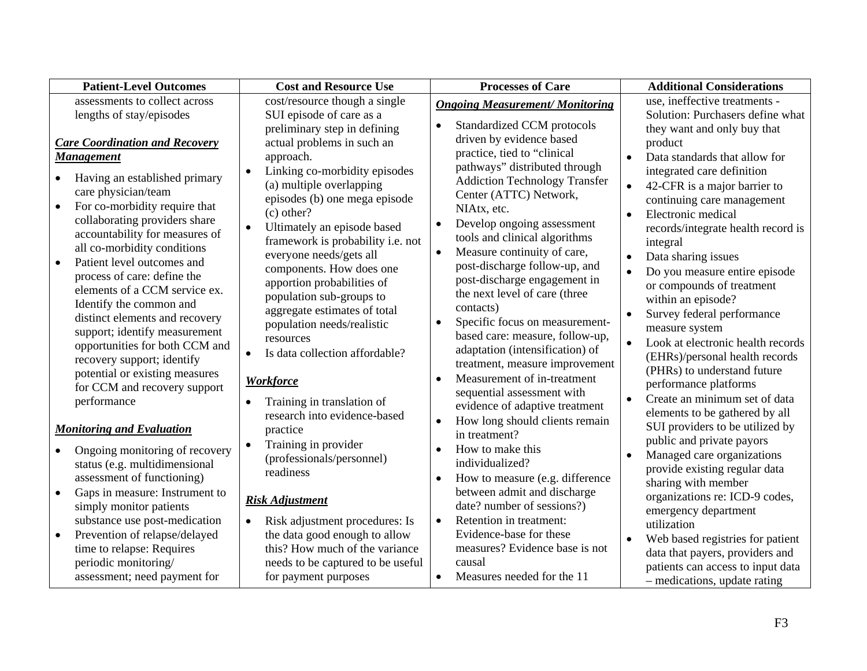|                                                                                                                                                                                                                                                                                                                                                                                                                                                                                                                                                                                                                                                                                       | cost/resource though a single                                                                                                                                                                                                                                                                                                                                                                                                                                                                                                                                                                                                                           |                                                                                                                                                                                                                                                                                                                                                                                                                                                                                                                                                                                                                                                                                                                                                                                                                                 |                                                                                                                                                                                                                                                                                                                                                                                                                                                                                                                                                                                                                                                                                                                                  |
|---------------------------------------------------------------------------------------------------------------------------------------------------------------------------------------------------------------------------------------------------------------------------------------------------------------------------------------------------------------------------------------------------------------------------------------------------------------------------------------------------------------------------------------------------------------------------------------------------------------------------------------------------------------------------------------|---------------------------------------------------------------------------------------------------------------------------------------------------------------------------------------------------------------------------------------------------------------------------------------------------------------------------------------------------------------------------------------------------------------------------------------------------------------------------------------------------------------------------------------------------------------------------------------------------------------------------------------------------------|---------------------------------------------------------------------------------------------------------------------------------------------------------------------------------------------------------------------------------------------------------------------------------------------------------------------------------------------------------------------------------------------------------------------------------------------------------------------------------------------------------------------------------------------------------------------------------------------------------------------------------------------------------------------------------------------------------------------------------------------------------------------------------------------------------------------------------|----------------------------------------------------------------------------------------------------------------------------------------------------------------------------------------------------------------------------------------------------------------------------------------------------------------------------------------------------------------------------------------------------------------------------------------------------------------------------------------------------------------------------------------------------------------------------------------------------------------------------------------------------------------------------------------------------------------------------------|
| assessments to collect across<br>lengths of stay/episodes                                                                                                                                                                                                                                                                                                                                                                                                                                                                                                                                                                                                                             | SUI episode of care as a                                                                                                                                                                                                                                                                                                                                                                                                                                                                                                                                                                                                                                | <b>Ongoing Measurement/ Monitoring</b>                                                                                                                                                                                                                                                                                                                                                                                                                                                                                                                                                                                                                                                                                                                                                                                          | use, ineffective treatments -<br>Solution: Purchasers define what                                                                                                                                                                                                                                                                                                                                                                                                                                                                                                                                                                                                                                                                |
| <b>Care Coordination and Recovery</b><br><b>Management</b><br>Having an established primary<br>care physician/team<br>For co-morbidity require that<br>collaborating providers share<br>accountability for measures of<br>all co-morbidity conditions<br>Patient level outcomes and<br>$\bullet$<br>process of care: define the<br>elements of a CCM service ex.<br>Identify the common and<br>distinct elements and recovery<br>support; identify measurement<br>opportunities for both CCM and<br>recovery support; identify<br>potential or existing measures<br>for CCM and recovery support<br>performance<br><b>Monitoring and Evaluation</b><br>Ongoing monitoring of recovery | preliminary step in defining<br>actual problems in such an<br>approach.<br>Linking co-morbidity episodes<br>$\bullet$<br>(a) multiple overlapping<br>episodes (b) one mega episode<br>$(c)$ other?<br>Ultimately an episode based<br>framework is probability i.e. not<br>everyone needs/gets all<br>components. How does one<br>apportion probabilities of<br>population sub-groups to<br>aggregate estimates of total<br>population needs/realistic<br>resources<br>Is data collection affordable?<br><b>Workforce</b><br>Training in translation of<br>research into evidence-based<br>practice<br>Training in provider<br>(professionals/personnel) | Standardized CCM protocols<br>$\bullet$<br>driven by evidence based<br>practice, tied to "clinical<br>pathways" distributed through<br><b>Addiction Technology Transfer</b><br>Center (ATTC) Network,<br>NIAtx, etc.<br>Develop ongoing assessment<br>$\bullet$<br>tools and clinical algorithms<br>Measure continuity of care,<br>$\bullet$<br>post-discharge follow-up, and<br>post-discharge engagement in<br>the next level of care (three<br>contacts)<br>Specific focus on measurement-<br>$\bullet$<br>based care: measure, follow-up,<br>adaptation (intensification) of<br>treatment, measure improvement<br>Measurement of in-treatment<br>$\bullet$<br>sequential assessment with<br>evidence of adaptive treatment<br>How long should clients remain<br>$\bullet$<br>in treatment?<br>How to make this<br>$\bullet$ | they want and only buy that<br>product<br>Data standards that allow for<br>$\bullet$<br>integrated care definition<br>42-CFR is a major barrier to<br>continuing care management<br>Electronic medical<br>records/integrate health record is<br>integral<br>Data sharing issues<br>Do you measure entire episode<br>or compounds of treatment<br>within an episode?<br>Survey federal performance<br>$\bullet$<br>measure system<br>Look at electronic health records<br>(EHRs)/personal health records<br>(PHRs) to understand future<br>performance platforms<br>Create an minimum set of data<br>elements to be gathered by all<br>SUI providers to be utilized by<br>public and private payors<br>Managed care organizations |
| status (e.g. multidimensional<br>assessment of functioning)                                                                                                                                                                                                                                                                                                                                                                                                                                                                                                                                                                                                                           | readiness                                                                                                                                                                                                                                                                                                                                                                                                                                                                                                                                                                                                                                               | individualized?<br>How to measure (e.g. difference<br>$\bullet$                                                                                                                                                                                                                                                                                                                                                                                                                                                                                                                                                                                                                                                                                                                                                                 | provide existing regular data<br>sharing with member                                                                                                                                                                                                                                                                                                                                                                                                                                                                                                                                                                                                                                                                             |
| Gaps in measure: Instrument to<br>$\bullet$<br>simply monitor patients<br>substance use post-medication<br>Prevention of relapse/delayed<br>$\bullet$<br>time to relapse: Requires<br>periodic monitoring/<br>assessment; need payment for                                                                                                                                                                                                                                                                                                                                                                                                                                            | <b>Risk Adjustment</b><br>Risk adjustment procedures: Is<br>the data good enough to allow<br>this? How much of the variance<br>needs to be captured to be useful<br>for payment purposes                                                                                                                                                                                                                                                                                                                                                                                                                                                                | between admit and discharge<br>date? number of sessions?)<br>Retention in treatment:<br>$\bullet$<br>Evidence-base for these<br>measures? Evidence base is not<br>causal<br>Measures needed for the 11<br>$\bullet$                                                                                                                                                                                                                                                                                                                                                                                                                                                                                                                                                                                                             | organizations re: ICD-9 codes,<br>emergency department<br>utilization<br>Web based registries for patient<br>data that payers, providers and<br>patients can access to input data<br>- medications, update rating                                                                                                                                                                                                                                                                                                                                                                                                                                                                                                                |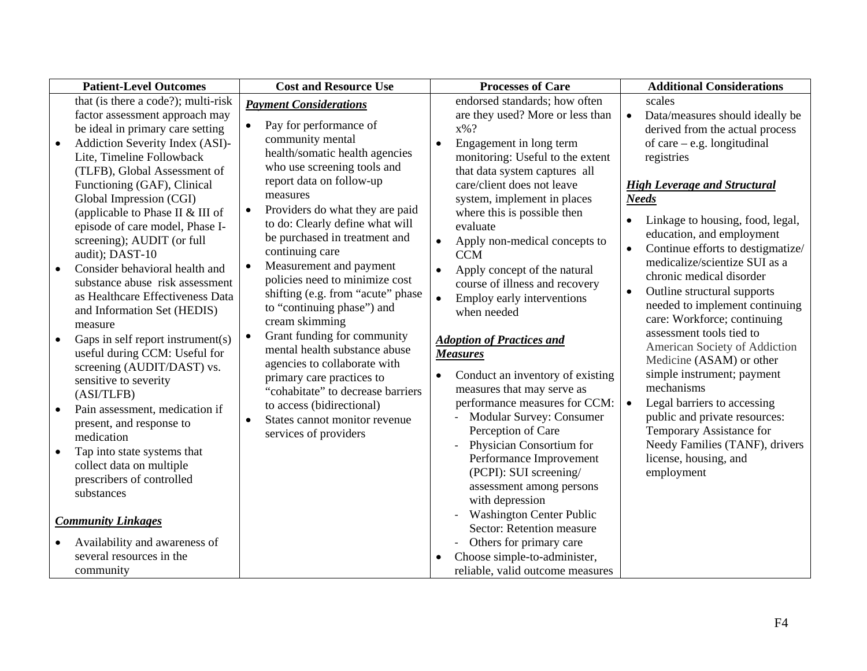| <b>Patient-Level Outcomes</b> |                                                   | <b>Cost and Resource Use</b> |                                                                    | <b>Processes of Care</b> |                                                   | <b>Additional Considerations</b> |                                     |
|-------------------------------|---------------------------------------------------|------------------------------|--------------------------------------------------------------------|--------------------------|---------------------------------------------------|----------------------------------|-------------------------------------|
|                               | that (is there a code?); multi-risk               |                              | <b>Payment Considerations</b>                                      |                          | endorsed standards; how often                     |                                  | scales                              |
|                               | factor assessment approach may                    |                              |                                                                    |                          | are they used? More or less than                  | $\bullet$                        | Data/measures should ideally be     |
|                               | be ideal in primary care setting                  |                              | Pay for performance of                                             |                          | $x\%$ ?                                           |                                  | derived from the actual process     |
| $\bullet$                     | Addiction Severity Index (ASI)-                   |                              | community mental                                                   | $\bullet$                | Engagement in long term                           |                                  | of care $-$ e.g. longitudinal       |
|                               | Lite, Timeline Followback                         |                              | health/somatic health agencies                                     |                          | monitoring: Useful to the extent                  |                                  | registries                          |
|                               | (TLFB), Global Assessment of                      |                              | who use screening tools and                                        |                          | that data system captures all                     |                                  |                                     |
|                               | Functioning (GAF), Clinical                       |                              | report data on follow-up<br>measures                               |                          | care/client does not leave                        |                                  | <b>High Leverage and Structural</b> |
|                               | Global Impression (CGI)                           |                              |                                                                    |                          | system, implement in places                       |                                  | <b>Needs</b>                        |
|                               | (applicable to Phase II & III of                  |                              | Providers do what they are paid<br>to do: Clearly define what will |                          | where this is possible then                       |                                  | Linkage to housing, food, legal,    |
|                               | episode of care model, Phase I-                   |                              | be purchased in treatment and                                      |                          | evaluate                                          |                                  | education, and employment           |
|                               | screening); AUDIT (or full                        |                              | continuing care                                                    | $\bullet$                | Apply non-medical concepts to                     | $\bullet$                        | Continue efforts to destigmatize/   |
|                               | audit); DAST-10<br>Consider behavioral health and |                              | Measurement and payment                                            |                          | <b>CCM</b>                                        |                                  | medicalize/scientize SUI as a       |
| $\bullet$                     | substance abuse risk assessment                   |                              | policies need to minimize cost                                     | $\bullet$                | Apply concept of the natural                      |                                  | chronic medical disorder            |
|                               | as Healthcare Effectiveness Data                  |                              | shifting (e.g. from "acute" phase                                  | $\bullet$                | course of illness and recovery                    |                                  | Outline structural supports         |
|                               | and Information Set (HEDIS)                       |                              | to "continuing phase") and                                         |                          | Employ early interventions<br>when needed         |                                  | needed to implement continuing      |
|                               | measure                                           |                              | cream skimming                                                     |                          |                                                   |                                  | care: Workforce; continuing         |
| $\bullet$                     | Gaps in self report instrument(s)                 | $\bullet$                    | Grant funding for community                                        |                          | <b>Adoption of Practices and</b>                  |                                  | assessment tools tied to            |
|                               | useful during CCM: Useful for                     |                              | mental health substance abuse                                      |                          | <b>Measures</b>                                   |                                  | American Society of Addiction       |
|                               | screening (AUDIT/DAST) vs.                        |                              | agencies to collaborate with                                       |                          |                                                   |                                  | Medicine (ASAM) or other            |
|                               | sensitive to severity                             |                              | primary care practices to                                          | $\bullet$                | Conduct an inventory of existing                  |                                  | simple instrument; payment          |
|                               | (ASI/TLFB)                                        |                              | "cohabitate" to decrease barriers                                  |                          | measures that may serve as                        |                                  | mechanisms                          |
| $\bullet$                     | Pain assessment, medication if                    |                              | to access (bidirectional)                                          |                          | performance measures for CCM:                     | $\bullet$                        | Legal barriers to accessing         |
|                               | present, and response to                          |                              | States cannot monitor revenue                                      |                          | <b>Modular Survey: Consumer</b>                   |                                  | public and private resources:       |
|                               | medication                                        |                              | services of providers                                              |                          | Perception of Care                                |                                  | Temporary Assistance for            |
|                               | Tap into state systems that                       |                              |                                                                    |                          | Physician Consortium for                          |                                  | Needy Families (TANF), drivers      |
|                               | collect data on multiple                          |                              |                                                                    |                          | Performance Improvement<br>(PCPI): SUI screening/ |                                  | license, housing, and<br>employment |
|                               | prescribers of controlled                         |                              |                                                                    |                          |                                                   |                                  |                                     |
|                               | substances                                        |                              |                                                                    |                          | assessment among persons<br>with depression       |                                  |                                     |
|                               |                                                   |                              |                                                                    |                          | <b>Washington Center Public</b>                   |                                  |                                     |
|                               | <b>Community Linkages</b>                         |                              |                                                                    |                          | Sector: Retention measure                         |                                  |                                     |
|                               | Availability and awareness of                     |                              |                                                                    |                          | Others for primary care                           |                                  |                                     |
|                               | several resources in the                          |                              |                                                                    |                          | Choose simple-to-administer,                      |                                  |                                     |
|                               | community                                         |                              |                                                                    |                          | reliable, valid outcome measures                  |                                  |                                     |